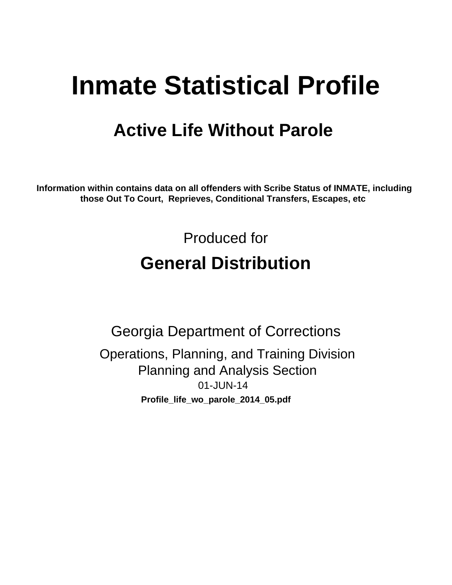# **Inmate Statistical Profile**

## **Active Life Without Parole**

Information within contains data on all offenders with Scribe Status of INMATE, including those Out To Court, Reprieves, Conditional Transfers, Escapes, etc

> Produced for **General Distribution**

**Georgia Department of Corrections** Operations, Planning, and Training Division **Planning and Analysis Section** 01-JUN-14 Profile\_life\_wo\_parole\_2014\_05.pdf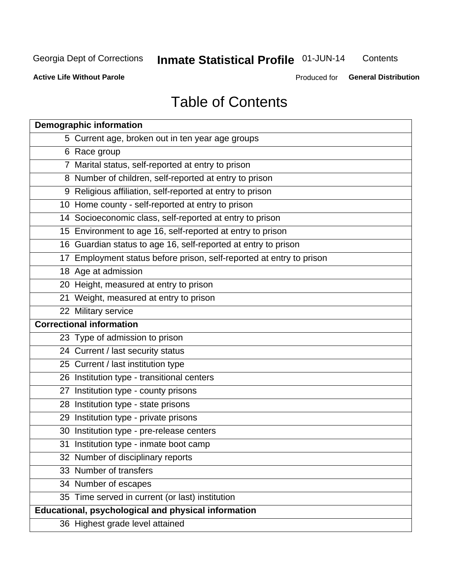## **Inmate Statistical Profile 01-JUN-14**

Contents

**Active Life Without Parole** 

Produced for General Distribution

## **Table of Contents**

| <b>Demographic information</b>                                       |
|----------------------------------------------------------------------|
| 5 Current age, broken out in ten year age groups                     |
| 6 Race group                                                         |
| 7 Marital status, self-reported at entry to prison                   |
| 8 Number of children, self-reported at entry to prison               |
| 9 Religious affiliation, self-reported at entry to prison            |
| 10 Home county - self-reported at entry to prison                    |
| 14 Socioeconomic class, self-reported at entry to prison             |
| 15 Environment to age 16, self-reported at entry to prison           |
| 16 Guardian status to age 16, self-reported at entry to prison       |
| 17 Employment status before prison, self-reported at entry to prison |
| 18 Age at admission                                                  |
| 20 Height, measured at entry to prison                               |
| 21 Weight, measured at entry to prison                               |
| 22 Military service                                                  |
| <b>Correctional information</b>                                      |
| 23 Type of admission to prison                                       |
| 24 Current / last security status                                    |
| 25 Current / last institution type                                   |
| 26 Institution type - transitional centers                           |
| 27 Institution type - county prisons                                 |
| 28 Institution type - state prisons                                  |
| 29 Institution type - private prisons                                |
| 30 Institution type - pre-release centers                            |
| 31 Institution type - inmate boot camp                               |
| 32 Number of disciplinary reports                                    |
| 33 Number of transfers                                               |
| 34 Number of escapes                                                 |
| 35 Time served in current (or last) institution                      |
| Educational, psychological and physical information                  |
| 36 Highest grade level attained                                      |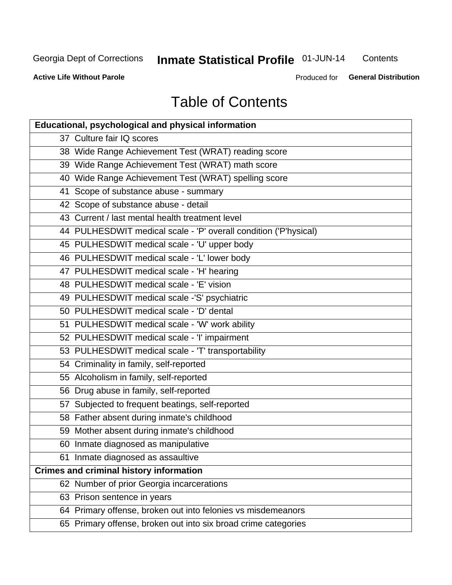## Inmate Statistical Profile 01-JUN-14

Contents

**Active Life Without Parole** 

Produced for General Distribution

## **Table of Contents**

| <b>Educational, psychological and physical information</b>       |
|------------------------------------------------------------------|
| 37 Culture fair IQ scores                                        |
| 38 Wide Range Achievement Test (WRAT) reading score              |
| 39 Wide Range Achievement Test (WRAT) math score                 |
| 40 Wide Range Achievement Test (WRAT) spelling score             |
| 41 Scope of substance abuse - summary                            |
| 42 Scope of substance abuse - detail                             |
| 43 Current / last mental health treatment level                  |
| 44 PULHESDWIT medical scale - 'P' overall condition ('P'hysical) |
| 45 PULHESDWIT medical scale - 'U' upper body                     |
| 46 PULHESDWIT medical scale - 'L' lower body                     |
| 47 PULHESDWIT medical scale - 'H' hearing                        |
| 48 PULHESDWIT medical scale - 'E' vision                         |
| 49 PULHESDWIT medical scale -'S' psychiatric                     |
| 50 PULHESDWIT medical scale - 'D' dental                         |
| 51 PULHESDWIT medical scale - 'W' work ability                   |
| 52 PULHESDWIT medical scale - 'I' impairment                     |
| 53 PULHESDWIT medical scale - 'T' transportability               |
| 54 Criminality in family, self-reported                          |
| 55 Alcoholism in family, self-reported                           |
| 56 Drug abuse in family, self-reported                           |
| 57 Subjected to frequent beatings, self-reported                 |
| 58 Father absent during inmate's childhood                       |
| 59 Mother absent during inmate's childhood                       |
| 60 Inmate diagnosed as manipulative                              |
| 61 Inmate diagnosed as assaultive                                |
| <b>Crimes and criminal history information</b>                   |
| 62 Number of prior Georgia incarcerations                        |
| 63 Prison sentence in years                                      |
| 64 Primary offense, broken out into felonies vs misdemeanors     |
| 65 Primary offense, broken out into six broad crime categories   |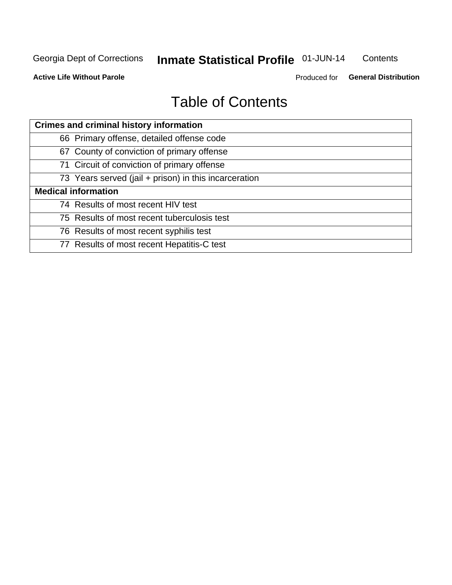#### **Inmate Statistical Profile 01-JUN-14** Contents

**Active Life Without Parole** 

Produced for General Distribution

## **Table of Contents**

| <b>Crimes and criminal history information</b>        |
|-------------------------------------------------------|
| 66 Primary offense, detailed offense code             |
| 67 County of conviction of primary offense            |
| 71 Circuit of conviction of primary offense           |
| 73 Years served (jail + prison) in this incarceration |
| <b>Medical information</b>                            |
| 74 Results of most recent HIV test                    |
| 75 Results of most recent tuberculosis test           |
| 76 Results of most recent syphilis test               |
| 77 Results of most recent Hepatitis-C test            |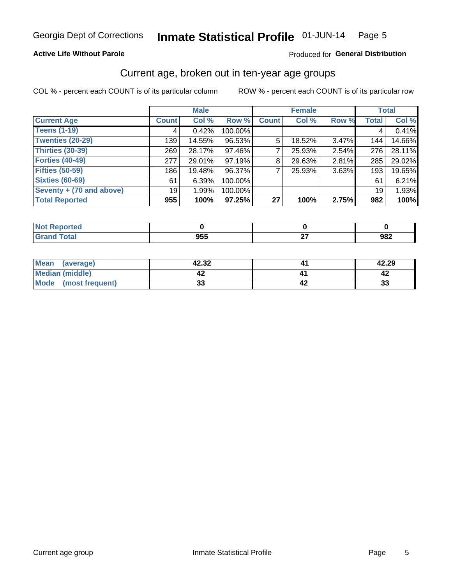#### Inmate Statistical Profile 01-JUN-14 Page 5

#### **Active Life Without Parole**

#### Produced for General Distribution

## Current age, broken out in ten-year age groups

COL % - percent each COUNT is of its particular column

|                          |              | <b>Male</b> |         |              | <b>Female</b> |          |              | <b>Total</b> |
|--------------------------|--------------|-------------|---------|--------------|---------------|----------|--------------|--------------|
| <b>Current Age</b>       | <b>Count</b> | Col %       | Row %   | <b>Count</b> | Col %         | Row %    | <b>Total</b> | Col %        |
| <b>Teens (1-19)</b>      | 4            | 0.42%       | 100.00% |              |               |          | 4            | 0.41%        |
| <b>Twenties (20-29)</b>  | 139          | 14.55%      | 96.53%  | 5            | 18.52%        | $3.47\%$ | 144          | 14.66%       |
| Thirties (30-39)         | 269          | 28.17%      | 97.46%  |              | 25.93%        | 2.54%    | 276          | 28.11%       |
| <b>Forties (40-49)</b>   | 277          | 29.01%      | 97.19%  | 8            | 29.63%        | 2.81%    | 285          | 29.02%       |
| <b>Fifties (50-59)</b>   | 186          | 19.48%      | 96.37%  |              | 25.93%        | 3.63%    | 193          | 19.65%       |
| <b>Sixties (60-69)</b>   | 61           | 6.39%       | 100.00% |              |               |          | 61           | 6.21%        |
| Seventy + (70 and above) | 19           | 1.99%       | 100.00% |              |               |          | 19           | 1.93%        |
| <b>Total Reported</b>    | 955          | 100%        | 97.25%  | 27           | 100%          | 2.75%    | 982          | 100%         |

| _____ | <b>OEE</b><br>ນວວ | _ | 982 |
|-------|-------------------|---|-----|

| Mean<br>(average)    | 42.32    | 42.29 |
|----------------------|----------|-------|
| Median (middle)      |          |       |
| Mode (most frequent) | n.<br>vu | 33    |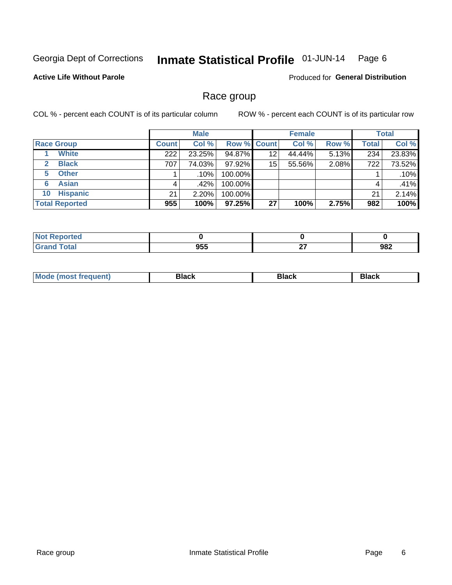#### Inmate Statistical Profile 01-JUN-14 Page 6

#### **Active Life Without Parole**

**Produced for General Distribution** 

### Race group

COL % - percent each COUNT is of its particular column

|                              |              | <b>Male</b> |                    |    | <b>Female</b> |       |              | <b>Total</b> |
|------------------------------|--------------|-------------|--------------------|----|---------------|-------|--------------|--------------|
| <b>Race Group</b>            | <b>Count</b> | Col %       | <b>Row % Count</b> |    | Col %         | Row % | <b>Total</b> | Col %        |
| <b>White</b>                 | 222          | 23.25%      | 94.87%             | 12 | 44.44%        | 5.13% | 234          | 23.83%       |
| <b>Black</b><br>$\mathbf{2}$ | 707          | 74.03%      | 97.92%             | 15 | 55.56%        | 2.08% | 722          | 73.52%       |
| <b>Other</b><br>5.           |              | .10%        | 100.00%            |    |               |       |              | .10%         |
| <b>Asian</b><br>6            | 4            | .42%        | 100.00%            |    |               |       | 4            | .41%         |
| <b>Hispanic</b><br>10        | 21           | 2.20%       | 100.00%            |    |               |       | 21           | 2.14%        |
| <b>Total Reported</b>        | 955          | 100%        | $97.25\%$          | 27 | 100%          | 2.75% | 982          | 100%         |

| Reported     |     |           |     |
|--------------|-----|-----------|-----|
| <b>Total</b> | 955 | ~-<br>- - | 982 |

| M | --- | $-1$ |
|---|-----|------|
|   |     |      |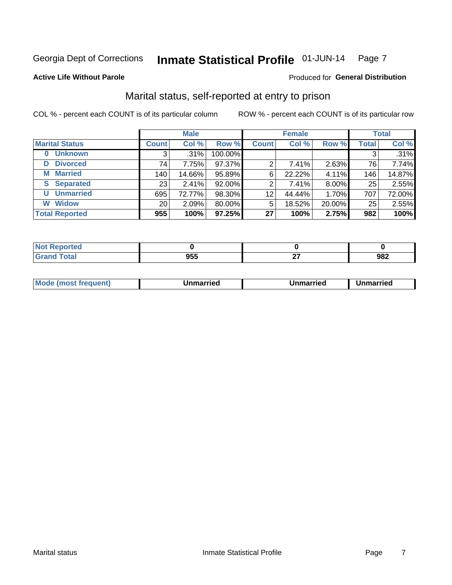#### Inmate Statistical Profile 01-JUN-14 Page 7

#### **Active Life Without Parole**

#### Produced for General Distribution

## Marital status, self-reported at entry to prison

COL % - percent each COUNT is of its particular column

|                        |                 | <b>Male</b> |         |              | <b>Female</b> |        |       | <b>Total</b> |
|------------------------|-----------------|-------------|---------|--------------|---------------|--------|-------|--------------|
| <b>Marital Status</b>  | <b>Count</b>    | Col %       | Row %   | <b>Count</b> | Col %         | Row %  | Total | Col %        |
| <b>Unknown</b><br>0    | 3               | $.31\%$     | 100.00% |              |               |        | 3     | .31%         |
| <b>Divorced</b><br>D   | 74              | 7.75%       | 97.37%  | 2            | 7.41%         | 2.63%  | 76    | 7.74%        |
| <b>Married</b><br>М    | 140             | 14.66%      | 95.89%  | 6            | 22.22%        | 4.11%  | 146   | 14.87%       |
| <b>Separated</b><br>S. | 231             | 2.41%       | 92.00%  | 2            | 7.41%         | 8.00%  | 25    | 2.55%        |
| <b>Unmarried</b><br>U  | 695             | 72.77%      | 98.30%  | 12           | 44.44%        | 1.70%  | 707   | 72.00%       |
| <b>Widow</b><br>W      | 20 <sub>1</sub> | 2.09%       | 80.00%  | 5            | 18.52%        | 20.00% | 25    | 2.55%        |
| <b>Total Reported</b>  | 955             | 100%        | 97.25%  | 27           | 100%          | 2.75%  | 982   | 100%         |

| rtea<br>NG |                   |         |     |
|------------|-------------------|---------|-----|
| υιαι       | <b>OEE</b><br>ນວວ | ~-<br>_ | 982 |

|--|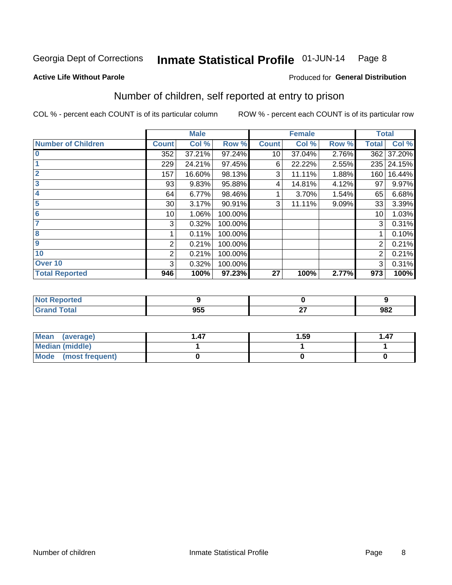#### Inmate Statistical Profile 01-JUN-14 Page 8

#### **Active Life Without Parole**

#### **Produced for General Distribution**

## Number of children, self reported at entry to prison

COL % - percent each COUNT is of its particular column

|                           |                 | <b>Male</b> |         |              | <b>Female</b> |       | <b>Total</b> |        |
|---------------------------|-----------------|-------------|---------|--------------|---------------|-------|--------------|--------|
| <b>Number of Children</b> | <b>Count</b>    | Col %       | Row %   | <b>Count</b> | Col %         | Row % | <b>Total</b> | Col %  |
| $\bf{0}$                  | 352             | 37.21%      | 97.24%  | 10           | 37.04%        | 2.76% | 362          | 37.20% |
|                           | 229             | 24.21%      | 97.45%  | 6            | 22.22%        | 2.55% | 235          | 24.15% |
| $\overline{2}$            | 157             | 16.60%      | 98.13%  | 3            | 11.11%        | 1.88% | 160          | 16.44% |
| 3                         | 93              | 9.83%       | 95.88%  | 4            | 14.81%        | 4.12% | 97           | 9.97%  |
| 4                         | 64              | 6.77%       | 98.46%  |              | 3.70%         | 1.54% | 65           | 6.68%  |
| 5                         | 30 <sup>1</sup> | 3.17%       | 90.91%  | 3            | 11.11%        | 9.09% | 33           | 3.39%  |
| $\overline{6}$            | 10 <sup>1</sup> | 1.06%       | 100.00% |              |               |       | 10           | 1.03%  |
| 7                         | 3               | 0.32%       | 100.00% |              |               |       | 3            | 0.31%  |
| 8                         |                 | 0.11%       | 100.00% |              |               |       |              | 0.10%  |
| 9                         | 2               | 0.21%       | 100.00% |              |               |       | 2            | 0.21%  |
| 10                        | $\overline{2}$  | 0.21%       | 100.00% |              |               |       | 2            | 0.21%  |
| Over 10                   | 3               | 0.32%       | 100.00% |              |               |       | 3            | 0.31%  |
| <b>Total Reported</b>     | 946             | 100%        | 97.23%  | 27           | 100%          | 2.77% | 973          | 100%   |

| teo    |                                  |          |     |
|--------|----------------------------------|----------|-----|
| $\sim$ | $\mathbf{A} = \mathbf{A}$<br>ມວບ | $-$<br>- | 982 |

| Mean (average)         | . 47 | 1.59 | 1.47 |
|------------------------|------|------|------|
| <b>Median (middle)</b> |      |      |      |
| Mode (most frequent)   |      |      |      |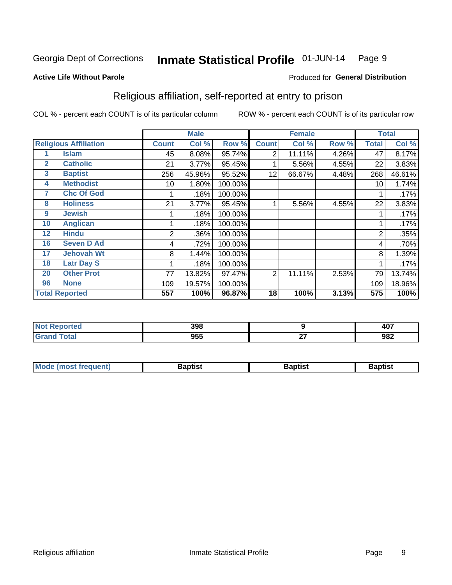#### Inmate Statistical Profile 01-JUN-14 Page 9

Produced for General Distribution

#### **Active Life Without Parole**

## Religious affiliation, self-reported at entry to prison

COL % - percent each COUNT is of its particular column

|              |                              | <b>Male</b>  |        |         |                | <b>Female</b> |       | <b>Total</b> |        |  |
|--------------|------------------------------|--------------|--------|---------|----------------|---------------|-------|--------------|--------|--|
|              | <b>Religious Affiliation</b> | <b>Count</b> | Col %  | Row %   | <b>Count</b>   | Col %         | Row % | Total        | Col %  |  |
|              | Islam                        | 45           | 8.08%  | 95.74%  | $\overline{2}$ | 11.11%        | 4.26% | 47           | 8.17%  |  |
| $\mathbf{2}$ | <b>Catholic</b>              | 21           | 3.77%  | 95.45%  |                | 5.56%         | 4.55% | 22           | 3.83%  |  |
| 3            | <b>Baptist</b>               | 256          | 45.96% | 95.52%  | 12             | 66.67%        | 4.48% | 268          | 46.61% |  |
| 4            | <b>Methodist</b>             | 10           | 1.80%  | 100.00% |                |               |       | 10           | 1.74%  |  |
| 7            | <b>Chc Of God</b>            |              | .18%   | 100.00% |                |               |       |              | .17%   |  |
| 8            | <b>Holiness</b>              | 21           | 3.77%  | 95.45%  |                | 5.56%         | 4.55% | 22           | 3.83%  |  |
| 9            | <b>Jewish</b>                |              | .18%   | 100.00% |                |               |       |              | .17%   |  |
| 10           | <b>Anglican</b>              |              | .18%   | 100.00% |                |               |       |              | .17%   |  |
| 12           | <b>Hindu</b>                 | 2            | .36%   | 100.00% |                |               |       | 2            | .35%   |  |
| 16           | <b>Seven D Ad</b>            | 4            | .72%   | 100.00% |                |               |       | 4            | .70%   |  |
| 17           | <b>Jehovah Wt</b>            | 8            | 1.44%  | 100.00% |                |               |       | 8            | 1.39%  |  |
| 18           | <b>Latr Day S</b>            |              | .18%   | 100.00% |                |               |       |              | .17%   |  |
| 20           | <b>Other Prot</b>            | 77           | 13.82% | 97.47%  | 2              | 11.11%        | 2.53% | 79           | 13.74% |  |
| 96           | <b>None</b>                  | 109          | 19.57% | 100.00% |                |               |       | 109          | 18.96% |  |
|              | <b>Total Reported</b>        | 557          | 100%   | 96.87%  | 18             | 100%          | 3.13% | 575          | 100%   |  |

| ı leu | 200               |              | $\sim$ |
|-------|-------------------|--------------|--------|
| .     | ספנ               |              | TV.    |
| .     | <b>OEE</b><br>ייי | $\sim$<br>-- | 982    |

| Mode (most frequent) | Baptist | <b>Baptist</b> | aptıst |
|----------------------|---------|----------------|--------|
|                      |         |                |        |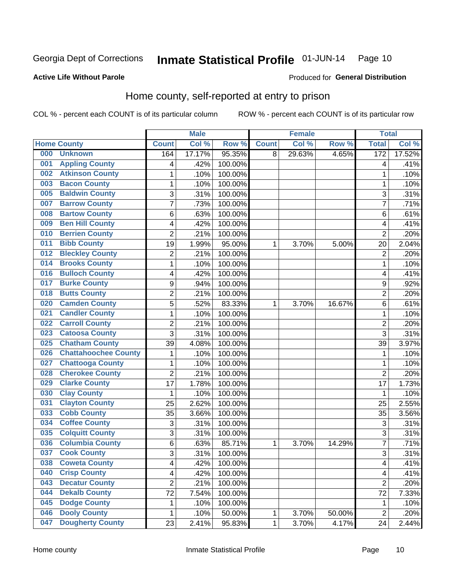#### Inmate Statistical Profile 01-JUN-14 Page 10

#### **Active Life Without Parole**

## Produced for General Distribution

## Home county, self-reported at entry to prison

COL % - percent each COUNT is of its particular column

|     |                             |                | <b>Male</b> |         |              | <b>Female</b> |        | <b>Total</b>            |        |
|-----|-----------------------------|----------------|-------------|---------|--------------|---------------|--------|-------------------------|--------|
|     | <b>Home County</b>          | <b>Count</b>   | Col %       | Row %   | <b>Count</b> | Col %         | Row %  | <b>Total</b>            | Col %  |
| 000 | <b>Unknown</b>              | 164            | 17.17%      | 95.35%  | 8            | 29.63%        | 4.65%  | 172                     | 17.52% |
| 001 | <b>Appling County</b>       | 4              | .42%        | 100.00% |              |               |        | 4                       | .41%   |
| 002 | <b>Atkinson County</b>      | 1              | .10%        | 100.00% |              |               |        | 1                       | .10%   |
| 003 | <b>Bacon County</b>         | 1              | .10%        | 100.00% |              |               |        | 1                       | .10%   |
| 005 | <b>Baldwin County</b>       | 3              | .31%        | 100.00% |              |               |        | 3                       | .31%   |
| 007 | <b>Barrow County</b>        | 7              | .73%        | 100.00% |              |               |        | 7                       | .71%   |
| 008 | <b>Bartow County</b>        | 6              | .63%        | 100.00% |              |               |        | 6                       | .61%   |
| 009 | <b>Ben Hill County</b>      | 4              | .42%        | 100.00% |              |               |        | 4                       | .41%   |
| 010 | <b>Berrien County</b>       | $\overline{2}$ | .21%        | 100.00% |              |               |        | $\overline{2}$          | .20%   |
| 011 | <b>Bibb County</b>          | 19             | 1.99%       | 95.00%  | 1            | 3.70%         | 5.00%  | 20                      | 2.04%  |
| 012 | <b>Bleckley County</b>      | 2              | .21%        | 100.00% |              |               |        | $\overline{2}$          | .20%   |
| 014 | <b>Brooks County</b>        | 1              | .10%        | 100.00% |              |               |        | 1                       | .10%   |
| 016 | <b>Bulloch County</b>       | 4              | .42%        | 100.00% |              |               |        | 4                       | .41%   |
| 017 | <b>Burke County</b>         | 9              | .94%        | 100.00% |              |               |        | 9                       | .92%   |
| 018 | <b>Butts County</b>         | $\overline{2}$ | .21%        | 100.00% |              |               |        | $\overline{2}$          | .20%   |
| 020 | <b>Camden County</b>        | 5              | .52%        | 83.33%  | 1            | 3.70%         | 16.67% | 6                       | .61%   |
| 021 | <b>Candler County</b>       | 1              | .10%        | 100.00% |              |               |        | 1                       | .10%   |
| 022 | <b>Carroll County</b>       | 2              | .21%        | 100.00% |              |               |        | $\overline{2}$          | .20%   |
| 023 | <b>Catoosa County</b>       | $\overline{3}$ | .31%        | 100.00% |              |               |        | 3                       | .31%   |
| 025 | <b>Chatham County</b>       | 39             | 4.08%       | 100.00% |              |               |        | 39                      | 3.97%  |
| 026 | <b>Chattahoochee County</b> | 1              | .10%        | 100.00% |              |               |        | 1                       | .10%   |
| 027 | <b>Chattooga County</b>     | 1              | .10%        | 100.00% |              |               |        | 1                       | .10%   |
| 028 | <b>Cherokee County</b>      | $\overline{2}$ | .21%        | 100.00% |              |               |        | $\overline{2}$          | .20%   |
| 029 | <b>Clarke County</b>        | 17             | 1.78%       | 100.00% |              |               |        | 17                      | 1.73%  |
| 030 | <b>Clay County</b>          | 1              | .10%        | 100.00% |              |               |        | 1                       | .10%   |
| 031 | <b>Clayton County</b>       | 25             | 2.62%       | 100.00% |              |               |        | 25                      | 2.55%  |
| 033 | <b>Cobb County</b>          | 35             | 3.66%       | 100.00% |              |               |        | 35                      | 3.56%  |
| 034 | <b>Coffee County</b>        | 3              | .31%        | 100.00% |              |               |        | 3                       | .31%   |
| 035 | <b>Colquitt County</b>      | 3              | .31%        | 100.00% |              |               |        | 3                       | .31%   |
| 036 | <b>Columbia County</b>      | 6              | .63%        | 85.71%  | 1            | 3.70%         | 14.29% | 7                       | .71%   |
| 037 | <b>Cook County</b>          | $\overline{3}$ | .31%        | 100.00% |              |               |        | 3                       | .31%   |
| 038 | <b>Coweta County</b>        | 4              | .42%        | 100.00% |              |               |        | $\overline{\mathbf{4}}$ | .41%   |
| 040 | <b>Crisp County</b>         | 4              | .42%        | 100.00% |              |               |        | 4                       | .41%   |
| 043 | <b>Decatur County</b>       | $\overline{2}$ | .21%        | 100.00% |              |               |        | $\overline{2}$          | .20%   |
| 044 | <b>Dekalb County</b>        | 72             | 7.54%       | 100.00% |              |               |        | 72                      | 7.33%  |
| 045 | <b>Dodge County</b>         | 1              | .10%        | 100.00% |              |               |        | 1                       | .10%   |
| 046 | <b>Dooly County</b>         | 1              | .10%        | 50.00%  | 1            | 3.70%         | 50.00% | $\overline{2}$          | .20%   |
| 047 | <b>Dougherty County</b>     | 23             | 2.41%       | 95.83%  | 1            | 3.70%         | 4.17%  | 24                      | 2.44%  |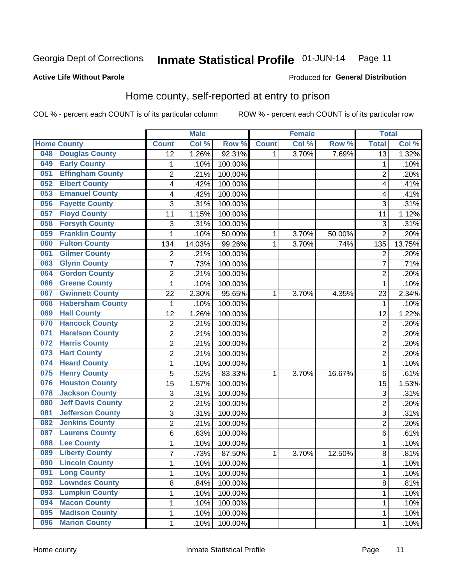#### Inmate Statistical Profile 01-JUN-14 Page 11

#### **Active Life Without Parole**

#### Produced for General Distribution

## Home county, self-reported at entry to prison

COL % - percent each COUNT is of its particular column

|     |                          |                         | <b>Male</b> |         |              | <b>Female</b> |        | <b>Total</b>    |                    |
|-----|--------------------------|-------------------------|-------------|---------|--------------|---------------|--------|-----------------|--------------------|
|     | <b>Home County</b>       | <b>Count</b>            | Col %       | Row %   | <b>Count</b> | Col %         | Row %  | <b>Total</b>    | Col %              |
| 048 | <b>Douglas County</b>    | 12                      | 1.26%       | 92.31%  | 1            | 3.70%         | 7.69%  | $\overline{13}$ | 1.32%              |
| 049 | <b>Early County</b>      | $\mathbf 1$             | .10%        | 100.00% |              |               |        | 1               | .10%               |
| 051 | <b>Effingham County</b>  | $\overline{2}$          | .21%        | 100.00% |              |               |        | $\overline{2}$  | .20%               |
| 052 | <b>Elbert County</b>     | 4                       | .42%        | 100.00% |              |               |        | 4               | .41%               |
| 053 | <b>Emanuel County</b>    | $\overline{\mathbf{4}}$ | .42%        | 100.00% |              |               |        | 4               | .41%               |
| 056 | <b>Fayette County</b>    | 3                       | .31%        | 100.00% |              |               |        | 3               | .31%               |
| 057 | <b>Floyd County</b>      | 11                      | 1.15%       | 100.00% |              |               |        | 11              | 1.12%              |
| 058 | <b>Forsyth County</b>    | 3                       | .31%        | 100.00% |              |               |        | 3               | .31%               |
| 059 | <b>Franklin County</b>   | 1                       | .10%        | 50.00%  | 1            | 3.70%         | 50.00% | $\overline{2}$  | .20%               |
| 060 | <b>Fulton County</b>     | 134                     | 14.03%      | 99.26%  | 1            | 3.70%         | .74%   | 135             | 13.75%             |
| 061 | <b>Gilmer County</b>     | $\mathbf 2$             | .21%        | 100.00% |              |               |        | $\overline{2}$  | .20%               |
| 063 | <b>Glynn County</b>      | 7                       | .73%        | 100.00% |              |               |        | 7               | .71%               |
| 064 | <b>Gordon County</b>     | $\overline{2}$          | .21%        | 100.00% |              |               |        | $\overline{2}$  | .20%               |
| 066 | <b>Greene County</b>     | $\mathbf 1$             | .10%        | 100.00% |              |               |        | 1               | .10%               |
| 067 | <b>Gwinnett County</b>   | 22                      | 2.30%       | 95.65%  | 1            | 3.70%         | 4.35%  | 23              | 2.34%              |
| 068 | <b>Habersham County</b>  | 1                       | .10%        | 100.00% |              |               |        | 1               | .10%               |
| 069 | <b>Hall County</b>       | 12                      | 1.26%       | 100.00% |              |               |        | 12              | 1.22%              |
| 070 | <b>Hancock County</b>    | $\overline{c}$          | .21%        | 100.00% |              |               |        | $\overline{2}$  | .20%               |
| 071 | <b>Haralson County</b>   | $\overline{2}$          | .21%        | 100.00% |              |               |        | $\overline{2}$  | .20%               |
| 072 | <b>Harris County</b>     | $\overline{2}$          | .21%        | 100.00% |              |               |        | $\overline{2}$  | .20%               |
| 073 | <b>Hart County</b>       | $\overline{c}$          | .21%        | 100.00% |              |               |        | $\overline{c}$  | .20%               |
| 074 | <b>Heard County</b>      | $\mathbf 1$             | .10%        | 100.00% |              |               |        | 1               | .10%               |
| 075 | <b>Henry County</b>      | 5                       | .52%        | 83.33%  | 1            | 3.70%         | 16.67% | $\,6$           | .61%               |
| 076 | <b>Houston County</b>    | 15                      | 1.57%       | 100.00% |              |               |        | 15              | 1.53%              |
| 078 | <b>Jackson County</b>    | 3                       | .31%        | 100.00% |              |               |        | 3               | $\overline{.31}\%$ |
| 080 | <b>Jeff Davis County</b> | $\overline{2}$          | .21%        | 100.00% |              |               |        | $\overline{2}$  | .20%               |
| 081 | <b>Jefferson County</b>  | 3                       | .31%        | 100.00% |              |               |        | $\overline{3}$  | .31%               |
| 082 | <b>Jenkins County</b>    | $\overline{2}$          | .21%        | 100.00% |              |               |        | $\overline{2}$  | .20%               |
| 087 | <b>Laurens County</b>    | 6                       | .63%        | 100.00% |              |               |        | 6               | .61%               |
| 088 | <b>Lee County</b>        | $\mathbf 1$             | .10%        | 100.00% |              |               |        | 1               | .10%               |
| 089 | <b>Liberty County</b>    | $\overline{7}$          | .73%        | 87.50%  | 1            | 3.70%         | 12.50% | 8               | .81%               |
| 090 | <b>Lincoln County</b>    | 1                       | .10%        | 100.00% |              |               |        | 1               | .10%               |
| 091 | <b>Long County</b>       | 1                       | .10%        | 100.00% |              |               |        | 1               | .10%               |
| 092 | <b>Lowndes County</b>    | 8                       | .84%        | 100.00% |              |               |        | 8               | .81%               |
| 093 | <b>Lumpkin County</b>    | 1                       | .10%        | 100.00% |              |               |        | 1               | .10%               |
| 094 | <b>Macon County</b>      | 1                       | .10%        | 100.00% |              |               |        | 1               | .10%               |
| 095 | <b>Madison County</b>    | $\mathbf 1$             | .10%        | 100.00% |              |               |        | 1               | .10%               |
| 096 | <b>Marion County</b>     | $\mathbf 1$             | .10%        | 100.00% |              |               |        | 1               | .10%               |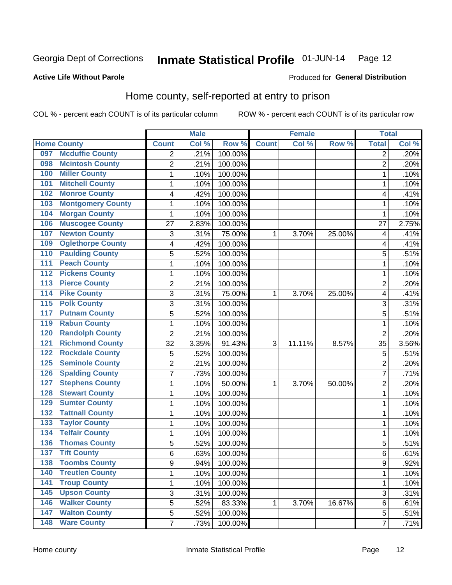#### Inmate Statistical Profile 01-JUN-14 Page 12

#### **Active Life Without Parole**

#### Produced for General Distribution

#### Home county, self-reported at entry to prison

COL % - percent each COUNT is of its particular column

|                  |                          |                          | <b>Male</b> |         |              | <b>Female</b> |        | <b>Total</b>   |       |
|------------------|--------------------------|--------------------------|-------------|---------|--------------|---------------|--------|----------------|-------|
|                  | <b>Home County</b>       | <b>Count</b>             | Col %       | Row %   | <b>Count</b> | Col %         | Row %  | <b>Total</b>   | Col % |
| 097              | <b>Mcduffie County</b>   | $\overline{2}$           | .21%        | 100.00% |              |               |        | 2              | .20%  |
| 098              | <b>Mcintosh County</b>   | $\overline{2}$           | .21%        | 100.00% |              |               |        | $\overline{2}$ | .20%  |
| 100              | <b>Miller County</b>     | 1                        | .10%        | 100.00% |              |               |        | 1              | .10%  |
| 101              | <b>Mitchell County</b>   | 1                        | .10%        | 100.00% |              |               |        | 1              | .10%  |
| 102              | <b>Monroe County</b>     | $\overline{\mathcal{A}}$ | .42%        | 100.00% |              |               |        | 4              | .41%  |
| 103              | <b>Montgomery County</b> | 1                        | .10%        | 100.00% |              |               |        | 1              | .10%  |
| 104              | <b>Morgan County</b>     | 1                        | .10%        | 100.00% |              |               |        | 1              | .10%  |
| 106              | <b>Muscogee County</b>   | 27                       | 2.83%       | 100.00% |              |               |        | 27             | 2.75% |
| 107              | <b>Newton County</b>     | 3                        | .31%        | 75.00%  | 1            | 3.70%         | 25.00% | 4              | .41%  |
| 109              | <b>Oglethorpe County</b> | $\overline{\mathcal{A}}$ | .42%        | 100.00% |              |               |        | 4              | .41%  |
| 110              | <b>Paulding County</b>   | 5                        | .52%        | 100.00% |              |               |        | 5              | .51%  |
| 111              | <b>Peach County</b>      | 1                        | .10%        | 100.00% |              |               |        | 1              | .10%  |
| 112              | <b>Pickens County</b>    | 1                        | .10%        | 100.00% |              |               |        | 1              | .10%  |
| $\overline{113}$ | <b>Pierce County</b>     | $\overline{2}$           | .21%        | 100.00% |              |               |        | $\overline{2}$ | .20%  |
| 114              | <b>Pike County</b>       | 3                        | .31%        | 75.00%  | 1            | 3.70%         | 25.00% | 4              | .41%  |
| $\overline{115}$ | <b>Polk County</b>       | 3                        | .31%        | 100.00% |              |               |        | 3              | .31%  |
| 117              | <b>Putnam County</b>     | 5                        | .52%        | 100.00% |              |               |        | 5              | .51%  |
| 119              | <b>Rabun County</b>      | 1                        | .10%        | 100.00% |              |               |        | 1              | .10%  |
| 120              | <b>Randolph County</b>   | $\overline{2}$           | .21%        | 100.00% |              |               |        | $\overline{2}$ | .20%  |
| 121              | <b>Richmond County</b>   | 32                       | 3.35%       | 91.43%  | 3            | 11.11%        | 8.57%  | 35             | 3.56% |
| 122              | <b>Rockdale County</b>   | 5                        | .52%        | 100.00% |              |               |        | 5              | .51%  |
| 125              | <b>Seminole County</b>   | $\overline{2}$           | .21%        | 100.00% |              |               |        | $\overline{2}$ | .20%  |
| 126              | <b>Spalding County</b>   | $\overline{7}$           | .73%        | 100.00% |              |               |        | $\overline{7}$ | .71%  |
| 127              | <b>Stephens County</b>   | 1                        | .10%        | 50.00%  | 1            | 3.70%         | 50.00% | $\overline{2}$ | .20%  |
| 128              | <b>Stewart County</b>    | 1                        | .10%        | 100.00% |              |               |        | 1              | .10%  |
| 129              | <b>Sumter County</b>     | 1                        | .10%        | 100.00% |              |               |        | 1              | .10%  |
| 132              | <b>Tattnall County</b>   | 1                        | .10%        | 100.00% |              |               |        | 1              | .10%  |
| 133              | <b>Taylor County</b>     | $\mathbf{1}$             | .10%        | 100.00% |              |               |        | 1              | .10%  |
| 134              | <b>Telfair County</b>    | 1                        | .10%        | 100.00% |              |               |        | 1              | .10%  |
| 136              | <b>Thomas County</b>     | 5                        | .52%        | 100.00% |              |               |        | 5              | .51%  |
| 137              | <b>Tift County</b>       | 6                        | .63%        | 100.00% |              |               |        | 6              | .61%  |
| 138              | <b>Toombs County</b>     | 9                        | .94%        | 100.00% |              |               |        | 9              | .92%  |
| 140              | <b>Treutlen County</b>   | $\mathbf{1}$             | .10%        | 100.00% |              |               |        | 1              | .10%  |
| $\overline{141}$ | <b>Troup County</b>      | $\mathbf 1$              | .10%        | 100.00% |              |               |        | 1              | .10%  |
| 145              | <b>Upson County</b>      | $\sqrt{3}$               | .31%        | 100.00% |              |               |        | 3              | .31%  |
| 146              | <b>Walker County</b>     | 5                        | .52%        | 83.33%  | 1            | 3.70%         | 16.67% | 6              | .61%  |
| 147              | <b>Walton County</b>     | 5                        | .52%        | 100.00% |              |               |        | 5              | .51%  |
| 148              | <b>Ware County</b>       | $\overline{7}$           | .73%        | 100.00% |              |               |        | 7              | .71%  |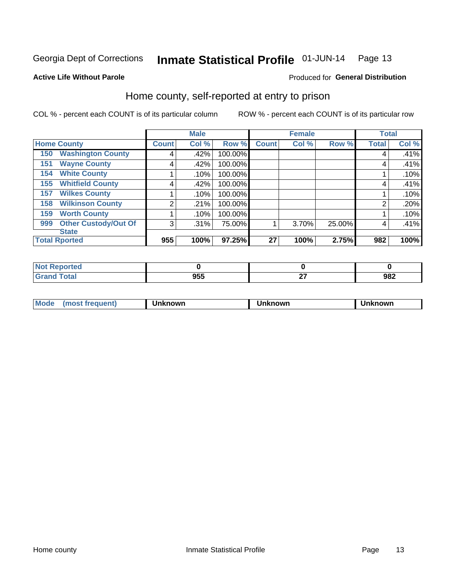#### Inmate Statistical Profile 01-JUN-14 Page 13

#### **Active Life Without Parole**

#### Produced for General Distribution

## Home county, self-reported at entry to prison

COL % - percent each COUNT is of its particular column

|                    |                             |               | <b>Male</b> |         |              | <b>Female</b> |        | <b>Total</b> |       |
|--------------------|-----------------------------|---------------|-------------|---------|--------------|---------------|--------|--------------|-------|
| <b>Home County</b> |                             | <b>Count!</b> | Col %       | Row %   | <b>Count</b> | Col %         | Row %  | <b>Total</b> | Col % |
| 150                | <b>Washington County</b>    | 4             | .42%        | 100.00% |              |               |        | 4            | .41%  |
| 151                | <b>Wayne County</b>         | 4             | .42%        | 100.00% |              |               |        | 4            | .41%  |
| 154                | <b>White County</b>         |               | .10%        | 100.00% |              |               |        |              | .10%  |
| 155                | <b>Whitfield County</b>     | 4             | .42%        | 100.00% |              |               |        | 4            | .41%  |
| 157                | <b>Wilkes County</b>        |               | .10%        | 100.00% |              |               |        |              | .10%  |
| 158                | <b>Wilkinson County</b>     | 2             | .21%        | 100.00% |              |               |        | 2            | .20%  |
| 159                | <b>Worth County</b>         |               | .10%        | 100.00% |              |               |        |              | .10%  |
| 999                | <b>Other Custody/Out Of</b> | 3             | .31%        | 75.00%  |              | 3.70%         | 25.00% | 4            | .41%  |
|                    | <b>State</b>                |               |             |         |              |               |        |              |       |
|                    | <b>Total Rported</b>        | 955           | 100%        | 97.25%  | 27           | 100%          | 2.75%  | 982          | 100%  |

| portea |                   |          |                    |
|--------|-------------------|----------|--------------------|
|        | <b>OEE</b><br>ນວວ | ~-<br>-- | 002<br>JUŁ<br>$ -$ |

| Moa <sub>c</sub> | . | ,,,,,<br>'NWL | owr | lowr |
|------------------|---|---------------|-----|------|
|                  |   |               |     |      |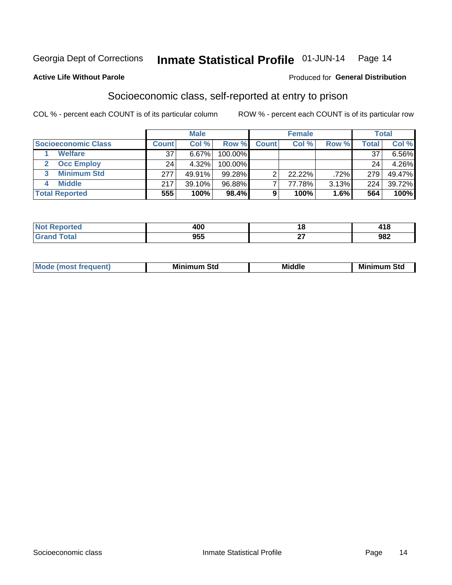#### Inmate Statistical Profile 01-JUN-14 Page 14

#### **Active Life Without Parole**

#### **Produced for General Distribution**

## Socioeconomic class, self-reported at entry to prison

COL % - percent each COUNT is of its particular column

|                       |              | <b>Male</b> |            |              | <b>Female</b> |       |       | <b>Total</b> |
|-----------------------|--------------|-------------|------------|--------------|---------------|-------|-------|--------------|
| Socioeconomic Class   | <b>Count</b> | Col %       | Row %      | <b>Count</b> | Col %         | Row % | Total | Col %        |
| <b>Welfare</b>        | 37           | 6.67%       | 100.00%    |              |               |       | 37    | $6.56\%$     |
| <b>Occ Employ</b>     | 24           | 4.32%       | $100.00\%$ |              |               |       | 24    | 4.26%        |
| <b>Minimum Std</b>    | 277          | 49.91%      | 99.28%     |              | $22.22\%$     | .72%  | 279   | 49.47%       |
| <b>Middle</b>         | 217          | 39.10%      | 96.88%     |              | 77.78%        | 3.13% | 224   | 39.72%       |
| <b>Total Reported</b> | 555          | 100%        | 98.4%      |              | 100%          | 1.6%  | 564   | 100%         |

| .<br>NOI<br>τeα<br>$\sim$ | uvr                |          | 710 |
|---------------------------|--------------------|----------|-----|
|                           | <b>ORR</b><br>຺ຩຉຉ | ~-<br>-- | 982 |

| <b>Middle</b><br>Mir<br><b>Minimum</b><br>Std<br>าum Std |
|----------------------------------------------------------|
|----------------------------------------------------------|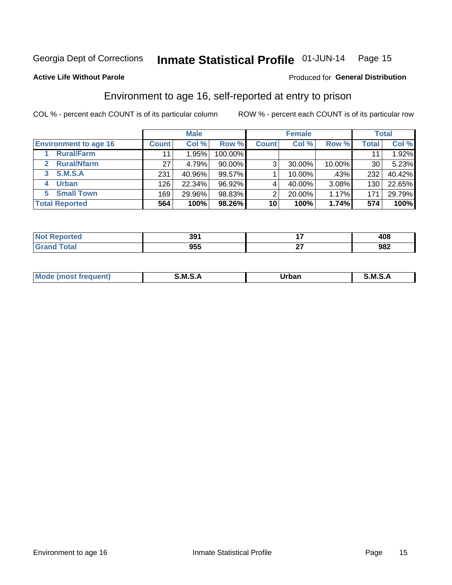## Inmate Statistical Profile 01-JUN-14 Page 15

#### **Active Life Without Parole**

#### Produced for General Distribution

## Environment to age 16, self-reported at entry to prison

COL % - percent each COUNT is of its particular column

|                                    |              | <b>Male</b> |           |              | <b>Female</b> |        |              | <b>Total</b> |
|------------------------------------|--------------|-------------|-----------|--------------|---------------|--------|--------------|--------------|
| <b>Environment to age 16</b>       | <b>Count</b> | Col %       | Row %     | <b>Count</b> | Col %         | Row %  | <b>Total</b> | Col %        |
| <b>Rural/Farm</b>                  | 11           | .95%        | 100.00%   |              |               |        |              | 1.92%        |
| <b>Rural/Nfarm</b><br>$\mathbf{2}$ | 27           | 4.79%       | 90.00%    | 3            | 30.00%        | 10.00% | 30           | 5.23%        |
| 3 S.M.S.A                          | 231          | 40.96%      | 99.57%    |              | 10.00%        | .43%   | 232          | 40.42%       |
| <b>Urban</b><br>4                  | 126          | 22.34%      | $96.92\%$ |              | 40.00%        | 3.08%  | 130          | 22.65%       |
| 5 Small Town                       | 169          | 29.96%      | 98.83%    | っ            | 20.00%        | 1.17%  | 171          | 29.79%       |
| <b>Total Reported</b>              | 564          | 100%        | 98.26%    | 10           | 100%          | 1.74%  | 574          | 100%         |

| rted | ີ ດ 4              | . .      | ៱៱៰ |
|------|--------------------|----------|-----|
|      | . .                | . .      | טטו |
|      | <b>OEE</b><br>ັນລວ | ~-<br>-- | 982 |

| Mo | M | urhar . | M      |
|----|---|---------|--------|
|    |   | _____   | ______ |
|    |   |         |        |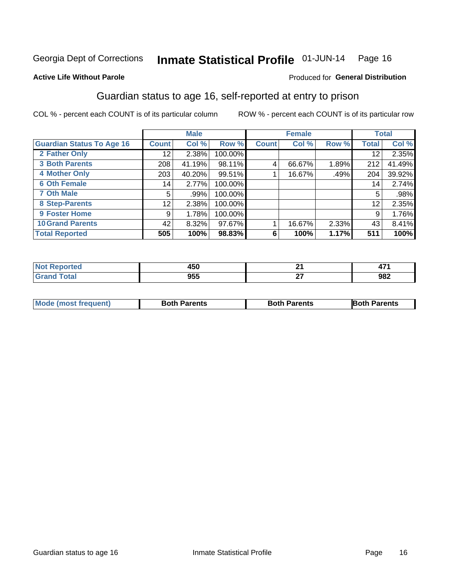## Inmate Statistical Profile 01-JUN-14 Page 16

#### **Active Life Without Parole**

#### **Produced for General Distribution**

## Guardian status to age 16, self-reported at entry to prison

COL % - percent each COUNT is of its particular column

|                                  |              | <b>Male</b> |           |              | <b>Female</b> |       |       | <b>Total</b> |
|----------------------------------|--------------|-------------|-----------|--------------|---------------|-------|-------|--------------|
| <b>Guardian Status To Age 16</b> | <b>Count</b> | Col %       | Row %     | <b>Count</b> | Col %         | Row % | Total | Col %        |
| 2 Father Only                    | 12           | 2.38%       | 100.00%   |              |               |       | 12    | 2.35%        |
| <b>3 Both Parents</b>            | 208          | 41.19%      | 98.11%    | 4            | 66.67%        | 1.89% | 212   | 41.49%       |
| <b>4 Mother Only</b>             | 203          | 40.20%      | $99.51\%$ |              | 16.67%        | .49%  | 204   | 39.92%       |
| <b>6 Oth Female</b>              | 14           | $2.77\%$    | 100.00%   |              |               |       | 14    | 2.74%        |
| <b>7 Oth Male</b>                | 5            | .99%        | 100.00%   |              |               |       | 5     | .98%         |
| 8 Step-Parents                   | 12           | 2.38%       | 100.00%   |              |               |       | 12    | 2.35%        |
| <b>9 Foster Home</b>             | 9            | 1.78%       | 100.00%   |              |               |       | 9     | 1.76%        |
| <b>10 Grand Parents</b>          | 42           | 8.32%       | 97.67%    |              | 16.67%        | 2.33% | 43    | 8.41%        |
| <b>Total Reported</b>            | 505          | 100%        | 98.83%    | 6            | 100%          | 1.17% | 511   | 100%         |

| ted | 450        | ົດ.<br>. . | $\overline{a}$<br>"<br>. |
|-----|------------|------------|--------------------------|
|     | arr<br>JJJ | ~-<br>--   | 982                      |

| <b>Mode (most frequent)</b> | <b>Both Parents</b> | <b>Both Parents</b> | <b>Both Parents</b> |
|-----------------------------|---------------------|---------------------|---------------------|
|                             |                     |                     |                     |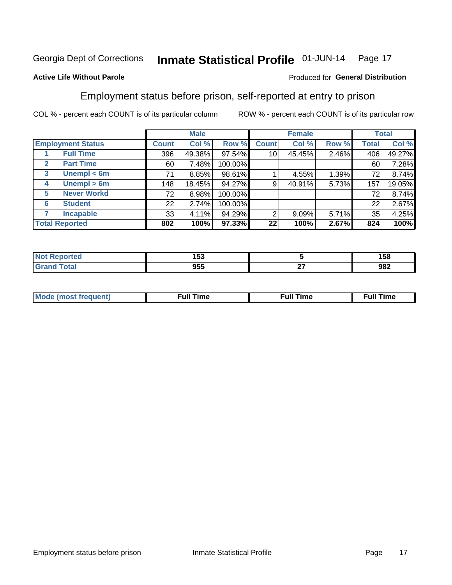#### Inmate Statistical Profile 01-JUN-14 Page 17

#### **Active Life Without Parole**

#### Produced for General Distribution

## Employment status before prison, self-reported at entry to prison

COL % - percent each COUNT is of its particular column

|                                  |              | <b>Male</b> |         |              | <b>Female</b> |       |       | <b>Total</b> |
|----------------------------------|--------------|-------------|---------|--------------|---------------|-------|-------|--------------|
| <b>Employment Status</b>         | <b>Count</b> | Col %       | Row %   | <b>Count</b> | Col %         | Row % | Total | Col %        |
| <b>Full Time</b>                 | 396          | 49.38%      | 97.54%  | 10           | 45.45%        | 2.46% | 406   | 49.27%       |
| <b>Part Time</b><br>$\mathbf{2}$ | 60           | 7.48%       | 100.00% |              |               |       | 60    | 7.28%        |
| Unempl $<$ 6m<br>3               | 71           | 8.85%       | 98.61%  |              | 4.55%         | 1.39% | 72    | 8.74%        |
| Unempl $> 6m$<br>4               | 148          | 18.45%      | 94.27%  | 9            | 40.91%        | 5.73% | 157   | 19.05%       |
| <b>Never Workd</b><br>5          | 72           | 8.98%       | 100.00% |              |               |       | 72    | 8.74%        |
| <b>Student</b><br>6              | 22           | 2.74%       | 100.00% |              |               |       | 22    | 2.67%        |
| <b>Incapable</b>                 | 33           | 4.11%       | 94.29%  | 2            | $9.09\%$      | 5.71% | 35    | 4.25%        |
| <b>Total Reported</b>            | 802          | 100%        | 97.33%  | 22           | 100%          | 2.67% | 824   | 100%         |

| тес. | --<br>. Ju<br>__ |         | 158 |
|------|------------------|---------|-----|
|      | ne E<br>ນວວ      | ~-<br>- | 982 |

| Mc | ∙u∥<br>----<br>ıme | ίuΙ<br>Πmε |
|----|--------------------|------------|
|    |                    |            |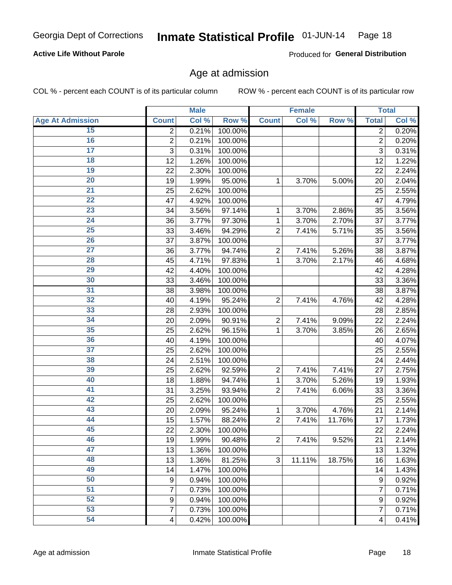#### Inmate Statistical Profile 01-JUN-14 Page 18

#### **Active Life Without Parole**

Produced for General Distribution

### Age at admission

COL % - percent each COUNT is of its particular column

|                         |                | <b>Male</b> |         |                | <b>Female</b> |        |                  | <b>Total</b> |
|-------------------------|----------------|-------------|---------|----------------|---------------|--------|------------------|--------------|
| <b>Age At Admission</b> | <b>Count</b>   | Col %       | Row %   | <b>Count</b>   | Col %         | Row %  | <b>Total</b>     | Col %        |
| 15                      | $\overline{2}$ | 0.21%       | 100.00% |                |               |        | $\overline{2}$   | 0.20%        |
| 16                      | $\overline{2}$ | 0.21%       | 100.00% |                |               |        | $\overline{2}$   | 0.20%        |
| $\overline{17}$         | 3              | 0.31%       | 100.00% |                |               |        | 3                | 0.31%        |
| 18                      | 12             | 1.26%       | 100.00% |                |               |        | 12               | 1.22%        |
| 19                      | 22             | 2.30%       | 100.00% |                |               |        | 22               | 2.24%        |
| $\overline{20}$         | 19             | 1.99%       | 95.00%  | 1              | 3.70%         | 5.00%  | 20               | 2.04%        |
| $\overline{21}$         | 25             | 2.62%       | 100.00% |                |               |        | 25               | 2.55%        |
| 22                      | 47             | 4.92%       | 100.00% |                |               |        | 47               | 4.79%        |
| $\overline{23}$         | 34             | 3.56%       | 97.14%  | 1              | 3.70%         | 2.86%  | 35               | 3.56%        |
| $\overline{24}$         | 36             | 3.77%       | 97.30%  | 1              | 3.70%         | 2.70%  | 37               | 3.77%        |
| $\overline{25}$         | 33             | 3.46%       | 94.29%  | $\overline{2}$ | 7.41%         | 5.71%  | 35               | 3.56%        |
| 26                      | 37             | 3.87%       | 100.00% |                |               |        | 37               | 3.77%        |
| $\overline{27}$         | 36             | 3.77%       | 94.74%  | $\overline{2}$ | 7.41%         | 5.26%  | 38               | 3.87%        |
| 28                      | 45             | 4.71%       | 97.83%  | 1              | 3.70%         | 2.17%  | 46               | 4.68%        |
| 29                      | 42             | 4.40%       | 100.00% |                |               |        | 42               | 4.28%        |
| 30                      | 33             | 3.46%       | 100.00% |                |               |        | 33               | 3.36%        |
| 31                      | 38             | 3.98%       | 100.00% |                |               |        | 38               | 3.87%        |
| 32                      | 40             | 4.19%       | 95.24%  | $\overline{2}$ | 7.41%         | 4.76%  | 42               | 4.28%        |
| 33                      | 28             | 2.93%       | 100.00% |                |               |        | 28               | 2.85%        |
| 34                      | 20             | 2.09%       | 90.91%  | $\overline{2}$ | 7.41%         | 9.09%  | 22               | 2.24%        |
| 35                      | 25             | 2.62%       | 96.15%  | 1              | 3.70%         | 3.85%  | 26               | 2.65%        |
| 36                      | 40             | 4.19%       | 100.00% |                |               |        | 40               | 4.07%        |
| $\overline{37}$         | 25             | 2.62%       | 100.00% |                |               |        | 25               | 2.55%        |
| 38                      | 24             | 2.51%       | 100.00% |                |               |        | 24               | 2.44%        |
| 39                      | 25             | 2.62%       | 92.59%  | $\overline{2}$ | 7.41%         | 7.41%  | 27               | 2.75%        |
| 40                      | 18             | 1.88%       | 94.74%  | 1              | 3.70%         | 5.26%  | 19               | 1.93%        |
| 41                      | 31             | 3.25%       | 93.94%  | $\overline{2}$ | 7.41%         | 6.06%  | 33               | 3.36%        |
| 42                      | 25             | 2.62%       | 100.00% |                |               |        | 25               | 2.55%        |
| 43                      | 20             | 2.09%       | 95.24%  | 1              | 3.70%         | 4.76%  | 21               | 2.14%        |
| 44                      | 15             | 1.57%       | 88.24%  | $\overline{2}$ | 7.41%         | 11.76% | 17               | 1.73%        |
| 45                      | 22             | 2.30%       | 100.00% |                |               |        | 22               | 2.24%        |
| 46                      | 19             | 1.99%       | 90.48%  | $\overline{c}$ | 7.41%         | 9.52%  | 21               | 2.14%        |
| 47                      | 13             | 1.36%       | 100.00% |                |               |        | 13               | 1.32%        |
| 48                      | 13             | 1.36%       | 81.25%  | 3              | 11.11%        | 18.75% | 16               | 1.63%        |
| 49                      | 14             | 1.47%       | 100.00% |                |               |        | 14               | 1.43%        |
| 50                      | 9              | 0.94%       | 100.00% |                |               |        | 9                | 0.92%        |
| 51                      | $\overline{7}$ | 0.73%       | 100.00% |                |               |        | 7                | 0.71%        |
| 52                      | 9              | 0.94%       | 100.00% |                |               |        | $\boldsymbol{9}$ | 0.92%        |
| 53                      | 7              | 0.73%       | 100.00% |                |               |        | $\overline{7}$   | 0.71%        |
| 54                      | 4              | 0.42%       | 100.00% |                |               |        | 4                | 0.41%        |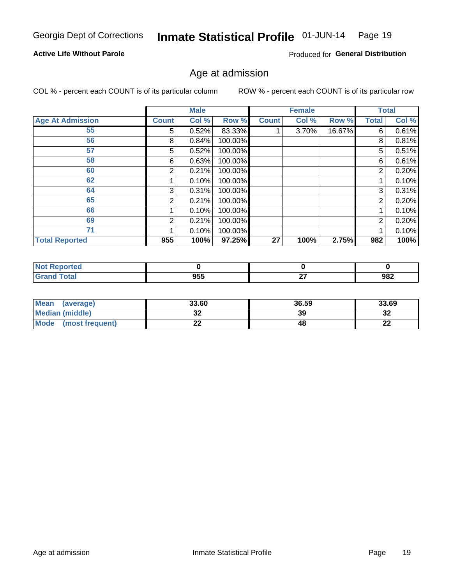#### Inmate Statistical Profile 01-JUN-14 Page 19

#### **Active Life Without Parole**

Produced for General Distribution

### Age at admission

COL % - percent each COUNT is of its particular column

|                         |              | <b>Male</b> |         |              | <b>Female</b> |        |                | <b>Total</b> |
|-------------------------|--------------|-------------|---------|--------------|---------------|--------|----------------|--------------|
| <b>Age At Admission</b> | <b>Count</b> | Col %       | Row %   | <b>Count</b> | Col %         | Row %  | Total          | Col %        |
| 55                      | 5.           | 0.52%       | 83.33%  |              | 3.70%         | 16.67% | 6              | 0.61%        |
| 56                      | 8            | 0.84%       | 100.00% |              |               |        | 8              | 0.81%        |
| 57                      | 5            | 0.52%       | 100.00% |              |               |        | 5              | 0.51%        |
| 58                      | 6            | 0.63%       | 100.00% |              |               |        | 6              | 0.61%        |
| 60                      | 2            | 0.21%       | 100.00% |              |               |        | 2              | 0.20%        |
| 62                      |              | 0.10%       | 100.00% |              |               |        |                | 0.10%        |
| 64                      | 3            | 0.31%       | 100.00% |              |               |        | 3              | 0.31%        |
| 65                      | 2            | 0.21%       | 100.00% |              |               |        | $\overline{2}$ | 0.20%        |
| 66                      |              | 0.10%       | 100.00% |              |               |        |                | 0.10%        |
| 69                      | 2            | 0.21%       | 100.00% |              |               |        | 2              | 0.20%        |
| 71                      |              | 0.10%       | 100.00% |              |               |        |                | 0.10%        |
| <b>Total Reported</b>   | 955          | 100%        | 97.25%  | 27           | 100%          | 2.75%  | 982            | 100%         |

| enorted |     |          |     |
|---------|-----|----------|-----|
|         | 955 | ~-<br>-- | 982 |

| Mean<br>(average)              | 33.60                 | 36.59 | 33.69    |
|--------------------------------|-----------------------|-------|----------|
| Median (middle)                | u                     | 39    | ົາ<br>∠ت |
| <b>Mode</b><br>(most frequent) | $\sim$<br><u>. . </u> | 48    | n.<br>44 |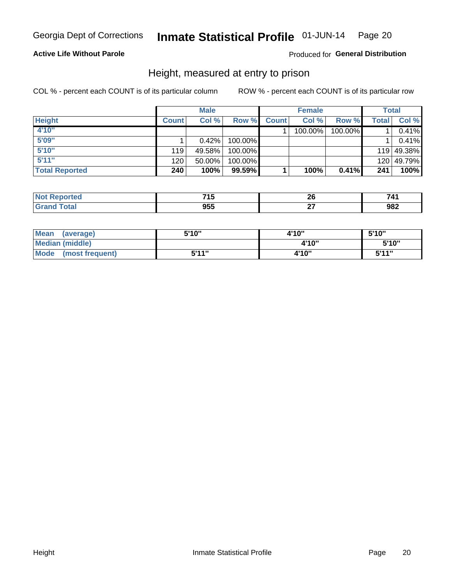#### Inmate Statistical Profile 01-JUN-14 Page 20

#### **Active Life Without Parole**

#### Produced for General Distribution

### Height, measured at entry to prison

COL % - percent each COUNT is of its particular column

|                       |              | <b>Male</b> |         |              | <b>Female</b> |         |       | Total      |
|-----------------------|--------------|-------------|---------|--------------|---------------|---------|-------|------------|
| <b>Height</b>         | <b>Count</b> | Col %       | Row %   | <b>Count</b> | Col %         | Row %   | Total | Col %      |
| 4'10"                 |              |             |         |              | 100.00%       | 100.00% |       | 0.41%      |
| 5'09"                 |              | $0.42\%$    | 100.00% |              |               |         |       | 0.41%      |
| 5'10''                | 119          | 49.58%      | 100.00% |              |               |         |       | 119 49.38% |
| 5'11''                | 120          | $50.00\%$   | 100.00% |              |               |         |       | 120 49.79% |
| <b>Total Reported</b> | 240          | 100%        | 99.59%  |              | 100%          | 0.41%   | 241   | 100%       |

| <b>Not</b><br><b>rted</b><br>1900) | 74E<br>טו ו       | n,<br>$\sim$ | - 4 |
|------------------------------------|-------------------|--------------|-----|
| <b>Total</b><br>' Grano            | <b>OEE</b><br>ນວວ | --           | 982 |

| <b>Mean</b><br>(average)       | 5'10" | 4'10" | 5'10"        |
|--------------------------------|-------|-------|--------------|
| Median (middle)                |       | 4'10" | 5'10''       |
| <b>Mode</b><br>(most frequent) | 5'11" | 4'10" | <b>5'44"</b> |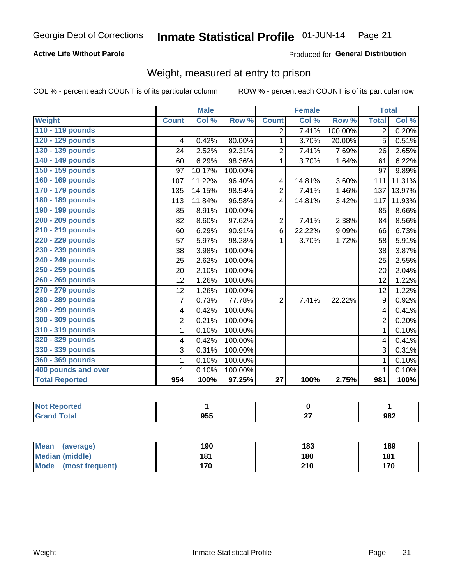#### Inmate Statistical Profile 01-JUN-14 Page 21

#### **Active Life Without Parole**

#### Produced for General Distribution

## Weight, measured at entry to prison

COL % - percent each COUNT is of its particular column

|                       |                | <b>Male</b> |         |                 | <b>Female</b> |         | <b>Total</b>   |        |
|-----------------------|----------------|-------------|---------|-----------------|---------------|---------|----------------|--------|
| <b>Weight</b>         | <b>Count</b>   | Col %       | Row %   | <b>Count</b>    | Col %         | Row %   | <b>Total</b>   | Col %  |
| 110 - 119 pounds      |                |             |         | $\overline{2}$  | 7.41%         | 100.00% | $\overline{2}$ | 0.20%  |
| 120 - 129 pounds      | 4              | 0.42%       | 80.00%  | 1               | 3.70%         | 20.00%  | 5              | 0.51%  |
| 130 - 139 pounds      | 24             | 2.52%       | 92.31%  | $\overline{c}$  | 7.41%         | 7.69%   | 26             | 2.65%  |
| 140 - 149 pounds      | 60             | 6.29%       | 98.36%  | $\mathbf 1$     | 3.70%         | 1.64%   | 61             | 6.22%  |
| 150 - 159 pounds      | 97             | 10.17%      | 100.00% |                 |               |         | 97             | 9.89%  |
| 160 - 169 pounds      | 107            | 11.22%      | 96.40%  | 4               | 14.81%        | 3.60%   | 111            | 11.31% |
| 170 - 179 pounds      | 135            | 14.15%      | 98.54%  | $\overline{2}$  | 7.41%         | 1.46%   | 137            | 13.97% |
| 180 - 189 pounds      | 113            | 11.84%      | 96.58%  | $\overline{4}$  | 14.81%        | 3.42%   | 117            | 11.93% |
| 190 - 199 pounds      | 85             | 8.91%       | 100.00% |                 |               |         | 85             | 8.66%  |
| 200 - 209 pounds      | 82             | 8.60%       | 97.62%  | $\overline{2}$  | 7.41%         | 2.38%   | 84             | 8.56%  |
| 210 - 219 pounds      | 60             | 6.29%       | 90.91%  | 6               | 22.22%        | 9.09%   | 66             | 6.73%  |
| 220 - 229 pounds      | 57             | 5.97%       | 98.28%  | 1               | 3.70%         | 1.72%   | 58             | 5.91%  |
| 230 - 239 pounds      | 38             | 3.98%       | 100.00% |                 |               |         | 38             | 3.87%  |
| 240 - 249 pounds      | 25             | 2.62%       | 100.00% |                 |               |         | 25             | 2.55%  |
| 250 - 259 pounds      | 20             | 2.10%       | 100.00% |                 |               |         | 20             | 2.04%  |
| 260 - 269 pounds      | 12             | 1.26%       | 100.00% |                 |               |         | 12             | 1.22%  |
| 270 - 279 pounds      | 12             | 1.26%       | 100.00% |                 |               |         | 12             | 1.22%  |
| 280 - 289 pounds      | 7              | 0.73%       | 77.78%  | $\overline{2}$  | 7.41%         | 22.22%  | 9              | 0.92%  |
| 290 - 299 pounds      | 4              | 0.42%       | 100.00% |                 |               |         | 4              | 0.41%  |
| 300 - 309 pounds      | $\overline{2}$ | 0.21%       | 100.00% |                 |               |         | 2              | 0.20%  |
| 310 - 319 pounds      | $\mathbf{1}$   | 0.10%       | 100.00% |                 |               |         | 1              | 0.10%  |
| 320 - 329 pounds      | 4              | 0.42%       | 100.00% |                 |               |         | 4              | 0.41%  |
| 330 - 339 pounds      | 3              | 0.31%       | 100.00% |                 |               |         | 3              | 0.31%  |
| 360 - 369 pounds      | 1              | 0.10%       | 100.00% |                 |               |         |                | 0.10%  |
| 400 pounds and over   | 1              | 0.10%       | 100.00% |                 |               |         | 1              | 0.10%  |
| <b>Total Reported</b> | 954            | 100%        | 97.25%  | $\overline{27}$ | 100%          | 2.75%   | 981            | 100%   |

| ported<br><b>NOT</b><br>nei<br> |     |   |     |
|---------------------------------|-----|---|-----|
| <b>c</b> otal                   | 955 | . | 982 |

| <b>Mean</b><br>(average) | 190 | 183 | 189 |
|--------------------------|-----|-----|-----|
| <b>Median (middle)</b>   | 181 | 180 | 181 |
| Mode<br>(most frequent)  | 170 | 210 | 170 |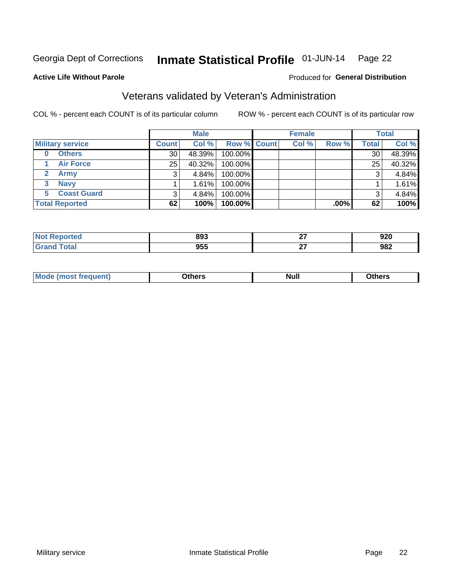#### Inmate Statistical Profile 01-JUN-14 Page 22

#### **Active Life Without Parole**

#### Produced for General Distribution

## Veterans validated by Veteran's Administration

COL % - percent each COUNT is of its particular column

|                         |                 | <b>Male</b> |                    | <b>Female</b> |         |              | <b>Total</b> |
|-------------------------|-----------------|-------------|--------------------|---------------|---------|--------------|--------------|
| <b>Military service</b> | <b>Count</b>    | Col %       | <b>Row % Count</b> | Col %         | Row %   | <b>Total</b> | Col %        |
| <b>Others</b><br>0      | 30              | 48.39%      | 100.00%            |               |         | 30           | 48.39%       |
| <b>Air Force</b>        | 25 <sub>1</sub> | 40.32%      | 100.00%            |               |         | 25           | 40.32%       |
| <b>Army</b>             |                 | $4.84\%$    | 100.00%            |               |         | 3            | 4.84%        |
| <b>Navy</b><br>3        |                 | 1.61%       | 100.00%            |               |         |              | 1.61%        |
| <b>Coast Guard</b><br>5 | 3               | 4.84%       | 100.00%            |               |         | 3            | 4.84%        |
| <b>Total Reported</b>   | 62              | 100%        | 100.00%            |               | $.00\%$ | 62           | 100%         |

| ported       | 893 | $\sim$<br>-- | 920 |
|--------------|-----|--------------|-----|
| <b>Total</b> | 955 | ~-<br>- -    | 982 |

| Mo<br><b>Null</b><br>วthers<br>_____<br>____<br>____ |
|------------------------------------------------------|
|------------------------------------------------------|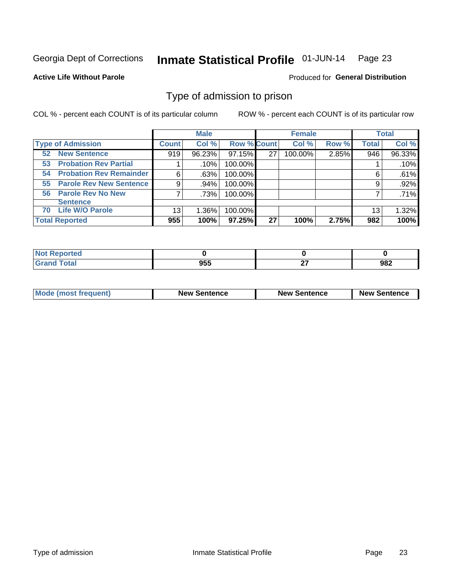#### Inmate Statistical Profile 01-JUN-14 Page 23

**Active Life Without Parole** 

**Produced for General Distribution** 

## Type of admission to prison

COL % - percent each COUNT is of its particular column

|                                      |              | <b>Male</b> |                    |    | <b>Female</b> |       |              | <b>Total</b> |
|--------------------------------------|--------------|-------------|--------------------|----|---------------|-------|--------------|--------------|
| <b>Type of Admission</b>             | <b>Count</b> | Col %       | <b>Row % Count</b> |    | Col %         | Row % | <b>Total</b> | Col %        |
| <b>New Sentence</b><br>52            | 919          | 96.23%      | 97.15%             | 27 | 100.00%       | 2.85% | 946          | 96.33%       |
| <b>Probation Rev Partial</b><br>53   |              | .10%        | 100.00%            |    |               |       |              | .10%         |
| <b>Probation Rev Remainder</b><br>54 | 6            | .63%        | 100.00%            |    |               |       | 6            | .61%         |
| <b>Parole Rev New Sentence</b><br>55 | 9            | .94%        | 100.00%            |    |               |       | 9            | .92%         |
| 56 Parole Rev No New                 | 7            | .73%        | 100.00%            |    |               |       |              | $.71\%$      |
| <b>Sentence</b>                      |              |             |                    |    |               |       |              |              |
| <b>Life W/O Parole</b><br>70         | 13           | 1.36%       | 100.00%            |    |               |       | 13           | 1.32%        |
| <b>Total Reported</b>                | 955          | 100%        | 97.25%             | 27 | 100%          | 2.75% | 982          | 100%         |

| Reported<br>N. |                   |               |     |
|----------------|-------------------|---------------|-----|
| <b>otal</b>    | <b>Q55</b><br>,,, | $\sim$<br>. . | 982 |

| <b>Mode (most frequent)</b> | <b>New Sentence</b> | <b>New Sentence</b> | <b>New Sentence</b> |
|-----------------------------|---------------------|---------------------|---------------------|
|                             |                     |                     |                     |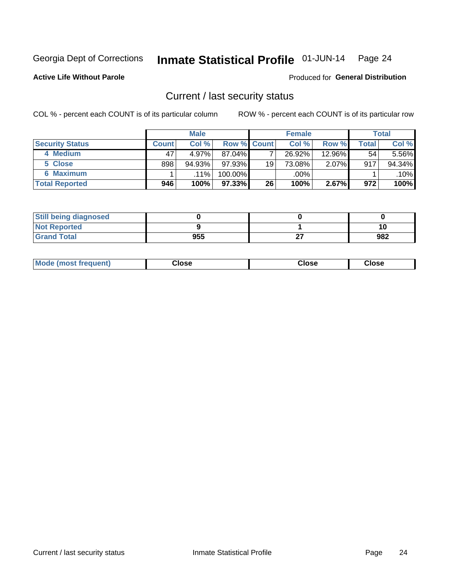#### Inmate Statistical Profile 01-JUN-14 Page 24

**Active Life Without Parole** 

Produced for General Distribution

### Current / last security status

COL % - percent each COUNT is of its particular column

|                        |                | <b>Male</b> |                    |    | <b>Female</b> |           |       | <b>Total</b> |
|------------------------|----------------|-------------|--------------------|----|---------------|-----------|-------|--------------|
| <b>Security Status</b> | <b>Count</b> l | Col %       | <b>Row % Count</b> |    | Col %         | Row %     | Total | Col %        |
| 4 Medium               | 47             | 4.97%       | $87.04\%$          |    | 26.92%        | $12.96\%$ | 54    | 5.56%        |
| 5 Close                | 898            | 94.93%      | 97.93%             | 19 | 73.08%        | 2.07%     | 917   | 94.34%       |
| 6 Maximum              |                | $.11\%$     | 100.00%            |    | .00%          |           |       | .10%         |
| <b>Total Reported</b>  | 946            | 100%        | 97.33% I           | 26 | 100%          | 2.67%     | 972   | 100%         |

| <b>Still being diagnosed</b> |     |    |     |
|------------------------------|-----|----|-----|
| <b>Not Reported</b>          |     |    |     |
| <b>Grand Total</b>           | 955 | ~- | 982 |

| <b>Mode (most frequent)</b> | Jlose | Close | Close |
|-----------------------------|-------|-------|-------|
|                             |       |       |       |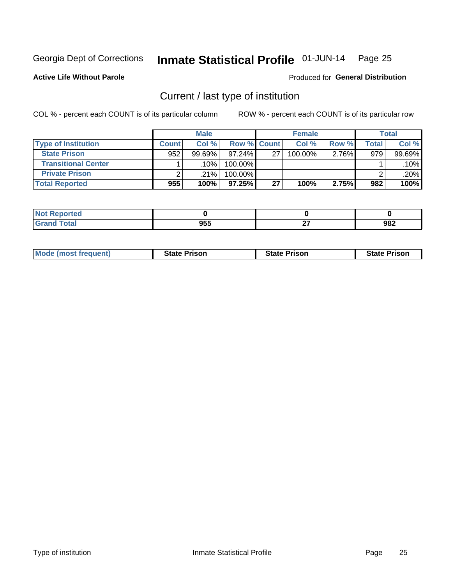#### Inmate Statistical Profile 01-JUN-14 Page 25

**Active Life Without Parole** 

#### Produced for General Distribution

## Current / last type of institution

COL % - percent each COUNT is of its particular column

|                            |              | <b>Male</b> |                    |    | <b>Female</b> |       |         | <b>Total</b> |
|----------------------------|--------------|-------------|--------------------|----|---------------|-------|---------|--------------|
| <b>Type of Institution</b> | <b>Count</b> | Col %       | <b>Row % Count</b> |    | Col %         | Row % | Total . | Col %        |
| <b>State Prison</b>        | 952          | $99.69\%$   | $97.24\%$          | 27 | 100.00%       | 2.76% | 979     | 99.69%       |
| <b>Transitional Center</b> |              | .10%        | 100.00%            |    |               |       |         | $.10\%$      |
| <b>Private Prison</b>      |              | .21%        | 100.00%            |    |               |       |         | $.20\%$      |
| <b>Total Reported</b>      | 955          | 100%        | $97.25\%$          | 27 | 100%          | 2.75% | 982     | 100%         |

| Reported<br>$\sim$ |     |   |     |
|--------------------|-----|---|-----|
| <b>otal</b>        | 955 | - | 982 |

| <b>Mode (most frequent)</b> | <b>State Prison</b> | <b>State Prison</b> | <b>State Prison</b> |
|-----------------------------|---------------------|---------------------|---------------------|
|                             |                     |                     |                     |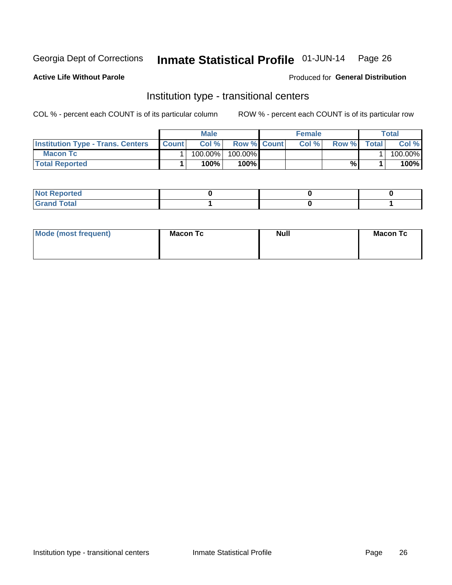#### Inmate Statistical Profile 01-JUN-14 Page 26

#### **Active Life Without Parole**

#### Produced for General Distribution

## Institution type - transitional centers

COL % - percent each COUNT is of its particular column

|                                          |              | <b>Male</b> |                    | <b>Female</b> |       |              | <b>Total</b> |
|------------------------------------------|--------------|-------------|--------------------|---------------|-------|--------------|--------------|
| <b>Institution Type - Trans. Centers</b> | <b>Count</b> | Col%        | <b>Row % Count</b> | Col%          | Row % | <b>Total</b> | Col %        |
| <b>Macon Tc</b>                          |              | 100.00%     | $100.00\%$         |               |       |              | 100.00%      |
| <b>Total Reported</b>                    |              | $100\%$     | $100\%$            |               | %     |              | 100%         |

| <b>Not Reported</b>    |  |  |
|------------------------|--|--|
| <b>Total</b><br>re e d |  |  |

| Mode (most frequent) | <b>Macon Tc</b> | <b>Null</b> | <b>Macon Tc</b> |
|----------------------|-----------------|-------------|-----------------|
|                      |                 |             |                 |
|                      |                 |             |                 |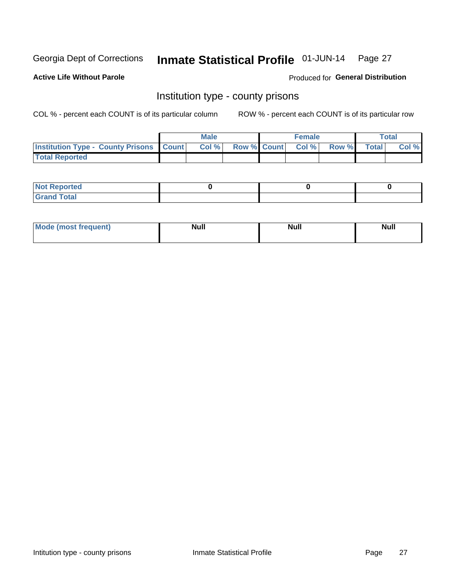#### Inmate Statistical Profile 01-JUN-14 Page 27

**Active Life Without Parole** 

Produced for General Distribution

### Institution type - county prisons

COL % - percent each COUNT is of its particular column

|                                                    | <b>Male</b> |       |  | <b>Female</b> |                          |             | Total |       |
|----------------------------------------------------|-------------|-------|--|---------------|--------------------------|-------------|-------|-------|
| <b>Institution Type - County Prisons   Count  </b> |             | Col % |  |               | <b>Row % Count Col %</b> | Row % Total |       | Col % |
| <b>Total Reported</b>                              |             |       |  |               |                          |             |       |       |

| <b>Not</b><br>: Reported<br> |  |  |
|------------------------------|--|--|
| <b>Total</b><br>---          |  |  |

| Mode (<br>(most frequent) | <b>Null</b> | <b>Null</b> | <b>Null</b> |
|---------------------------|-------------|-------------|-------------|
|                           |             |             |             |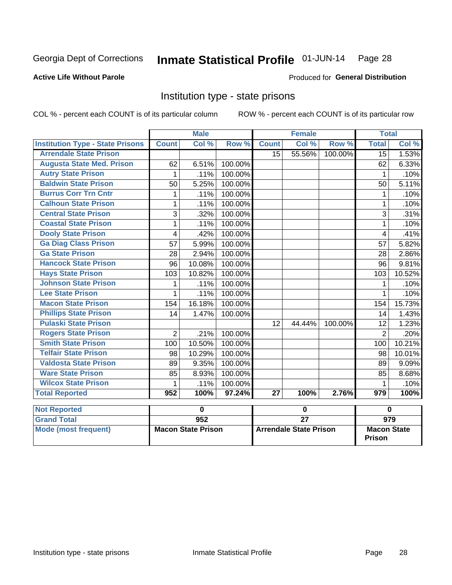## Inmate Statistical Profile 01-JUN-14 Page 28

#### **Active Life Without Parole**

#### **Produced for General Distribution**

### Institution type - state prisons

COL % - percent each COUNT is of its particular column

|                                         | <b>Male</b>               |        |         | <b>Female</b>                 |        |         | <b>Total</b>                        |                  |  |
|-----------------------------------------|---------------------------|--------|---------|-------------------------------|--------|---------|-------------------------------------|------------------|--|
| <b>Institution Type - State Prisons</b> | <b>Count</b>              | Col %  | Row %   | <b>Count</b>                  | Col %  | Row %   | <b>Total</b>                        | Col %            |  |
| <b>Arrendale State Prison</b>           |                           |        |         | 15                            | 55.56% | 100.00% | 15                                  | 1.53%            |  |
| <b>Augusta State Med. Prison</b>        | 62                        | 6.51%  | 100.00% |                               |        |         | 62                                  | 6.33%            |  |
| <b>Autry State Prison</b>               | 1                         | .11%   | 100.00% |                               |        |         | 1                                   | .10%             |  |
| <b>Baldwin State Prison</b>             | 50                        | 5.25%  | 100.00% |                               |        |         | 50                                  | 5.11%            |  |
| <b>Burrus Corr Trn Cntr</b>             | 1                         | .11%   | 100.00% |                               |        |         | 1                                   | .10%             |  |
| <b>Calhoun State Prison</b>             | 1                         | .11%   | 100.00% |                               |        |         | 1                                   | .10%             |  |
| <b>Central State Prison</b>             | 3                         | .32%   | 100.00% |                               |        |         | 3                                   | .31%             |  |
| <b>Coastal State Prison</b>             | 1                         | .11%   | 100.00% |                               |        |         | 1                                   | .10%             |  |
| <b>Dooly State Prison</b>               | 4                         | .42%   | 100.00% |                               |        |         | 4                                   | .41%             |  |
| <b>Ga Diag Class Prison</b>             | 57                        | 5.99%  | 100.00% |                               |        |         | 57                                  | 5.82%            |  |
| <b>Ga State Prison</b>                  | 28                        | 2.94%  | 100.00% |                               |        |         | 28                                  | 2.86%            |  |
| <b>Hancock State Prison</b>             | 96                        | 10.08% | 100.00% |                               |        |         | 96                                  | 9.81%            |  |
| <b>Hays State Prison</b>                | 103                       | 10.82% | 100.00% |                               |        |         | 103                                 | 10.52%           |  |
| <b>Johnson State Prison</b>             | 1                         | .11%   | 100.00% |                               |        |         | 1                                   | .10%             |  |
| <b>Lee State Prison</b>                 | 1                         | .11%   | 100.00% |                               |        |         | 1                                   | .10%             |  |
| <b>Macon State Prison</b>               | 154                       | 16.18% | 100.00% |                               |        |         | 154                                 | 15.73%           |  |
| <b>Phillips State Prison</b>            | 14                        | 1.47%  | 100.00% |                               |        |         | 14                                  | 1.43%            |  |
| <b>Pulaski State Prison</b>             |                           |        |         | 12                            | 44.44% | 100.00% | 12                                  | 1.23%            |  |
| <b>Rogers State Prison</b>              | $\overline{2}$            | .21%   | 100.00% |                               |        |         | $\overline{2}$                      | .20%             |  |
| <b>Smith State Prison</b>               | 100                       | 10.50% | 100.00% |                               |        |         | 100                                 | 10.21%           |  |
| <b>Telfair State Prison</b>             | 98                        | 10.29% | 100.00% |                               |        |         | 98                                  | 10.01%           |  |
| <b>Valdosta State Prison</b>            | 89                        | 9.35%  | 100.00% |                               |        |         | 89                                  | 9.09%            |  |
| <b>Ware State Prison</b>                | 85                        | 8.93%  | 100.00% |                               |        |         | 85                                  | 8.68%            |  |
| <b>Wilcox State Prison</b>              | 1                         | .11%   | 100.00% |                               |        |         | 1                                   | .10%             |  |
| <b>Total Reported</b>                   | 952                       | 100%   | 97.24%  | 27                            | 100%   | 2.76%   | $\overline{979}$                    | 100%             |  |
| <b>Not Reported</b>                     |                           | 0      |         |                               | 0      |         | $\bf{0}$                            |                  |  |
| <b>Grand Total</b>                      |                           | 952    |         | $\overline{27}$               |        |         |                                     | $\overline{979}$ |  |
| <b>Mode (most frequent)</b>             | <b>Macon State Prison</b> |        |         | <b>Arrendale State Prison</b> |        |         | <b>Macon State</b><br><b>Prison</b> |                  |  |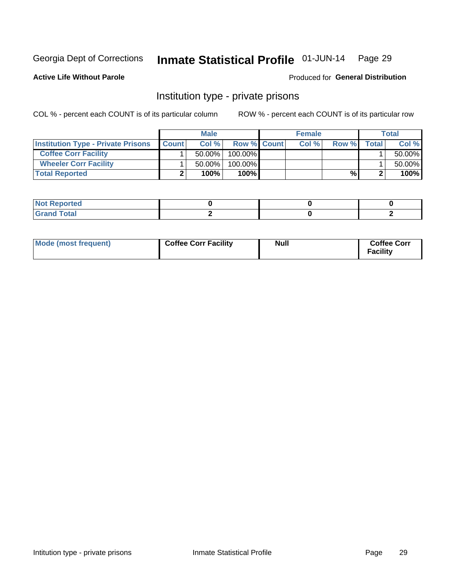#### Inmate Statistical Profile 01-JUN-14 Page 29

**Produced for General Distribution** 

#### **Active Life Without Parole**

### Institution type - private prisons

COL % - percent each COUNT is of its particular column

|                                           | <b>Male</b>  |           |                    | <b>Female</b> |      |       | <b>Total</b> |        |
|-------------------------------------------|--------------|-----------|--------------------|---------------|------|-------|--------------|--------|
| <b>Institution Type - Private Prisons</b> | <b>Count</b> | Col %     | <b>Row % Count</b> |               | Col% | Row % | Total        | Col %  |
| <b>Coffee Corr Facility</b>               |              | $50.00\%$ | $100.00\%$         |               |      |       |              | 50.00% |
| <b>Wheeler Corr Facility</b>              |              | $50.00\%$ | $100.00\%$         |               |      |       |              | 50.00% |
| <b>Total Reported</b>                     |              | 100%      | 100%               |               |      | %।    |              | 100%   |

| <b>Reported</b><br>119.119 |  |  |
|----------------------------|--|--|
| <u>i Utal</u><br>------    |  |  |

| Mode (most frequent) | <b>Coffee Corr Facility</b> | <b>Null</b> | <b>Coffee Corr</b><br><b>Facility</b> |
|----------------------|-----------------------------|-------------|---------------------------------------|
|----------------------|-----------------------------|-------------|---------------------------------------|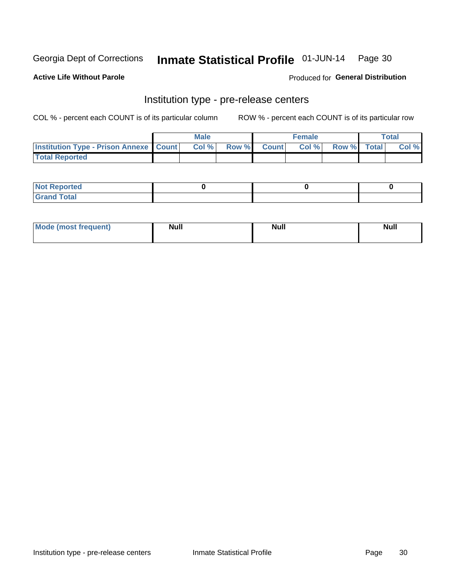## Inmate Statistical Profile 01-JUN-14 Page 30

**Active Life Without Parole** 

Produced for General Distribution

## Institution type - pre-release centers

COL % - percent each COUNT is of its particular column

|                                                   | <b>Male</b> |       |  |                    | <b>Female</b> | <b>Total</b> |  |       |
|---------------------------------------------------|-------------|-------|--|--------------------|---------------|--------------|--|-------|
| <b>Institution Type - Prison Annexe   Count  </b> |             | Col % |  | <b>Row % Count</b> | Col %         | Row % Total  |  | Col % |
| <b>Total Reported</b>                             |             |       |  |                    |               |              |  |       |

| <b>Reported</b><br>I NOT |  |  |
|--------------------------|--|--|
| <b>Total</b><br>$C$ ren  |  |  |

| $^{\circ}$ Mo<br>frequent)<br>⊥(most | <b>Null</b> | Noll<br><b>vull</b> | <b>Null</b> |
|--------------------------------------|-------------|---------------------|-------------|
|                                      |             |                     |             |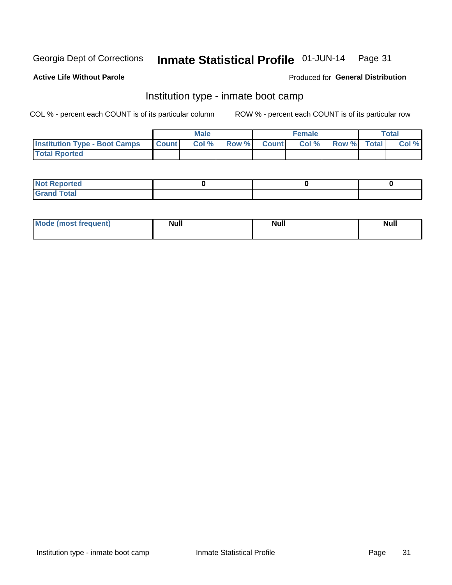#### Inmate Statistical Profile 01-JUN-14 Page 31

#### **Active Life Without Parole**

#### Produced for General Distribution

## Institution type - inmate boot camp

COL % - percent each COUNT is of its particular column

|                                      | <b>Male</b>  |       |               | <b>Female</b> |       |             | <b>Total</b> |       |
|--------------------------------------|--------------|-------|---------------|---------------|-------|-------------|--------------|-------|
| <b>Institution Type - Boot Camps</b> | <b>Count</b> | Col % | <b>Row %I</b> | <b>Count</b>  | Col % | Row % Total |              | Col % |
| <b>Total Rported</b>                 |              |       |               |               |       |             |              |       |

| <b>Not Reported</b> |  |  |
|---------------------|--|--|
| <b>Total</b><br>Cro |  |  |

| <b>I Mode (most frequent)</b> | <b>Null</b> | <b>Null</b> | <b>Null</b> |
|-------------------------------|-------------|-------------|-------------|
|                               |             |             |             |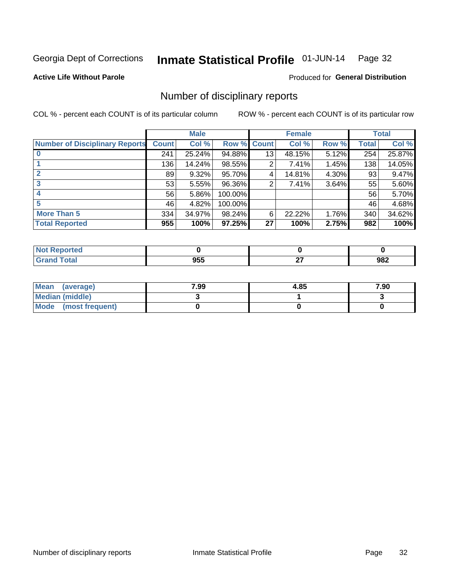#### Inmate Statistical Profile 01-JUN-14 Page 32

**Active Life Without Parole** 

Produced for General Distribution

## Number of disciplinary reports

COL % - percent each COUNT is of its particular column

|                                       |              | <b>Male</b> |                    |    | <b>Female</b> |       |       | <b>Total</b> |
|---------------------------------------|--------------|-------------|--------------------|----|---------------|-------|-------|--------------|
| <b>Number of Disciplinary Reports</b> | <b>Count</b> | Col %       | <b>Row % Count</b> |    | Col %         | Row % | Total | Col %        |
|                                       | 241          | 25.24%      | 94.88%             | 13 | 48.15%        | 5.12% | 254   | 25.87%       |
|                                       | 136          | 14.24%      | 98.55%             | 2  | 7.41%         | 1.45% | 138   | 14.05%       |
|                                       | 89           | 9.32%       | 95.70%             | 4  | 14.81%        | 4.30% | 93    | 9.47%        |
| 3                                     | 53           | 5.55%       | 96.36%             | 2  | 7.41%         | 3.64% | 55    | 5.60%        |
|                                       | 56           | 5.86%       | 100.00%            |    |               |       | 56    | 5.70%        |
| 5                                     | 46           | 4.82%       | 100.00%            |    |               |       | 46    | 4.68%        |
| <b>More Than 5</b>                    | 334          | 34.97%      | 98.24%             | 6  | 22.22%        | 1.76% | 340   | 34.62%       |
| <b>Total Reported</b>                 | 955          | 100%        | 97.25%             | 27 | 100%          | 2.75% | 982   | 100%         |

| rted<br>NO   |                   |     |
|--------------|-------------------|-----|
| <b>Total</b> | <b>OEE</b><br>ນວະ | 982 |

| Mean (average)       | 7.99 | 4.85 | 7.90 |
|----------------------|------|------|------|
| Median (middle)      |      |      |      |
| Mode (most frequent) |      |      |      |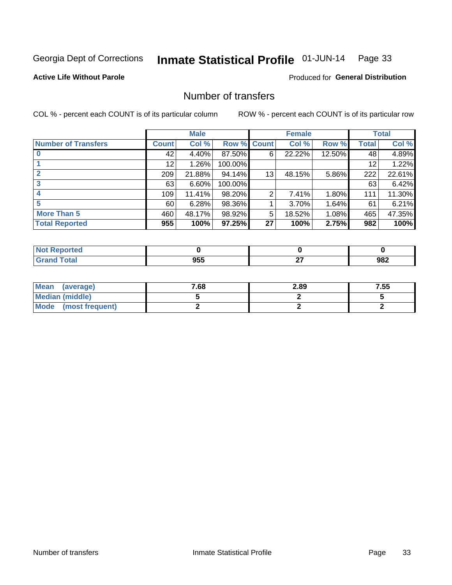#### Inmate Statistical Profile 01-JUN-14 Page 33

**Active Life Without Parole** 

**Produced for General Distribution** 

## Number of transfers

COL % - percent each COUNT is of its particular column

|                            |         | <b>Male</b> |         |                | <b>Female</b> |        |              | <b>Total</b> |
|----------------------------|---------|-------------|---------|----------------|---------------|--------|--------------|--------------|
| <b>Number of Transfers</b> | Count l | Col %       | Row %   | <b>Count</b>   | Col %         | Row %  | <b>Total</b> | Col %        |
|                            | 42      | 4.40%       | 87.50%  | 6              | 22.22%        | 12.50% | 48           | 4.89%        |
|                            | 12      | 1.26%       | 100.00% |                |               |        | 12           | 1.22%        |
|                            | 209     | 21.88%      | 94.14%  | 13             | 48.15%        | 5.86%  | 222          | 22.61%       |
| 3                          | 63      | 6.60%       | 100.00% |                |               |        | 63           | 6.42%        |
|                            | 109     | 11.41%      | 98.20%  | $\overline{2}$ | 7.41%         | 1.80%  | 111          | 11.30%       |
| 5                          | 60      | 6.28%       | 98.36%  |                | 3.70%         | 1.64%  | 61           | 6.21%        |
| <b>More Than 5</b>         | 460     | 48.17%      | 98.92%  | 5              | 18.52%        | 1.08%  | 465          | 47.35%       |
| <b>Total Reported</b>      | 955     | 100%        | 97.25%  | 27             | 100%          | 2.75%  | 982          | 100%         |

| prted<br>NOT      |                   |    |     |
|-------------------|-------------------|----|-----|
| <sup>-</sup> otal | <b>OEE</b><br>ນວະ | ~- | 982 |

| Mean (average)       | 7.68 | 2.89 | 7.55 |
|----------------------|------|------|------|
| Median (middle)      |      |      |      |
| Mode (most frequent) |      |      |      |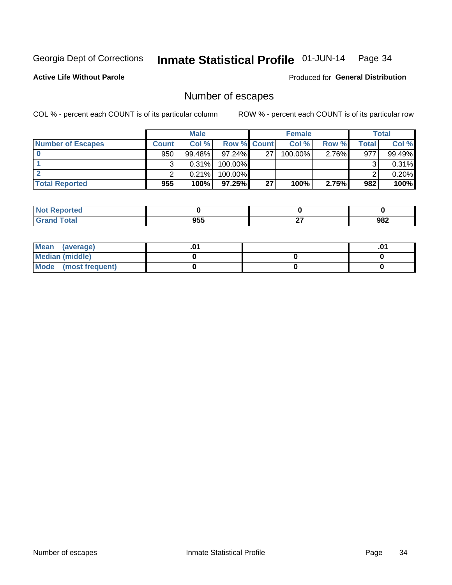#### Inmate Statistical Profile 01-JUN-14 Page 34

**Active Life Without Parole** 

Produced for General Distribution

## Number of escapes

COL % - percent each COUNT is of its particular column

|                          |         | <b>Male</b> |                    |    | <b>Female</b> |          |       | <b>Total</b> |
|--------------------------|---------|-------------|--------------------|----|---------------|----------|-------|--------------|
| <b>Number of Escapes</b> | Count l | Col %       | <b>Row % Count</b> |    | Col %         | Row %    | Total | Col %        |
|                          | 950     | $99.48\%$   | $97.24\%$          | 27 | 100.00%       | $2.76\%$ | 977   | 99.49%       |
|                          |         | 0.31%       | 100.00%            |    |               |          |       | 0.31%        |
|                          |         | 0.21%       | 100.00%            |    |               |          |       | 0.20%        |
| <b>Total Reported</b>    | 955     | 100%        | $97.25\%$          | 27 | 100%          | 2.75%    | 982   | 100%         |

| <b>Not Reported</b> |     |               |     |
|---------------------|-----|---------------|-----|
| <b>Grand Total</b>  | 955 | $\sim$<br>- - | 982 |

| Mean<br>(average)    |  | .01 |
|----------------------|--|-----|
| Median (middle)      |  |     |
| Mode (most frequent) |  |     |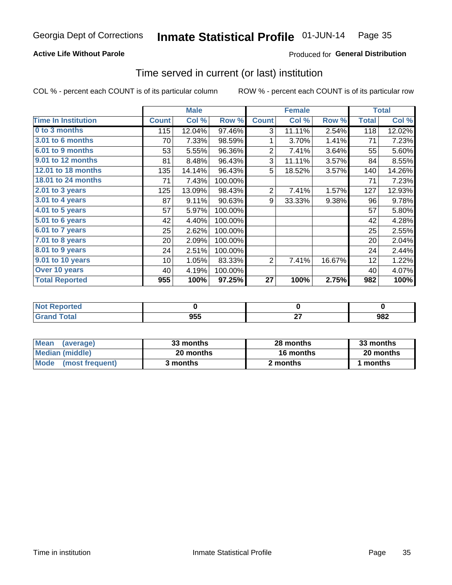#### Inmate Statistical Profile 01-JUN-14 Page 35

#### **Active Life Without Parole**

#### Produced for General Distribution

### Time served in current (or last) institution

COL % - percent each COUNT is of its particular column

|                            |              | <b>Male</b> |         |                | <b>Female</b> |        |              | <b>Total</b> |
|----------------------------|--------------|-------------|---------|----------------|---------------|--------|--------------|--------------|
| <b>Time In Institution</b> | <b>Count</b> | Col %       | Row %   | <b>Count</b>   | Col %         | Row %  | <b>Total</b> | Col %        |
| 0 to 3 months              | 115          | 12.04%      | 97.46%  | 3              | 11.11%        | 2.54%  | 118          | 12.02%       |
| <b>3.01 to 6 months</b>    | 70           | 7.33%       | 98.59%  | 1              | 3.70%         | 1.41%  | 71           | 7.23%        |
| 6.01 to 9 months           | 53           | 5.55%       | 96.36%  | $\overline{2}$ | 7.41%         | 3.64%  | 55           | 5.60%        |
| 9.01 to 12 months          | 81           | 8.48%       | 96.43%  | 3              | 11.11%        | 3.57%  | 84           | 8.55%        |
| 12.01 to 18 months         | 135          | 14.14%      | 96.43%  | 5              | 18.52%        | 3.57%  | 140          | 14.26%       |
| <b>18.01 to 24 months</b>  | 71           | 7.43%       | 100.00% |                |               |        | 71           | 7.23%        |
| $2.01$ to 3 years          | 125          | 13.09%      | 98.43%  | $\overline{2}$ | 7.41%         | 1.57%  | 127          | 12.93%       |
| $3.01$ to 4 years          | 87           | 9.11%       | 90.63%  | 9              | 33.33%        | 9.38%  | 96           | 9.78%        |
| $4.01$ to 5 years          | 57           | 5.97%       | 100.00% |                |               |        | 57           | 5.80%        |
| 5.01 to 6 years            | 42           | 4.40%       | 100.00% |                |               |        | 42           | 4.28%        |
| $6.01$ to 7 years          | 25           | 2.62%       | 100.00% |                |               |        | 25           | 2.55%        |
| 7.01 to 8 years            | 20           | 2.09%       | 100.00% |                |               |        | 20           | 2.04%        |
| 8.01 to 9 years            | 24           | 2.51%       | 100.00% |                |               |        | 24           | 2.44%        |
| 9.01 to 10 years           | 10           | 1.05%       | 83.33%  | 2              | 7.41%         | 16.67% | 12           | 1.22%        |
| Over 10 years              | 40           | 4.19%       | 100.00% |                |               |        | 40           | 4.07%        |
| <b>Total Reported</b>      | 955          | 100%        | 97.25%  | 27             | 100%          | 2.75%  | 982          | 100%         |

| <b>Not Reported</b> |     |              |     |
|---------------------|-----|--------------|-----|
| <b>Total</b>        | 955 | $\sim$<br>-- | 982 |

| <b>Mean</b><br>(average) | 33 months | 28 months | 33 months |  |
|--------------------------|-----------|-----------|-----------|--|
| Median (middle)          | 20 months | 16 months | 20 months |  |
| Mode (most frequent)     | 3 months  | 2 months  | 1 months  |  |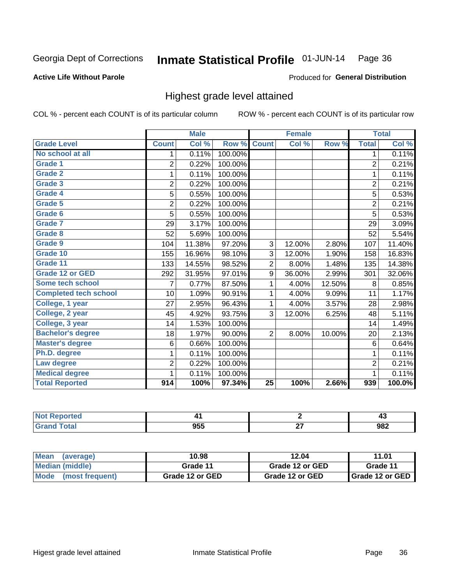#### Inmate Statistical Profile 01-JUN-14 Page 36

#### **Active Life Without Parole**

#### Produced for General Distribution

## Highest grade level attained

COL % - percent each COUNT is of its particular column

|                              |                | <b>Male</b> |         |                 | <b>Female</b> |        |                | <b>Total</b> |
|------------------------------|----------------|-------------|---------|-----------------|---------------|--------|----------------|--------------|
| <b>Grade Level</b>           | <b>Count</b>   | Col %       | Row %   | <b>Count</b>    | Col %         | Row %  | <b>Total</b>   | Col %        |
| No school at all             | 1              | 0.11%       | 100.00% |                 |               |        | 1              | 0.11%        |
| Grade 1                      | $\overline{2}$ | 0.22%       | 100.00% |                 |               |        | $\overline{2}$ | 0.21%        |
| <b>Grade 2</b>               | 1              | 0.11%       | 100.00% |                 |               |        | $\mathbf{1}$   | 0.11%        |
| Grade 3                      | $\overline{2}$ | 0.22%       | 100.00% |                 |               |        | $\overline{2}$ | 0.21%        |
| <b>Grade 4</b>               | 5              | 0.55%       | 100.00% |                 |               |        | 5              | 0.53%        |
| Grade 5                      | $\overline{2}$ | 0.22%       | 100.00% |                 |               |        | $\overline{2}$ | 0.21%        |
| Grade 6                      | 5              | 0.55%       | 100.00% |                 |               |        | 5              | 0.53%        |
| Grade 7                      | 29             | 3.17%       | 100.00% |                 |               |        | 29             | 3.09%        |
| Grade 8                      | 52             | 5.69%       | 100.00% |                 |               |        | 52             | 5.54%        |
| Grade 9                      | 104            | 11.38%      | 97.20%  | 3               | 12.00%        | 2.80%  | 107            | 11.40%       |
| Grade 10                     | 155            | 16.96%      | 98.10%  | 3               | 12.00%        | 1.90%  | 158            | 16.83%       |
| Grade 11                     | 133            | 14.55%      | 98.52%  | $\overline{2}$  | 8.00%         | 1.48%  | 135            | 14.38%       |
| <b>Grade 12 or GED</b>       | 292            | 31.95%      | 97.01%  | 9               | 36.00%        | 2.99%  | 301            | 32.06%       |
| Some tech school             | 7              | 0.77%       | 87.50%  | 1               | 4.00%         | 12.50% | 8              | 0.85%        |
| <b>Completed tech school</b> | 10             | 1.09%       | 90.91%  | 1               | 4.00%         | 9.09%  | 11             | 1.17%        |
| College, 1 year              | 27             | 2.95%       | 96.43%  | 1               | 4.00%         | 3.57%  | 28             | 2.98%        |
| College, 2 year              | 45             | 4.92%       | 93.75%  | 3               | 12.00%        | 6.25%  | 48             | 5.11%        |
| College, 3 year              | 14             | 1.53%       | 100.00% |                 |               |        | 14             | 1.49%        |
| <b>Bachelor's degree</b>     | 18             | 1.97%       | 90.00%  | $\overline{2}$  | 8.00%         | 10.00% | 20             | 2.13%        |
| <b>Master's degree</b>       | 6              | 0.66%       | 100.00% |                 |               |        | 6              | 0.64%        |
| Ph.D. degree                 | 1              | 0.11%       | 100.00% |                 |               |        | 1              | 0.11%        |
| Law degree                   | $\overline{2}$ | 0.22%       | 100.00% |                 |               |        | $\overline{2}$ | 0.21%        |
| <b>Medical degree</b>        | 1              | 0.11%       | 100.00% |                 |               |        | 1              | 0.11%        |
| <b>Total Reported</b>        | 914            | 100%        | 97.34%  | $\overline{25}$ | 100%          | 2.66%  | 939            | 100.0%       |

| . |          |        | т,  |
|---|----------|--------|-----|
|   | ᅂ<br>ນວວ | $\sim$ | 982 |

| <b>Mean</b><br>(average)       | 10.98           | 12.04           | 11.01             |
|--------------------------------|-----------------|-----------------|-------------------|
| Median (middle)                | Grade 11        | Grade 12 or GED | Grade 11          |
| <b>Mode</b><br>(most frequent) | Grade 12 or GED | Grade 12 or GED | I Grade 12 or GED |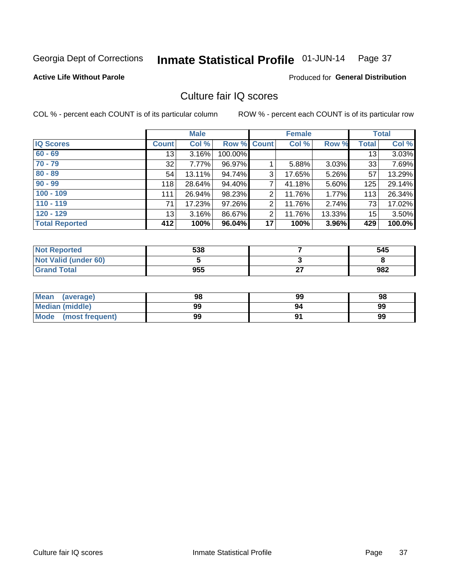#### Inmate Statistical Profile 01-JUN-14 Page 37

### **Active Life Without Parole**

#### Produced for General Distribution

## Culture fair IQ scores

COL % - percent each COUNT is of its particular column

|                       |              | <b>Male</b> |             |                 | <b>Female</b> |          |                 | <b>Total</b> |
|-----------------------|--------------|-------------|-------------|-----------------|---------------|----------|-----------------|--------------|
| <b>IQ Scores</b>      | <b>Count</b> | Col %       | Row % Count |                 | Col %         | Row %    | <b>Total</b>    | Col %        |
| $60 - 69$             | 13           | 3.16%       | 100.00%     |                 |               |          | 13 <sub>1</sub> | 3.03%        |
| $70 - 79$             | 32           | 7.77%       | 96.97%      |                 | 5.88%         | $3.03\%$ | 33              | 7.69%        |
| $80 - 89$             | 54           | 13.11%      | 94.74%      | 3               | 17.65%        | 5.26%    | 57              | 13.29%       |
| $90 - 99$             | 118          | 28.64%      | 94.40%      | 7               | 41.18%        | 5.60%    | 125             | 29.14%       |
| $100 - 109$           | 111          | 26.94%      | 98.23%      | 2               | 11.76%        | 1.77%    | 113             | 26.34%       |
| $110 - 119$           | 71           | 17.23%      | 97.26%      | 2               | 11.76%        | 2.74%    | 73              | 17.02%       |
| $120 - 129$           | 13           | 3.16%       | 86.67%      | $\overline{2}$  | 11.76%        | 13.33%   | 15              | 3.50%        |
| <b>Total Reported</b> | 412          | 100%        | 96.04%      | 17 <sup>1</sup> | 100%          | 3.96%    | 429             | 100.0%       |

| <b>Not Reported</b>         | 538 |           | 545 |
|-----------------------------|-----|-----------|-----|
| <b>Not Valid (under 60)</b> |     |           |     |
| <b>Grand Total</b>          | 955 | ~-<br>- - | 982 |

| <b>Mean</b><br>(average) | 98 | 99 | 98 |
|--------------------------|----|----|----|
| <b>Median (middle)</b>   | 99 | 94 | 99 |
| Mode<br>(most frequent)  | 99 |    | 99 |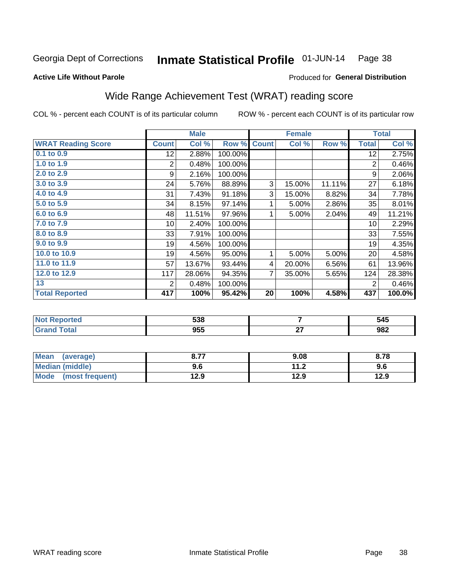#### Inmate Statistical Profile 01-JUN-14 Page 38

#### **Active Life Without Parole**

### Produced for General Distribution

## Wide Range Achievement Test (WRAT) reading score

COL % - percent each COUNT is of its particular column

|                           |                 | <b>Male</b> |         |              | <b>Female</b> |        |              | <b>Total</b> |
|---------------------------|-----------------|-------------|---------|--------------|---------------|--------|--------------|--------------|
| <b>WRAT Reading Score</b> | <b>Count</b>    | Col %       | Row %   | <b>Count</b> | Col %         | Row %  | <b>Total</b> | Col %        |
| $0.1$ to $0.9$            | 12 <sub>2</sub> | 2.88%       | 100.00% |              |               |        | 12           | 2.75%        |
| 1.0 to 1.9                | 2               | 0.48%       | 100.00% |              |               |        | 2            | 0.46%        |
| 2.0 to 2.9                | 9               | 2.16%       | 100.00% |              |               |        | 9            | 2.06%        |
| 3.0 to 3.9                | 24              | 5.76%       | 88.89%  | 3            | 15.00%        | 11.11% | 27           | 6.18%        |
| 4.0 to 4.9                | 31              | 7.43%       | 91.18%  | 3            | 15.00%        | 8.82%  | 34           | 7.78%        |
| 5.0 to 5.9                | 34              | 8.15%       | 97.14%  | 1            | 5.00%         | 2.86%  | 35           | 8.01%        |
| 6.0 to 6.9                | 48              | 11.51%      | 97.96%  | 1            | 5.00%         | 2.04%  | 49           | 11.21%       |
| 7.0 to 7.9                | 10 <sup>1</sup> | 2.40%       | 100.00% |              |               |        | 10           | 2.29%        |
| 8.0 to 8.9                | 33              | 7.91%       | 100.00% |              |               |        | 33           | 7.55%        |
| 9.0 to 9.9                | 19              | 4.56%       | 100.00% |              |               |        | 19           | 4.35%        |
| 10.0 to 10.9              | 19              | 4.56%       | 95.00%  | 1            | 5.00%         | 5.00%  | 20           | 4.58%        |
| 11.0 to 11.9              | 57              | 13.67%      | 93.44%  | 4            | 20.00%        | 6.56%  | 61           | 13.96%       |
| 12.0 to 12.9              | 117             | 28.06%      | 94.35%  | 7            | 35.00%        | 5.65%  | 124          | 28.38%       |
| 13                        | 2               | 0.48%       | 100.00% |              |               |        | 2            | 0.46%        |
| <b>Total Reported</b>     | 417             | 100%        | 95.42%  | 20           | 100%          | 4.58%  | 437          | 100.0%       |
|                           |                 |             |         |              |               |        |              |              |

| <b>Not Reported</b> | 538 |           | 545 |
|---------------------|-----|-----------|-----|
| <b>Grand Total</b>  | 955 | ~-<br>. . | 982 |

| Mean (average)         | 0.77 | 9.08 | 8.78 |
|------------------------|------|------|------|
| <b>Median (middle)</b> | 9.6  | 11.2 | 9.6  |
| Mode (most frequent)   | 12.9 | 12.9 | 12.9 |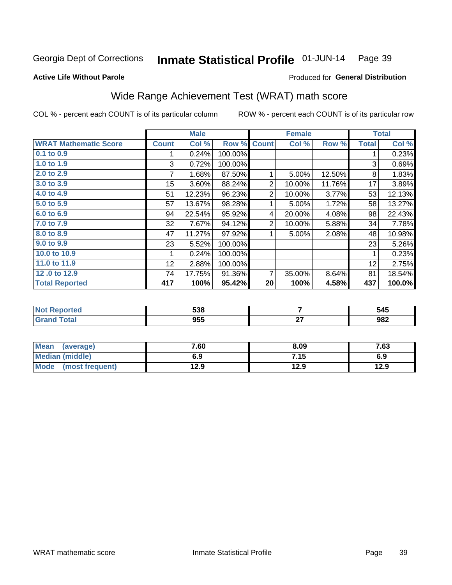#### Inmate Statistical Profile 01-JUN-14 Page 39

#### **Active Life Without Parole**

### Produced for General Distribution

## Wide Range Achievement Test (WRAT) math score

COL % - percent each COUNT is of its particular column

|                              |              | <b>Male</b>               |         |              | <b>Female</b> |        |              | <b>Total</b> |
|------------------------------|--------------|---------------------------|---------|--------------|---------------|--------|--------------|--------------|
| <b>WRAT Mathematic Score</b> | <b>Count</b> | $\overline{\text{Col}}$ % | Row %   | <b>Count</b> | Col %         | Row %  | <b>Total</b> | Col %        |
| 0.1 to 0.9                   |              | 0.24%                     | 100.00% |              |               |        |              | 0.23%        |
| 1.0 to 1.9                   | 3            | 0.72%                     | 100.00% |              |               |        | 3            | 0.69%        |
| 2.0 to 2.9                   | 7            | 1.68%                     | 87.50%  |              | 5.00%         | 12.50% | 8            | 1.83%        |
| 3.0 to 3.9                   | 15           | 3.60%                     | 88.24%  | 2            | 10.00%        | 11.76% | 17           | 3.89%        |
| 4.0 to 4.9                   | 51           | 12.23%                    | 96.23%  | 2            | 10.00%        | 3.77%  | 53           | 12.13%       |
| 5.0 to 5.9                   | 57           | 13.67%                    | 98.28%  | 1            | 5.00%         | 1.72%  | 58           | 13.27%       |
| 6.0 to 6.9                   | 94           | 22.54%                    | 95.92%  | 4            | 20.00%        | 4.08%  | 98           | 22.43%       |
| 7.0 to 7.9                   | 32           | 7.67%                     | 94.12%  | 2            | 10.00%        | 5.88%  | 34           | 7.78%        |
| 8.0 to 8.9                   | 47           | 11.27%                    | 97.92%  |              | 5.00%         | 2.08%  | 48           | 10.98%       |
| 9.0 to 9.9                   | 23           | 5.52%                     | 100.00% |              |               |        | 23           | 5.26%        |
| 10.0 to 10.9                 |              | 0.24%                     | 100.00% |              |               |        | 1            | 0.23%        |
| 11.0 to $11.9$               | 12           | 2.88%                     | 100.00% |              |               |        | 12           | 2.75%        |
| 12.0 to 12.9                 | 74           | 17.75%                    | 91.36%  | 7            | 35.00%        | 8.64%  | 81           | 18.54%       |
| <b>Total Reported</b>        | 417          | 100%                      | 95.42%  | 20           | 100%          | 4.58%  | 437          | 100.0%       |

| につの<br>ააი | 545 |
|------------|-----|
| NEE<br>ນວວ | 982 |

| Mean<br>(average)              | 7.60 | 8.09 | 7.63 |
|--------------------------------|------|------|------|
| Median (middle)                | 6.9  | 7.15 | 6.9  |
| <b>Mode</b><br>(most frequent) | 12.9 | 12.9 | 12.9 |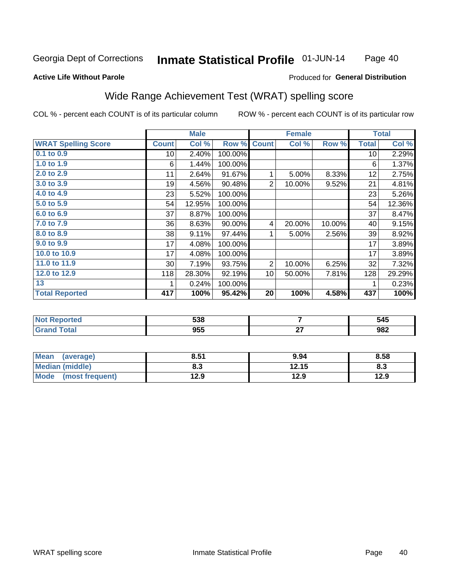#### Inmate Statistical Profile 01-JUN-14 Page 40

### **Active Life Without Parole**

### **Produced for General Distribution**

## Wide Range Achievement Test (WRAT) spelling score

COL % - percent each COUNT is of its particular column

|                            |              | <b>Male</b> |         |                | <b>Female</b>  |        |              | <b>Total</b> |
|----------------------------|--------------|-------------|---------|----------------|----------------|--------|--------------|--------------|
| <b>WRAT Spelling Score</b> | <b>Count</b> | Col %       | Row %   | <b>Count</b>   | Col %          | Row %  | <b>Total</b> | Col %        |
| 0.1 to 0.9                 | 10           | 2.40%       | 100.00% |                |                |        | 10           | 2.29%        |
| 1.0 to $1.9$               | 6            | 1.44%       | 100.00% |                |                |        | 6            | 1.37%        |
| 2.0 to 2.9                 | 11           | 2.64%       | 91.67%  | 1              | 5.00%          | 8.33%  | 12           | 2.75%        |
| 3.0 to 3.9                 | 19           | 4.56%       | 90.48%  | $\overline{2}$ | 10.00%         | 9.52%  | 21           | 4.81%        |
| 4.0 to 4.9                 | 23           | 5.52%       | 100.00% |                |                |        | 23           | 5.26%        |
| 5.0 to 5.9                 | 54           | 12.95%      | 100.00% |                |                |        | 54           | 12.36%       |
| 6.0 to 6.9                 | 37           | 8.87%       | 100.00% |                |                |        | 37           | 8.47%        |
| 7.0 to 7.9                 | 36           | 8.63%       | 90.00%  | $\overline{4}$ | 20.00%         | 10.00% | 40           | 9.15%        |
| 8.0 to 8.9                 | 38           | 9.11%       | 97.44%  | 1              | 5.00%          | 2.56%  | 39           | 8.92%        |
| 9.0 to 9.9                 | 17           | 4.08%       | 100.00% |                |                |        | 17           | 3.89%        |
| 10.0 to 10.9               | 17           | 4.08%       | 100.00% |                |                |        | 17           | 3.89%        |
| 11.0 to 11.9               | 30           | 7.19%       | 93.75%  | $\overline{2}$ | 10.00%         | 6.25%  | 32           | 7.32%        |
| 12.0 to 12.9               | 118          | 28.30%      | 92.19%  | 10             | 50.00%         | 7.81%  | 128          | 29.29%       |
| 13                         | 1            | 0.24%       | 100.00% |                |                |        | 1            | 0.23%        |
| <b>Total Reported</b>      | 417          | 100%        | 95.42%  | 20             | 100%           | 4.58%  | 437          | 100%         |
|                            |              |             |         |                |                |        |              |              |
| <b>Not Reported</b>        |              | 538         |         |                | $\overline{7}$ |        |              | 545          |
| <b>Grand Total</b>         |              | 955         |         |                | 27             |        |              | 982          |

| Mean<br>(average)              | 8.51 | 9.94  | 8.58 |
|--------------------------------|------|-------|------|
| <b>Median (middle)</b>         | ბ.ა  | 12.15 | Ծ.ა  |
| <b>Mode</b><br>(most frequent) | 12.9 | 12.9  | 12.9 |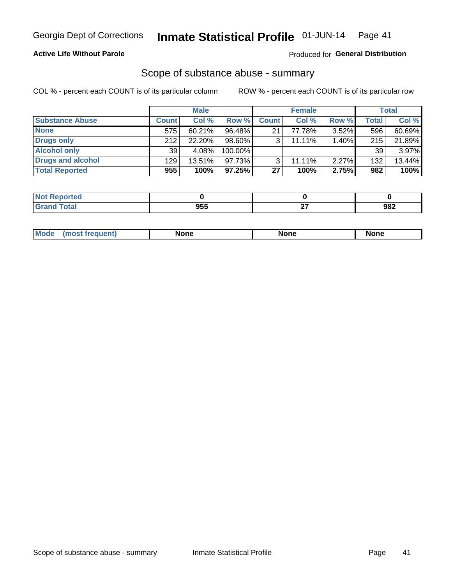### **Active Life Without Parole**

### Produced for General Distribution

## Scope of substance abuse - summary

COL % - percent each COUNT is of its particular column

|                        |              | <b>Male</b> |           |              | <b>Female</b> |          |              | Total  |
|------------------------|--------------|-------------|-----------|--------------|---------------|----------|--------------|--------|
| <b>Substance Abuse</b> | <b>Count</b> | Col %       | Row %     | <b>Count</b> | Col %         | Row %    | <b>Total</b> | Col %  |
| <b>None</b>            | 575          | 60.21%      | 96.48%    | 21           | 77.78%        | $3.52\%$ | 596          | 60.69% |
| Drugs only             | 212          | 22.20%      | $98.60\%$ |              | $11.11\%$     | 1.40%    | 215          | 21.89% |
| <b>Alcohol only</b>    | 39           | 4.08%       | 100.00%   |              |               |          | 39           | 3.97%  |
| Drugs and alcohol      | 129          | $13.51\%$   | $97.73\%$ |              | $11.11\%$     | $2.27\%$ | 132          | 13.44% |
| <b>Total Reported</b>  | 955          | 100%        | $97.25\%$ | 27           | 100%          | 2.75%    | 982          | 100%   |

| Reported      |            |           |     |
|---------------|------------|-----------|-----|
| <b>c</b> otal | NEE<br>ນວວ | ~-<br>. . | 982 |

| Mode<br>None<br>None<br>None<br>quenu |
|---------------------------------------|
|---------------------------------------|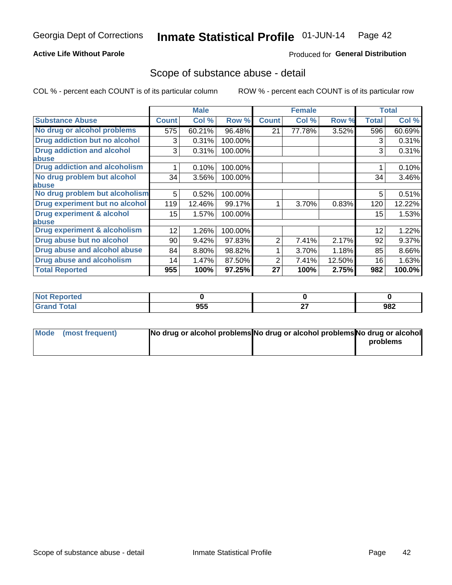### **Active Life Without Parole**

### Produced for General Distribution

## Scope of substance abuse - detail

COL % - percent each COUNT is of its particular column

|                                         |              | <b>Male</b> |         |              | <b>Female</b> |        |              | <b>Total</b> |
|-----------------------------------------|--------------|-------------|---------|--------------|---------------|--------|--------------|--------------|
| <b>Substance Abuse</b>                  | <b>Count</b> | Col %       | Row %   | <b>Count</b> | Col %         | Row %  | <b>Total</b> | Col %        |
| No drug or alcohol problems             | 575          | 60.21%      | 96.48%  | 21           | 77.78%        | 3.52%  | 596          | 60.69%       |
| Drug addiction but no alcohol           | 3            | 0.31%       | 100.00% |              |               |        | 3            | 0.31%        |
| <b>Drug addiction and alcohol</b>       | 3            | 0.31%       | 100.00% |              |               |        | 3            | 0.31%        |
| abuse                                   |              |             |         |              |               |        |              |              |
| <b>Drug addiction and alcoholism</b>    |              | 0.10%       | 100.00% |              |               |        |              | 0.10%        |
| No drug problem but alcohol             | 34           | 3.56%       | 100.00% |              |               |        | 34           | 3.46%        |
| abuse                                   |              |             |         |              |               |        |              |              |
| No drug problem but alcoholism          | 5            | 0.52%       | 100.00% |              |               |        | 5            | 0.51%        |
| Drug experiment but no alcohol          | 119          | 12.46%      | 99.17%  |              | 3.70%         | 0.83%  | 120          | 12.22%       |
| <b>Drug experiment &amp; alcohol</b>    | $15\,$       | 1.57%       | 100.00% |              |               |        | 15           | 1.53%        |
| abuse                                   |              |             |         |              |               |        |              |              |
| <b>Drug experiment &amp; alcoholism</b> | 12           | 1.26%       | 100.00% |              |               |        | 12           | 1.22%        |
| Drug abuse but no alcohol               | 90           | 9.42%       | 97.83%  | 2            | 7.41%         | 2.17%  | 92           | 9.37%        |
| Drug abuse and alcohol abuse            | 84           | 8.80%       | 98.82%  |              | 3.70%         | 1.18%  | 85           | 8.66%        |
| <b>Drug abuse and alcoholism</b>        | 14           | 1.47%       | 87.50%  | 2            | 7.41%         | 12.50% | 16           | 1.63%        |
| <b>Total Reported</b>                   | 955          | 100%        | 97.25%  | 27           | 100%          | 2.75%  | 982          | 100.0%       |

| <b>Reported</b><br>NOT. |     |              |     |
|-------------------------|-----|--------------|-----|
| <b>otal</b>             | 955 | $\sim$<br>-- | 982 |

| Mode (most frequent) | No drug or alcohol problems No drug or alcohol problems No drug or alcohol |          |
|----------------------|----------------------------------------------------------------------------|----------|
|                      |                                                                            | problems |
|                      |                                                                            |          |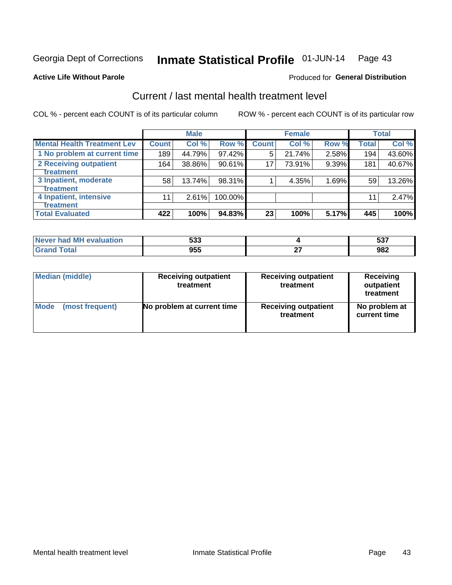#### Inmate Statistical Profile 01-JUN-14 Page 43

#### **Active Life Without Parole**

### **Produced for General Distribution**

## Current / last mental health treatment level

COL % - percent each COUNT is of its particular column

|                                    |                  | <b>Male</b> |         |              | <b>Female</b> |       |              | <b>Total</b> |
|------------------------------------|------------------|-------------|---------|--------------|---------------|-------|--------------|--------------|
| <b>Mental Health Treatment Lev</b> | <b>Count</b>     | Col %       | Row %   | <b>Count</b> | Col%          | Row % | <b>Total</b> | Col %        |
| 1 No problem at current time       | 189              | 44.79%      | 97.42%  | 5            | 21.74%        | 2.58% | 194          | 43.60%       |
| 2 Receiving outpatient             | 164              | 38.86%      | 90.61%  | 17           | 73.91%        | 9.39% | 181          | 40.67%       |
| <b>Treatment</b>                   |                  |             |         |              |               |       |              |              |
| 3 Inpatient, moderate              | 58               | 13.74%      | 98.31%  |              | 4.35%         | 1.69% | 59           | 13.26%       |
| <b>Treatment</b>                   |                  |             |         |              |               |       |              |              |
| 4 Inpatient, intensive             | 11               | 2.61%       | 100.00% |              |               |       | 11           | 2.47%        |
| <b>Treatment</b>                   |                  |             |         |              |               |       |              |              |
| <b>Total Evaluated</b>             | $\overline{4}22$ | 100%        | 94.83%  | 23           | 100%          | 5.17% | 445          | 100%         |

| Never had MH evaluation | にへへ<br>უაა | -^-<br>JJ. |
|-------------------------|------------|------------|
| 「otal                   | 955        | 982        |

| <b>Median (middle)</b> | <b>Receiving outpatient</b><br>treatment | <b>Receiving outpatient</b><br>treatment | <b>Receiving</b><br>outpatient<br>treatment |  |  |
|------------------------|------------------------------------------|------------------------------------------|---------------------------------------------|--|--|
| <b>Mode</b>            | No problem at current time               | <b>Receiving outpatient</b>              | No problem at                               |  |  |
| (most frequent)        |                                          | treatment                                | current time                                |  |  |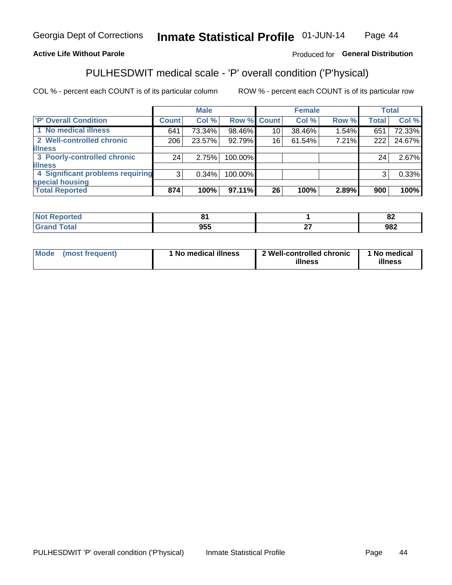#### Inmate Statistical Profile 01-JUN-14 Page 44

### **Active Life Without Parole**

### Produced for General Distribution

## PULHESDWIT medical scale - 'P' overall condition ('P'hysical)

COL % - percent each COUNT is of its particular column

|                                  |                | <b>Male</b> |         |                    | <b>Female</b> |       |              | <b>Total</b> |
|----------------------------------|----------------|-------------|---------|--------------------|---------------|-------|--------------|--------------|
| 'P' Overall Condition            | <b>Count</b>   | Col %       |         | <b>Row % Count</b> | Col %         | Row % | <b>Total</b> | Col %        |
| 1 No medical illness             | 641            | 73.34%      | 98.46%  | 10                 | 38.46%        | 1.54% | 651          | 72.33%       |
| 2 Well-controlled chronic        | 206            | 23.57%      | 92.79%  | 16                 | 61.54%        | 7.21% | 222          | 24.67%       |
| <b>lillness</b>                  |                |             |         |                    |               |       |              |              |
| 3 Poorly-controlled chronic      | 24             | 2.75%       | 100.00% |                    |               |       | 24           | 2.67%        |
| <b>illness</b>                   |                |             |         |                    |               |       |              |              |
| 4 Significant problems requiring | 3 <sup>1</sup> | 0.34%       | 100.00% |                    |               |       | 3            | 0.33%        |
| special housing                  |                |             |         |                    |               |       |              |              |
| <b>Total Reported</b>            | 874            | 100%        | 97.11%  | 26                 | 100%          | 2.89% | 900          | 100%         |

|            |        | $\mathbf{a}$<br>OZ. |
|------------|--------|---------------------|
| <b>OEL</b> | $\sim$ | 022                 |
| JJ.        | --     | JOZ                 |

| <b>Mode</b> | (most frequent) | 1 No medical illness | 2 Well-controlled chronic<br>illness | 1 No medical<br>illness |
|-------------|-----------------|----------------------|--------------------------------------|-------------------------|
|-------------|-----------------|----------------------|--------------------------------------|-------------------------|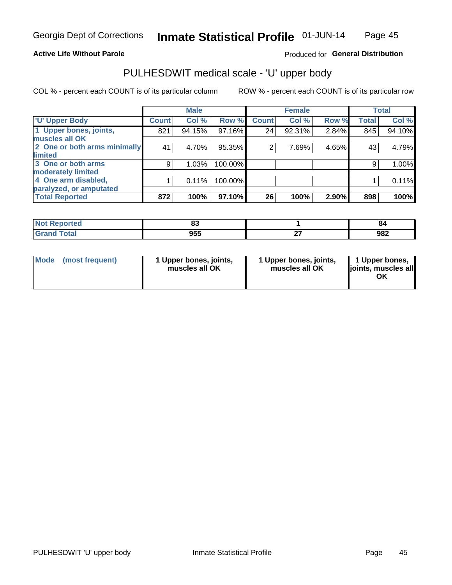#### **Active Life Without Parole**

### Produced for General Distribution

# PULHESDWIT medical scale - 'U' upper body

COL % - percent each COUNT is of its particular column

|                              |               | <b>Male</b> |         |              | <b>Female</b> |       |              | <b>Total</b> |
|------------------------------|---------------|-------------|---------|--------------|---------------|-------|--------------|--------------|
| <b>U' Upper Body</b>         | <b>Count!</b> | Col %       | Row %   | <b>Count</b> | Col %         | Row % | <b>Total</b> | Col %        |
| 1 Upper bones, joints,       | 821           | 94.15%      | 97.16%  | 24           | 92.31%        | 2.84% | 845          | 94.10%       |
| muscles all OK               |               |             |         |              |               |       |              |              |
| 2 One or both arms minimally | 41            | 4.70%       | 95.35%  | 2            | 7.69%         | 4.65% | 43           | 4.79%        |
| limited                      |               |             |         |              |               |       |              |              |
| 3 One or both arms           | 9             | 1.03%       | 100.00% |              |               |       | 9            | 1.00%        |
| <b>moderately limited</b>    |               |             |         |              |               |       |              |              |
| 4 One arm disabled,          |               | 0.11%       | 100.00% |              |               |       |              | 0.11%        |
| paralyzed, or amputated      |               |             |         |              |               |       |              |              |
| <b>Total Reported</b>        | 872           | 100%        | 97.10%  | 26           | 100%          | 2.90% | 898          | 100%         |

| <b>Not Repo</b><br>orted<br>. <b>.</b> | uu                |     | o.  |
|----------------------------------------|-------------------|-----|-----|
| <b>Total</b>                           | <b>OEE</b><br>ນວວ | . . | 982 |

|  | Mode (most frequent) | 1 Upper bones, joints,<br>muscles all OK | 1 Upper bones, joints,<br>muscles all OK | 1 Upper bones,<br>ljoints, muscles all<br>ΟK |
|--|----------------------|------------------------------------------|------------------------------------------|----------------------------------------------|
|--|----------------------|------------------------------------------|------------------------------------------|----------------------------------------------|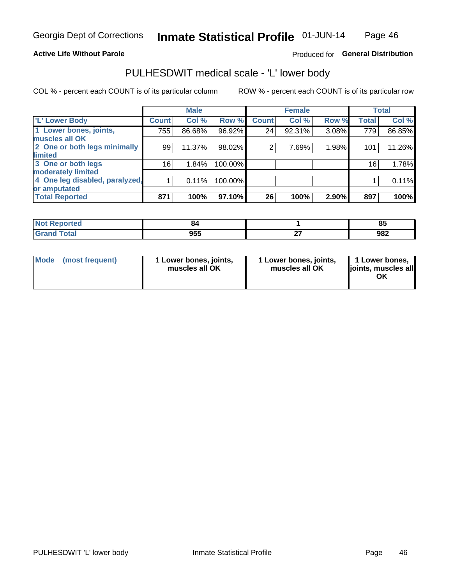#### **Active Life Without Parole**

### Produced for General Distribution

## PULHESDWIT medical scale - 'L' lower body

COL % - percent each COUNT is of its particular column

|                                |              | <b>Male</b> |         |                | <b>Female</b> |       |              | <b>Total</b> |
|--------------------------------|--------------|-------------|---------|----------------|---------------|-------|--------------|--------------|
| 'L' Lower Body                 | <b>Count</b> | Col %       | Row %   | <b>Count</b>   | Col %         | Row % | <b>Total</b> | Col %        |
| 1 Lower bones, joints,         | 755          | 86.68%      | 96.92%  | 24             | 92.31%        | 3.08% | 779          | 86.85%       |
| muscles all OK                 |              |             |         |                |               |       |              |              |
| 2 One or both legs minimally   | 99           | 11.37%      | 98.02%  | $\overline{2}$ | 7.69%         | 1.98% | 101          | 11.26%       |
| limited                        |              |             |         |                |               |       |              |              |
| 3 One or both legs             | 16           | 1.84%       | 100.00% |                |               |       | 16           | 1.78%        |
| moderately limited             |              |             |         |                |               |       |              |              |
| 4 One leg disabled, paralyzed, |              | 0.11%       | 100.00% |                |               |       |              | 0.11%        |
| or amputated                   |              |             |         |                |               |       |              |              |
| <b>Total Reported</b>          | 871          | 100%        | 97.10%  | 26             | 100%          | 2.90% | 897          | 100%         |

| orted<br><b>NOT REDO</b><br>$\sim$ . The set of $\sim$ | Ω£                |     | ОΙ<br>o. |
|--------------------------------------------------------|-------------------|-----|----------|
| <b>Total</b>                                           | <b>OEE</b><br>ນວວ | . . | 982      |

| Mode | (most frequent) | 1 Lower bones, joints,<br>muscles all OK | 1 Lower bones, joints,<br>muscles all OK | 1 Lower bones,<br>ljoints, muscles all<br>ΟK |
|------|-----------------|------------------------------------------|------------------------------------------|----------------------------------------------|
|------|-----------------|------------------------------------------|------------------------------------------|----------------------------------------------|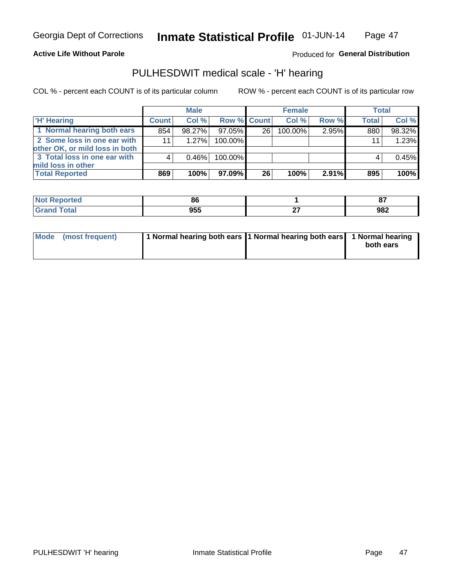**Active Life Without Parole** 

Produced for General Distribution

## PULHESDWIT medical scale - 'H' hearing

COL % - percent each COUNT is of its particular column

|                                                               |              | <b>Male</b> |                    |    | <b>Female</b> |       | <b>Total</b> |        |
|---------------------------------------------------------------|--------------|-------------|--------------------|----|---------------|-------|--------------|--------|
| <b>H' Hearing</b>                                             | <b>Count</b> | Col %       | <b>Row % Count</b> |    | Col %         | Row % | <b>Total</b> | Col %  |
| 1 Normal hearing both ears                                    | 854          | 98.27%      | 97.05%             | 26 | 100.00%       | 2.95% | 880          | 98.32% |
| 2 Some loss in one ear with<br>other OK, or mild loss in both | 11           | 1.27%       | 100.00%            |    |               |       | 11           | 1.23%  |
| 3 Total loss in one ear with                                  | 4            | $0.46\%$    | 100.00%            |    |               |       | 4            | 0.45%  |
| mild loss in other<br><b>Total Reported</b>                   | 869          | 100%        | 97.09%             | 26 | 100%          | 2.91% | 895          | 100%   |

| rted. | ox                |          | $\sim$<br>o, |
|-------|-------------------|----------|--------------|
|       | <b>OEE</b><br>JJJ | $-$<br>. | 982          |

| Mode (most frequent) | 1 Normal hearing both ears 1 Normal hearing both ears 1 Normal hearing | both ears |
|----------------------|------------------------------------------------------------------------|-----------|
|                      |                                                                        |           |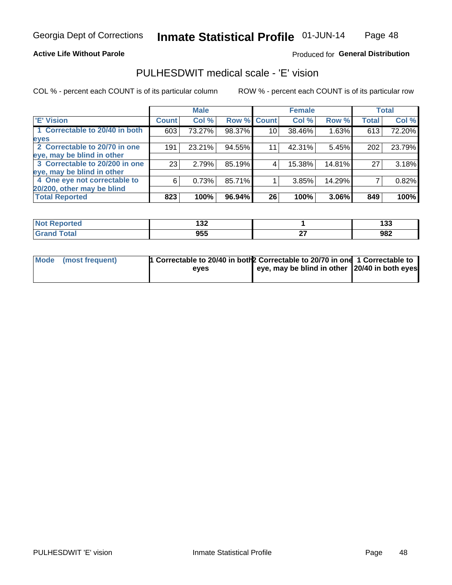**Active Life Without Parole** 

### Produced for General Distribution

## PULHESDWIT medical scale - 'E' vision

COL % - percent each COUNT is of its particular column

|                                |              | <b>Male</b> |             |    | <b>Female</b> |        |              | <b>Total</b> |
|--------------------------------|--------------|-------------|-------------|----|---------------|--------|--------------|--------------|
| 'E' Vision                     | <b>Count</b> | Col %       | Row % Count |    | Col %         | Row %  | <b>Total</b> | Col %        |
| 1 Correctable to 20/40 in both | 603          | 73.27%      | 98.37%      | 10 | 38.46%        | 1.63%  | 613          | 72.20%       |
| eyes                           |              |             |             |    |               |        |              |              |
| 2 Correctable to 20/70 in one  | 191          | 23.21%      | 94.55%      | 11 | 42.31%        | 5.45%  | 202          | 23.79%       |
| eye, may be blind in other     |              |             |             |    |               |        |              |              |
| 3 Correctable to 20/200 in one | 23           | 2.79%       | 85.19%      |    | 15.38%        | 14.81% | 27           | 3.18%        |
| eye, may be blind in other     |              |             |             |    |               |        |              |              |
| 4 One eye not correctable to   | 6            | 0.73%       | 85.71%      |    | 3.85%         | 14.29% |              | 0.82%        |
| 20/200, other may be blind     |              |             |             |    |               |        |              |              |
| <b>Total Reported</b>          | 823          | 100%        | 96.94%      | 26 | 100%          | 3.06%  | 849          | 100%         |

| ా∩rted                | 422        |          | ה הו |
|-----------------------|------------|----------|------|
| NO                    | <b>___</b> |          | 199  |
| Total<br><b>C.A.A</b> | 955        | ~-<br>-- | 982  |

| Mode (most frequent) | 1 Correctable to 20/40 in both 2 Correctable to 20/70 in one 1 Correctable to |                                               |  |
|----------------------|-------------------------------------------------------------------------------|-----------------------------------------------|--|
|                      | eves                                                                          | eye, may be blind in other 20/40 in both eyes |  |
|                      |                                                                               |                                               |  |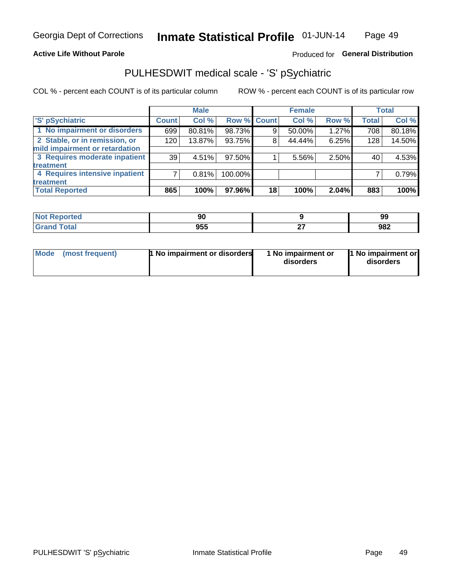### **Active Life Without Parole**

### Produced for General Distribution

## PULHESDWIT medical scale - 'S' pSychiatric

COL % - percent each COUNT is of its particular column

|                                |              | <b>Male</b> |         |             | <b>Female</b> |       |              | <b>Total</b> |
|--------------------------------|--------------|-------------|---------|-------------|---------------|-------|--------------|--------------|
| 'S' pSychiatric                | <b>Count</b> | Col %       |         | Row % Count | Col %         | Row % | <b>Total</b> | Col %        |
| 1 No impairment or disorders   | 699          | 80.81%      | 98.73%  | 9           | 50.00%        | 1.27% | 708          | 80.18%       |
| 2 Stable, or in remission, or  | 120          | 13.87%      | 93.75%  | 8           | 44.44%        | 6.25% | 128          | 14.50%       |
| mild impairment or retardation |              |             |         |             |               |       |              |              |
| 3 Requires moderate inpatient  | 39           | 4.51%       | 97.50%  |             | 5.56%         | 2.50% | 40           | 4.53%        |
| <b>treatment</b>               |              |             |         |             |               |       |              |              |
| 4 Requires intensive inpatient |              | 0.81%       | 100.00% |             |               |       |              | 0.79%        |
| <b>treatment</b>               |              |             |         |             |               |       |              |              |
| <b>Total Reported</b>          | 865          | 100%        | 97.96%  | 18          | 100%          | 2.04% | 883          | 100%         |

| 77 M.L | $\mathbf{a}$<br>ึงบ |    | 99  |
|--------|---------------------|----|-----|
|        | 955                 | -- | 982 |

| Mode | (most frequent) | <b>1 No impairment or disorders</b> | 1 No impairment or<br>disorders | 11 No impairment or<br>disorders |
|------|-----------------|-------------------------------------|---------------------------------|----------------------------------|
|------|-----------------|-------------------------------------|---------------------------------|----------------------------------|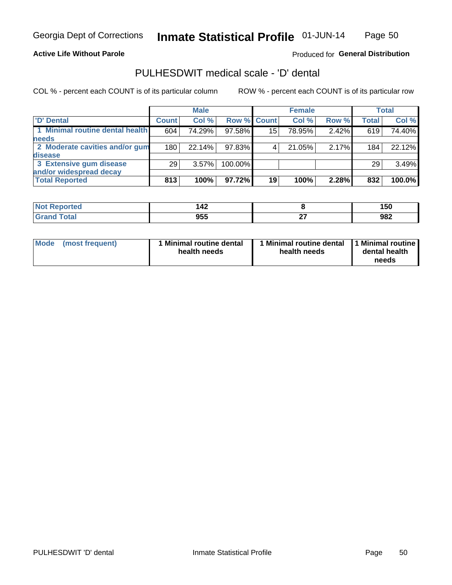#### **Active Life Without Parole**

### Produced for General Distribution

## PULHESDWIT medical scale - 'D' dental

COL % - percent each COUNT is of its particular column

|                                 |              | <b>Male</b> |         |             | <b>Female</b> |       |              | Total  |
|---------------------------------|--------------|-------------|---------|-------------|---------------|-------|--------------|--------|
| 'D' Dental                      | <b>Count</b> | Col %       |         | Row % Count | Col %         | Row % | <b>Total</b> | Col %  |
| 1 Minimal routine dental health | 604          | 74.29%      | 97.58%  | 15          | 78.95%        | 2.42% | 619          | 74.40% |
| <b>needs</b>                    |              |             |         |             |               |       |              |        |
| 2 Moderate cavities and/or gum  | 180          | 22.14%      | 97.83%  |             | 21.05%        | 2.17% | 184          | 22.12% |
| disease                         |              |             |         |             |               |       |              |        |
| 3 Extensive gum disease         | 29           | 3.57%       | 100.00% |             |               |       | 29           | 3.49%  |
| and/or widespread decay         |              |             |         |             |               |       |              |        |
| <b>Total Reported</b>           | 813          | 100%        | 97.72%  | 19          | 100%          | 2.28% | 832          | 100.0% |

| prτea<br>NOT F<br> | $\overline{\phantom{a}}$<br>174 |         | 150 |
|--------------------|---------------------------------|---------|-----|
| <b>ota</b>         | 955                             | <br>. . | 982 |

| Mode<br>(most frequent) | Minimal routine dental<br>health needs | <b>Minimal routine dental</b><br>health needs | 1 Minimal routine<br>dental health<br>needs |
|-------------------------|----------------------------------------|-----------------------------------------------|---------------------------------------------|
|-------------------------|----------------------------------------|-----------------------------------------------|---------------------------------------------|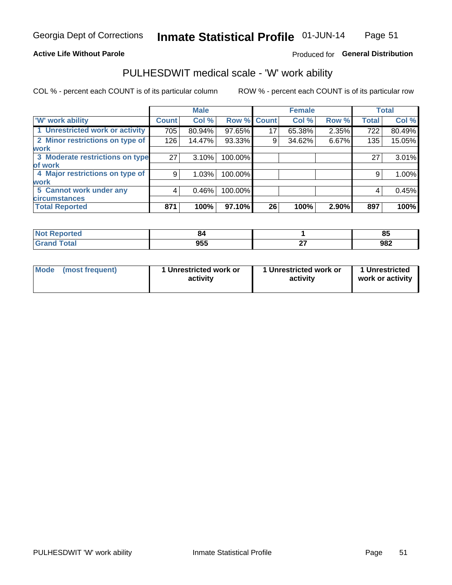#### **Active Life Without Parole**

### Produced for General Distribution

## PULHESDWIT medical scale - 'W' work ability

COL % - percent each COUNT is of its particular column

|                                 |              | <b>Male</b> |         |             | <b>Female</b> |       |              | <b>Total</b> |
|---------------------------------|--------------|-------------|---------|-------------|---------------|-------|--------------|--------------|
| <b>W' work ability</b>          | <b>Count</b> | Col %       |         | Row % Count | Col %         | Row % | <b>Total</b> | Col %        |
| 1 Unrestricted work or activity | 705          | 80.94%      | 97.65%  | 17          | 65.38%        | 2.35% | 722          | 80.49%       |
| 2 Minor restrictions on type of | 126          | 14.47%      | 93.33%  | 9           | 34.62%        | 6.67% | 135          | 15.05%       |
| <b>work</b>                     |              |             |         |             |               |       |              |              |
| 3 Moderate restrictions on type | 27           | 3.10%       | 100.00% |             |               |       | 27           | 3.01%        |
| lof work                        |              |             |         |             |               |       |              |              |
| 4 Major restrictions on type of | 9            | 1.03%       | 100.00% |             |               |       | 9            | 1.00%        |
| <b>work</b>                     |              |             |         |             |               |       |              |              |
| 5 Cannot work under any         | 4            | 0.46%       | 100.00% |             |               |       | 4            | 0.45%        |
| <b>circumstances</b>            |              |             |         |             |               |       |              |              |
| <b>Total Reported</b>           | 871          | 100%        | 97.10%  | 26          | 100%          | 2.90% | 897          | 100%         |

| <b>Not Reported</b> | o.  |           | $\alpha$<br>œ |
|---------------------|-----|-----------|---------------|
| <b>Grand Total</b>  | 955 | ~-<br>- - | 982           |

| <b>Mode</b> | (most frequent) | 1 Unrestricted work or<br>activity | 1 Unrestricted work or<br>activity | 1 Unrestricted<br>work or activity |
|-------------|-----------------|------------------------------------|------------------------------------|------------------------------------|
|-------------|-----------------|------------------------------------|------------------------------------|------------------------------------|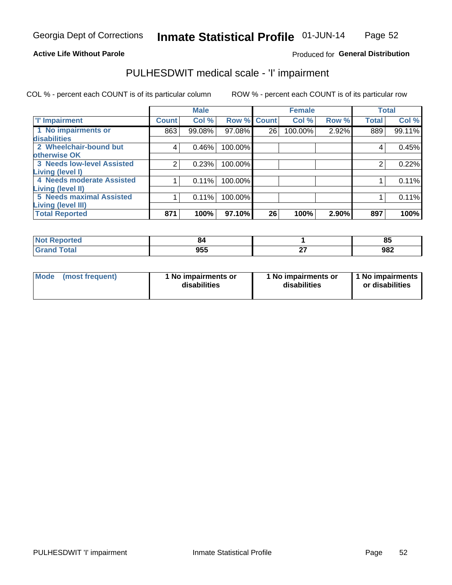#### **Active Life Without Parole**

### Produced for General Distribution

## PULHESDWIT medical scale - 'I' impairment

|                                   |              | <b>Male</b> |             |    | <b>Female</b> |       |              | <b>Total</b> |
|-----------------------------------|--------------|-------------|-------------|----|---------------|-------|--------------|--------------|
| <b>T' Impairment</b>              | <b>Count</b> | Col %       | Row % Count |    | Col %         | Row % | <b>Total</b> | Col %        |
| 1 No impairments or               | 863          | 99.08%      | 97.08%      | 26 | 100.00%       | 2.92% | 889          | 99.11%       |
| disabilities                      |              |             |             |    |               |       |              |              |
| 2 Wheelchair-bound but            | 4            | 0.46%       | 100.00%     |    |               |       | 4            | 0.45%        |
| otherwise OK                      |              |             |             |    |               |       |              |              |
| <b>3 Needs low-level Assisted</b> | 2            | 0.23%       | 100.00%     |    |               |       | 2            | 0.22%        |
| Living (level I)                  |              |             |             |    |               |       |              |              |
| 4 Needs moderate Assisted         |              | 0.11%       | 100.00%     |    |               |       |              | 0.11%        |
| Living (level II)                 |              |             |             |    |               |       |              |              |
| <b>5 Needs maximal Assisted</b>   |              | 0.11%       | 100.00%     |    |               |       |              | 0.11%        |
| <b>Living (level III)</b>         |              |             |             |    |               |       |              |              |
| <b>Total Reported</b>             | 871          | 100%        | 97.10%      | 26 | 100%          | 2.90% | 897          | 100%         |

| Reported | 84  |    | --<br>. .<br>ື |
|----------|-----|----|----------------|
|          | 955 | -- | 982            |

| <b>Mode</b>     | l No impairments or | 1 No impairments or | 1 No impairments |
|-----------------|---------------------|---------------------|------------------|
| (most frequent) | disabilities        | disabilities        | or disabilities  |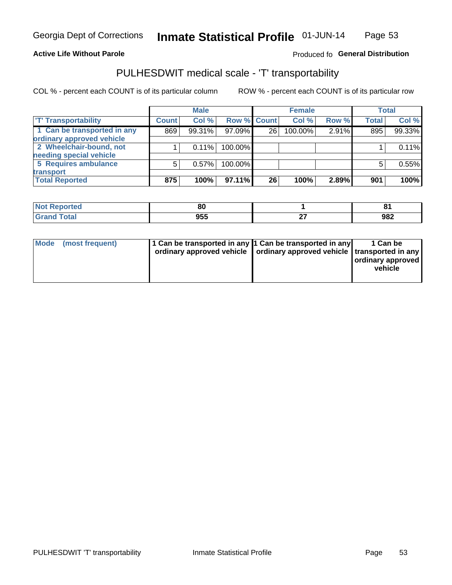#### **Active Life Without Parole**

### Produced fo General Distribution

## PULHESDWIT medical scale - 'T' transportability

COL % - percent each COUNT is of its particular column

|                             |              | <b>Male</b> |             |    | <b>Female</b> |       |              | <b>Total</b> |
|-----------------------------|--------------|-------------|-------------|----|---------------|-------|--------------|--------------|
| <b>T' Transportability</b>  | <b>Count</b> | Col %       | Row % Count |    | Col %         | Row % | <b>Total</b> | Col %        |
| 1 Can be transported in any | 869          | 99.31%      | 97.09%      | 26 | 100.00%       | 2.91% | 895          | 99.33%       |
| ordinary approved vehicle   |              |             |             |    |               |       |              |              |
| 2 Wheelchair-bound, not     |              | 0.11%       | 100.00%     |    |               |       |              | 0.11%        |
| needing special vehicle     |              |             |             |    |               |       |              |              |
| 5 Requires ambulance        | 5            | 0.57%       | 100.00%     |    |               |       |              | 0.55%        |
| transport                   |              |             |             |    |               |       |              |              |
| <b>Total Reported</b>       | 875          | 100%        | 97.11%      | 26 | 100%          | 2.89% | 901          | 100%         |

| Reported     | 80  | о4         |
|--------------|-----|------------|
| <b>Total</b> | 955 | ດຂາ<br>JOL |

| Mode | (most frequent) | 1 Can be transported in any 1 Can be transported in any | ordinary approved vehicle   ordinary approved vehicle   transported in any | 1 Can be<br>  ordinary approved<br>vehicle |
|------|-----------------|---------------------------------------------------------|----------------------------------------------------------------------------|--------------------------------------------|
|      |                 |                                                         |                                                                            |                                            |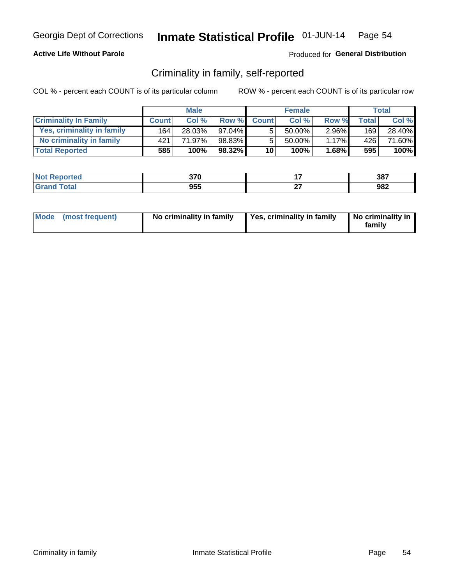### **Active Life Without Parole**

### Produced for General Distribution

## Criminality in family, self-reported

COL % - percent each COUNT is of its particular column

|                              | <b>Male</b>  |        | <b>Female</b> |                 |        | Total    |       |        |
|------------------------------|--------------|--------|---------------|-----------------|--------|----------|-------|--------|
| <b>Criminality In Family</b> | <b>Count</b> | Col %  | Row %         | <b>Count</b>    | Col %  | Row %    | Total | Col %  |
| Yes, criminality in family   | 164          | 28.03% | $97.04\%$     | 5               | 50.00% | $2.96\%$ | 169   | 28.40% |
| No criminality in family     | 421          | 71.97% | 98.83%        | 5               | 50.00% | 1.17%    | 426   | 71.60% |
| <b>Total Reported</b>        | 585          | 100%   | $98.32\%$     | 10 <sup>1</sup> | 100%   | 1.68%    | 595   | 100%   |

| <b>Not Reported</b> | 270<br>ง เ บ | 387 |
|---------------------|--------------|-----|
| <b>Total</b>        | 955          | 982 |

|  | Mode (most frequent) | No criminality in family | Yes, criminality in family | No criminality in<br>family |
|--|----------------------|--------------------------|----------------------------|-----------------------------|
|--|----------------------|--------------------------|----------------------------|-----------------------------|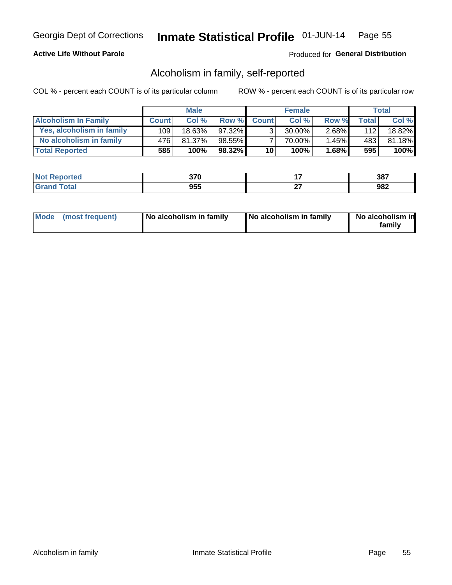### **Active Life Without Parole**

### Produced for General Distribution

## Alcoholism in family, self-reported

COL % - percent each COUNT is of its particular column

|                             | <b>Male</b>  |           | <b>Female</b> |                 |           | Total    |       |        |
|-----------------------------|--------------|-----------|---------------|-----------------|-----------|----------|-------|--------|
| <b>Alcoholism In Family</b> | <b>Count</b> | Col %     | Row %         | <b>Count</b>    | Col%      | Row %    | Total | Col %  |
| Yes, alcoholism in family   | 109          | $18.63\%$ | $97.32\%$     | $\mathbf{r}$    | $30.00\%$ | $2.68\%$ | 112   | 18.82% |
| No alcoholism in family     | 476'         | 81.37%    | $98.55\%$     |                 | 70.00%    | $1.45\%$ | 483   | 81.18% |
| <b>Total Reported</b>       | 585          | 100%      | 98.32%        | 10 <sub>1</sub> | 100%      | $1.68\%$ | 595   | 100%   |

| <b>Not Reported</b>          | <b>270</b><br>ט וע |           | 387 |
|------------------------------|--------------------|-----------|-----|
| <b>Total</b><br><b>Grand</b> | 955                | ~-<br>. . | 982 |

|  | Mode (most frequent) | No alcoholism in family | No alcoholism in family | No alcoholism in<br>family |
|--|----------------------|-------------------------|-------------------------|----------------------------|
|--|----------------------|-------------------------|-------------------------|----------------------------|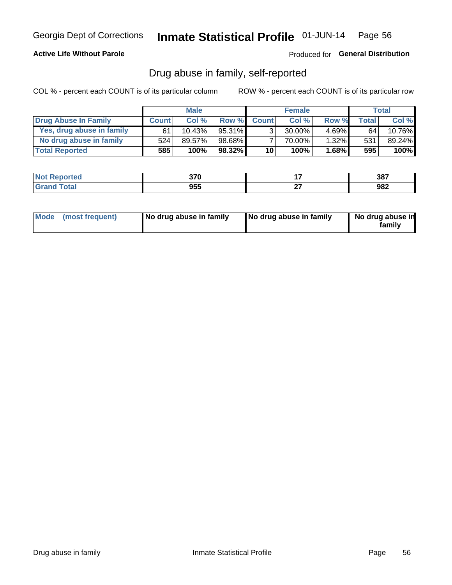### **Active Life Without Parole**

### Produced for General Distribution

## Drug abuse in family, self-reported

COL % - percent each COUNT is of its particular column

|                           | <b>Male</b>  |        | <b>Female</b> |                 |           | <b>Total</b> |        |        |
|---------------------------|--------------|--------|---------------|-----------------|-----------|--------------|--------|--------|
| Drug Abuse In Family      | <b>Count</b> | Col%   | Row %         | <b>Count</b>    | Col%      | Row %        | Total. | Col %  |
| Yes, drug abuse in family | 61           | 10.43% | $95.31\%$     | 3 <sub>1</sub>  | $30.00\%$ | $4.69\%$     | 64     | 10.76% |
| No drug abuse in family   | 524          | 89.57% | 98.68%        |                 | 70.00%    | $1.32\%$     | 531    | 89.24% |
| <b>Total Reported</b>     | 585          | 100%   | 98.32%        | 10 <sup>1</sup> | $100\%$   | $1.68\%$     | 595    | 100%   |

| <b>Not Reported</b> | 270       |           | 387 |
|---------------------|-----------|-----------|-----|
| "otal<br>l Gran     | 요지<br>ນວວ | ~-<br>. . | 982 |

|  | Mode (most frequent) | No drug abuse in family | No drug abuse in family | No drug abuse in<br>family |
|--|----------------------|-------------------------|-------------------------|----------------------------|
|--|----------------------|-------------------------|-------------------------|----------------------------|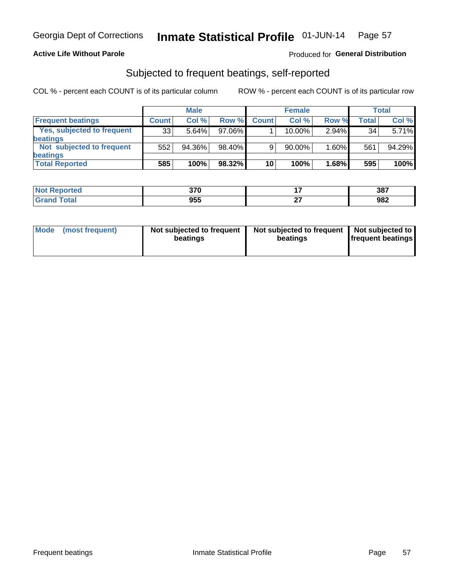### **Active Life Without Parole**

### Produced for General Distribution

## Subjected to frequent beatings, self-reported

COL % - percent each COUNT is of its particular column

|                                   |              | <b>Male</b> |           |              | <b>Female</b> |          |       | Total  |
|-----------------------------------|--------------|-------------|-----------|--------------|---------------|----------|-------|--------|
| <b>Frequent beatings</b>          | <b>Count</b> | Col %       | Row %     | <b>Count</b> | Col %         | Row %    | Total | Col %  |
| <b>Yes, subjected to frequent</b> | 33           | 5.64%       | 97.06%    |              | 10.00%        | $2.94\%$ | 34    | 5.71%  |
| <b>beatings</b>                   |              |             |           |              |               |          |       |        |
| Not subjected to frequent         | 552          | 94.36%      | 98.40%    | 9            | 90.00%        | 1.60%    | 561   | 94.29% |
| <b>beatings</b>                   |              |             |           |              |               |          |       |        |
| <b>Total Reported</b>             | 585          | 100%        | $98.32\%$ | 10           | 100%          | 1.68%    | 595   | 100%   |

| <b>Not Reported</b>   | 270<br>ง เ บ |        | 387 |
|-----------------------|--------------|--------|-----|
| <b>Total</b><br>Grand | 955          | $\sim$ | 982 |

| Mode (most frequent) | Not subjected to frequent<br>beatings | Not subjected to frequent<br>beatings | Not subjected to<br><b>frequent beatings</b> |
|----------------------|---------------------------------------|---------------------------------------|----------------------------------------------|
|                      |                                       |                                       |                                              |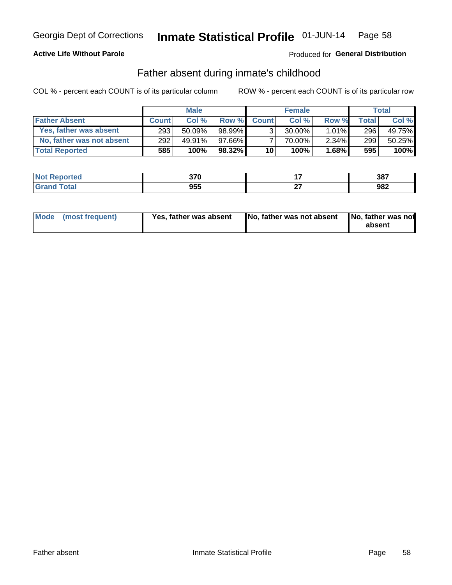### **Active Life Without Parole**

### Produced for General Distribution

## Father absent during inmate's childhood

COL % - percent each COUNT is of its particular column

|                           | <b>Male</b>      |           | <b>Female</b> |              |           | <b>Total</b> |              |        |
|---------------------------|------------------|-----------|---------------|--------------|-----------|--------------|--------------|--------|
| <b>Father Absent</b>      | <b>Count</b>     | Col%      | Row %         | <b>Count</b> | Col%      | Row %        | <b>Total</b> | Col %  |
| Yes, father was absent    | 293 <sub>1</sub> | $50.09\%$ | 98.99%        | 3            | $30.00\%$ | $1.01\%$     | 296          | 49.75% |
| No, father was not absent | 292              | 49.91%    | 97.66%I       |              | 70.00%    | $2.34\%$     | 299          | 50.25% |
| <b>Total Reported</b>     | 585              | $100\%$   | $98.32\%$     | 10           | 100%      | $1.68\%$     | 595          | 100%   |

| <b>Not Reported</b>   | 270<br>ง เ บ |    | 387 |
|-----------------------|--------------|----|-----|
| Гоtal<br><b>Grand</b> | 955          | -- | 982 |

| Mode (most frequent) |  | Yes, father was absent | No, father was not absent   No, father was not | absent |
|----------------------|--|------------------------|------------------------------------------------|--------|
|----------------------|--|------------------------|------------------------------------------------|--------|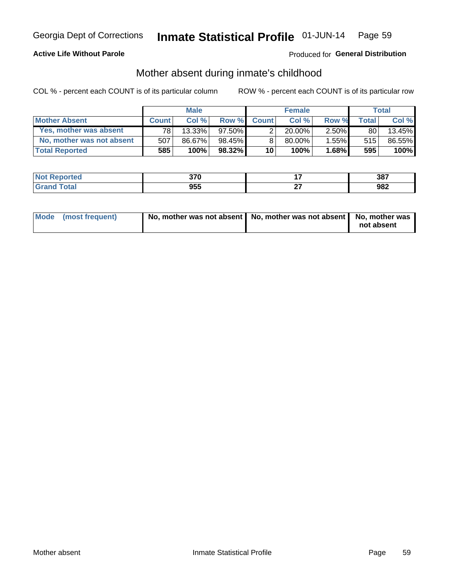### **Active Life Without Parole**

### Produced for General Distribution

## Mother absent during inmate's childhood

COL % - percent each COUNT is of its particular column

|                           | <b>Male</b>  |        | <b>Female</b> |                 |           | Total    |       |        |
|---------------------------|--------------|--------|---------------|-----------------|-----------|----------|-------|--------|
| <b>Mother Absent</b>      | <b>Count</b> | Col%   | Row %         | <b>Count</b>    | Col%      | Row %    | Total | Col %  |
| Yes, mother was absent    | 781          | 13.33% | $97.50\%$     | 2               | $20.00\%$ | $2.50\%$ | 80    | 13.45% |
| No, mother was not absent | 507          | 86.67% | 98.45%        | 8               | 80.00%    | 1.55%    | 515   | 86.55% |
| <b>Total Reported</b>     | 585          | 100%   | $98.32\%$     | 10 <sup>1</sup> | 100%      | $1.68\%$ | 595   | 100%   |

| <b>Not Reported</b>          | <b>270</b><br>ט וע |           | 387 |
|------------------------------|--------------------|-----------|-----|
| <b>Total</b><br><b>Grand</b> | 955                | ~-<br>. . | 982 |

| Mode (most frequent) | No, mother was not absent   No, mother was not absent   No, mother was | not absent |
|----------------------|------------------------------------------------------------------------|------------|
|                      |                                                                        |            |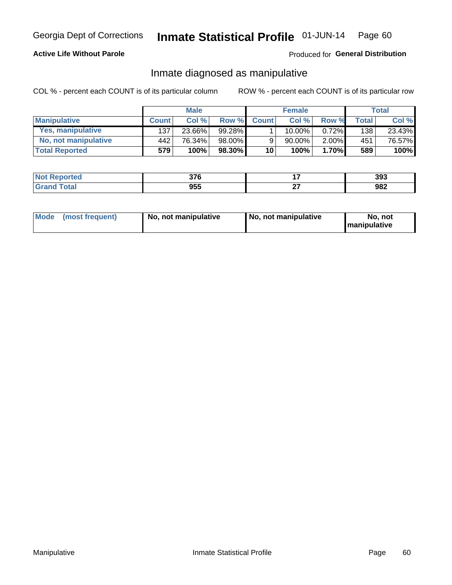### **Active Life Without Parole**

### Produced for General Distribution

## Inmate diagnosed as manipulative

COL % - percent each COUNT is of its particular column

|                       | <b>Male</b>  |        | <b>Female</b> |              |           | Total    |                    |        |
|-----------------------|--------------|--------|---------------|--------------|-----------|----------|--------------------|--------|
| <b>Manipulative</b>   | <b>Count</b> | Col%   | Row %         | <b>Count</b> | Col%      | Row %    | Total <sub>1</sub> | Col %  |
| Yes, manipulative     | 137          | 23.66% | 99.28%        |              | $10.00\%$ | 0.72%    | 138                | 23.43% |
| No, not manipulative  | 442          | 76.34% | 98.00%        | 9            | 90.00%    | $2.00\%$ | 451                | 76.57% |
| <b>Total Reported</b> | 579          | 100%   | 98.30%        | 10           | 100%      | 1.70%    | 589                | 100%   |

| <b>Not</b><br><b>Reported</b> | 27<br>JI U |    | 393 |
|-------------------------------|------------|----|-----|
| <b>ota</b><br>l Gran          | 955        | ~- | 982 |

|  | Mode (most frequent) | No, not manipulative | No, not manipulative | No. not<br><b>I</b> manipulative |
|--|----------------------|----------------------|----------------------|----------------------------------|
|--|----------------------|----------------------|----------------------|----------------------------------|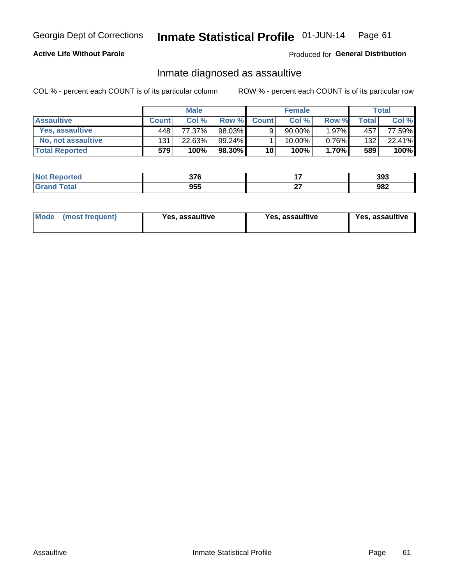#### Inmate Statistical Profile 01-JUN-14 Page 61

### **Active Life Without Parole**

Produced for General Distribution

## Inmate diagnosed as assaultive

COL % - percent each COUNT is of its particular column

|                        | <b>Male</b>  |        | <b>Female</b> |              |             | Total    |              |        |
|------------------------|--------------|--------|---------------|--------------|-------------|----------|--------------|--------|
| <b>Assaultive</b>      | <b>Count</b> | Col%   | Row %         | <b>Count</b> | Col %       | Row %    | <b>Total</b> | Col %  |
| <b>Yes. assaultive</b> | 448          | 77.37% | 98.03%        | 9            | $90.00\%$ . | $1.97\%$ | 457          | 77.59% |
| No, not assaultive     | 131          | 22.63% | $99.24\%$     |              | 10.00%      | 0.76%    | 132          | 22.41% |
| <b>Total Reported</b>  | 579          | 100%   | 98.30%        | 10           | $100\%$ .   | $1.70\%$ | 589          | 100%   |

| <b>Not Reported</b> | 27c<br>ט וע |           | 393 |
|---------------------|-------------|-----------|-----|
| <b>Grand Total</b>  | 955         | ~-<br>. . | 982 |

| Mode | (most frequent) | Yes, assaultive | Yes, assaultive | Yes, assaultive |
|------|-----------------|-----------------|-----------------|-----------------|
|------|-----------------|-----------------|-----------------|-----------------|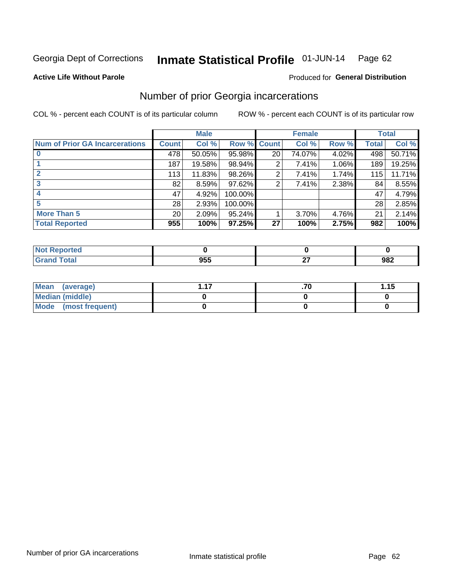#### Inmate Statistical Profile 01-JUN-14 Page 62

#### **Active Life Without Parole**

#### Produced for General Distribution

## Number of prior Georgia incarcerations

COL % - percent each COUNT is of its particular column

|                                       |                 | <b>Male</b> |           |                 | <b>Female</b> |          |       | <b>Total</b> |
|---------------------------------------|-----------------|-------------|-----------|-----------------|---------------|----------|-------|--------------|
| <b>Num of Prior GA Incarcerations</b> | <b>Count</b>    | Col %       | Row %     | <b>Count</b>    | Col %         | Row %    | Total | Col %        |
|                                       | 478             | 50.05%      | 95.98%    | 20 <sub>1</sub> | 74.07%        | 4.02%    | 498   | 50.71%       |
|                                       | 187             | 19.58%      | 98.94%    | 2               | 7.41%         | $1.06\%$ | 189   | 19.25%       |
|                                       | 113             | 11.83%      | 98.26%    | 2               | 7.41%         | 1.74%    | 115   | 11.71%       |
| 3                                     | 82              | 8.59%       | 97.62%    | 2               | 7.41%         | 2.38%    | 84    | 8.55%        |
| 4                                     | 47              | 4.92%       | 100.00%   |                 |               |          | 47    | 4.79%        |
| 5                                     | 28              | 2.93%       | 100.00%   |                 |               |          | 28    | 2.85%        |
| <b>More Than 5</b>                    | 20 <sup>°</sup> | 2.09%       | $95.24\%$ |                 | 3.70%         | 4.76%    | 21    | 2.14%        |
| <b>Total Reported</b>                 | 955             | 100%        | 97.25%    | 27              | 100%          | 2.75%    | 982   | 100%         |

| тео |                |     |     |
|-----|----------------|-----|-----|
|     | ---<br>- - - - | . . | 982 |

| Mean (average)       |  | 1.15 |
|----------------------|--|------|
| Median (middle)      |  |      |
| Mode (most frequent) |  |      |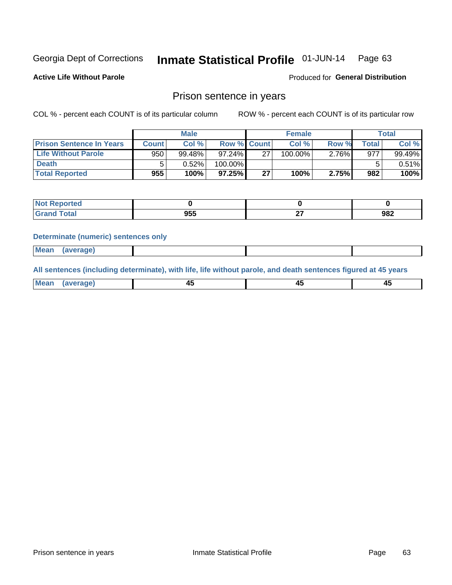#### Inmate Statistical Profile 01-JUN-14 Page 63

**Active Life Without Parole** 

Produced for General Distribution

## Prison sentence in years

COL % - percent each COUNT is of its particular column

ROW % - percent each COUNT is of its particular row

|                                 |              | <b>Male</b> |                    |    | <b>Female</b> |          |             | Total  |
|---------------------------------|--------------|-------------|--------------------|----|---------------|----------|-------------|--------|
| <b>Prison Sentence In Years</b> | <b>Count</b> | Col %       | <b>Row % Count</b> |    | Col %         | Row %    | $\tau$ otal | Col %  |
| <b>Life Without Parole</b>      | 950          | 99.48%      | 97.24%             | 27 | 100.00%       | $2.76\%$ | 977         | 99.49% |
| <b>Death</b>                    |              | $0.52\%$    | 100.00%            |    |               |          |             | 0.51%  |
| <b>Total Reported</b>           | 955          | 100%        | 97.25%             | 27 | 100%          | 2.75%    | 982         | 100%   |

| keported     |     |     |
|--------------|-----|-----|
| <b>cotal</b> | 955 | 982 |

#### **Determinate (numeric) sentences only**

| ' Mea<br><b>Service</b> A<br>ЯМА. |  |  |  |
|-----------------------------------|--|--|--|
|                                   |  |  |  |

All sentences (including determinate), with life, life without parole, and death sentences figured at 45 years

| MС<br>a r -<br>-- |         |  |  |
|-------------------|---------|--|--|
|                   | ------- |  |  |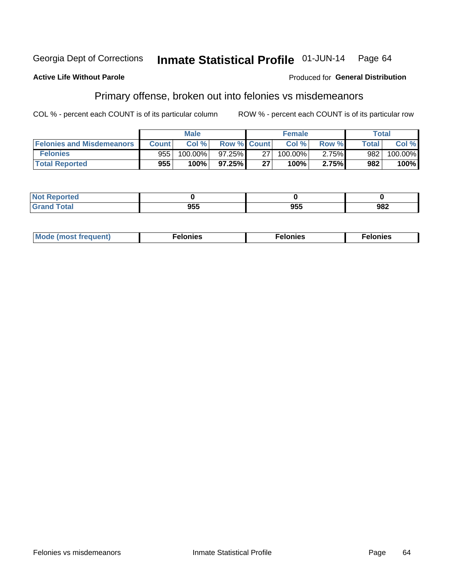#### **Active Life Without Parole**

### **Produced for General Distribution**

## Primary offense, broken out into felonies vs misdemeanors

COL % - percent each COUNT is of its particular column

|                                  |              | <b>Male</b> |                    |    | <b>Female</b> |       | Total        |         |
|----------------------------------|--------------|-------------|--------------------|----|---------------|-------|--------------|---------|
| <b>Felonies and Misdemeanors</b> | <b>Count</b> | Col%        | <b>Row % Count</b> |    | Col%          | Row % | <b>Total</b> | Col %   |
| <b>Felonies</b>                  | 955          | 100.00%     | 97.25%             | 27 | 100.00%       | 2.75% | 982          | 100.00% |
| <b>Total Reported</b>            | 955          | $100\%$     | 97.25%             | 27 | 100%          | 2.75% | 982          | 100%    |

| <b>Not Reported</b>         |           |     |     |
|-----------------------------|-----------|-----|-----|
| <b>Total</b><br>Gran<br>uuu | ---<br>טע | 955 | 982 |

| $Mc$<br>equent)<br>нез<br>$\sim$<br>. | onies<br>. | <b>onies</b><br>. |
|---------------------------------------|------------|-------------------|
|---------------------------------------|------------|-------------------|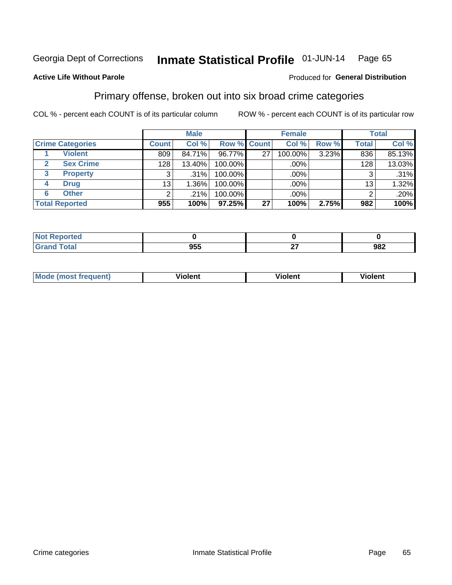#### Inmate Statistical Profile 01-JUN-14 Page 65

### **Active Life Without Parole**

#### Produced for General Distribution

## Primary offense, broken out into six broad crime categories

COL % - percent each COUNT is of its particular column

|                         |                 | <b>Male</b> |         |                    | <b>Female</b> |       |                  | <b>Total</b> |
|-------------------------|-----------------|-------------|---------|--------------------|---------------|-------|------------------|--------------|
| <b>Crime Categories</b> | <b>Count</b>    | Col %       |         | <b>Row % Count</b> | Col %         | Row % | <b>Total</b>     | Col %        |
| <b>Violent</b>          | 809             | 84.71%      | 96.77%  | 27                 | 100.00%       | 3.23% | 836              | 85.13%       |
| <b>Sex Crime</b>        | 128             | 13.40%      | 100.00% |                    | .00%          |       | 128 <sub>1</sub> | 13.03%       |
| <b>Property</b><br>3    | 3               | .31%        | 100.00% |                    | .00%          |       |                  | .31%         |
| <b>Drug</b><br>4        | 13 <sub>1</sub> | $1.36\%$    | 100.00% |                    | .00%          |       | 13               | 1.32%        |
| <b>Other</b><br>6       | 2               | .21%        | 100.00% |                    | .00%          |       | ⌒                | .20%         |
| <b>Total Reported</b>   | 955             | 100%        | 97.25%  | 27                 | 100%          | 2.75% | 982              | 100%         |

| <b>Not Reported</b> |                   |              |     |
|---------------------|-------------------|--------------|-----|
| <b>Total</b>        | <b>OEE</b><br>ຍວວ | $\sim$<br>-- | 982 |

| М | ,,, | - -- -<br>וחו | m |
|---|-----|---------------|---|
|   |     |               |   |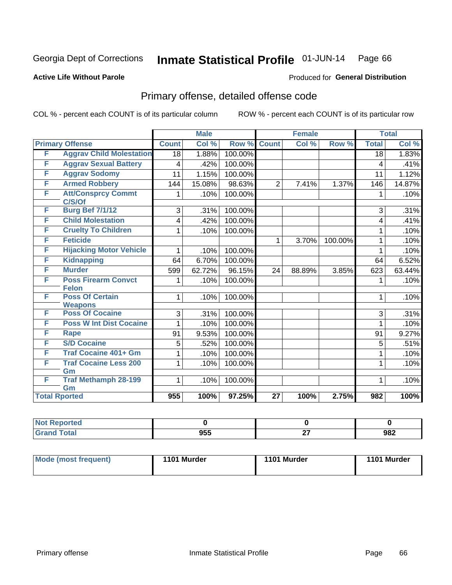#### Inmate Statistical Profile 01-JUN-14 Page 66

### **Active Life Without Parole**

#### Produced for General Distribution

## Primary offense, detailed offense code

COL % - percent each COUNT is of its particular column

|   |                                          |                 | <b>Male</b>                |         |                 | <b>Female</b> |         |                  | <b>Total</b> |
|---|------------------------------------------|-----------------|----------------------------|---------|-----------------|---------------|---------|------------------|--------------|
|   | <b>Primary Offense</b>                   | <b>Count</b>    | $\overline{\text{Col }^9}$ | Row %   | <b>Count</b>    | Col %         | Row %   | <b>Total</b>     | Col %        |
| F | <b>Aggrav Child Molestation</b>          | $\overline{18}$ | 1.88%                      | 100.00% |                 |               |         | $\overline{18}$  | 1.83%        |
| F | <b>Aggrav Sexual Battery</b>             | 4               | .42%                       | 100.00% |                 |               |         | 4                | .41%         |
| F | <b>Aggrav Sodomy</b>                     | 11              | 1.15%                      | 100.00% |                 |               |         | 11               | 1.12%        |
| F | <b>Armed Robbery</b>                     | 144             | 15.08%                     | 98.63%  | $\overline{2}$  | 7.41%         | 1.37%   | 146              | 14.87%       |
| F | <b>Att/Consprcy Commt</b>                | 1               | .10%                       | 100.00% |                 |               |         | 1                | .10%         |
|   | C/S/Of                                   |                 |                            |         |                 |               |         |                  |              |
| F | <b>Burg Bef 7/1/12</b>                   | 3               | .31%                       | 100.00% |                 |               |         | 3                | .31%         |
| F | <b>Child Molestation</b>                 | 4               | .42%                       | 100.00% |                 |               |         | 4                | .41%         |
| F | <b>Cruelty To Children</b>               | 1               | .10%                       | 100.00% |                 |               |         | 1                | .10%         |
| F | <b>Feticide</b>                          |                 |                            |         | $\mathbf 1$     | 3.70%         | 100.00% | 1                | .10%         |
| F | <b>Hijacking Motor Vehicle</b>           | 1               | .10%                       | 100.00% |                 |               |         | 1                | .10%         |
| F | <b>Kidnapping</b>                        | 64              | 6.70%                      | 100.00% |                 |               |         | 64               | 6.52%        |
| F | <b>Murder</b>                            | 599             | 62.72%                     | 96.15%  | 24              | 88.89%        | 3.85%   | 623              | 63.44%       |
| F | <b>Poss Firearm Convct</b>               | 1               | .10%                       | 100.00% |                 |               |         | 1                | .10%         |
|   | <b>Felon</b>                             |                 |                            |         |                 |               |         |                  |              |
| F | <b>Poss Of Certain</b><br><b>Weapons</b> | 1               | .10%                       | 100.00% |                 |               |         | 1                | .10%         |
| F | <b>Poss Of Cocaine</b>                   | 3               | .31%                       | 100.00% |                 |               |         | 3                | .31%         |
| F | <b>Poss W Int Dist Cocaine</b>           | 1               | .10%                       | 100.00% |                 |               |         | 1                | .10%         |
| F | Rape                                     | 91              | 9.53%                      | 100.00% |                 |               |         | 91               | 9.27%        |
| F | <b>S/D Cocaine</b>                       |                 |                            |         |                 |               |         |                  |              |
|   |                                          | 5               | .52%                       | 100.00% |                 |               |         | 5                | .51%         |
| F | <b>Traf Cocaine 401+ Gm</b>              |                 | .10%                       | 100.00% |                 |               |         | 1                | .10%         |
| F | <b>Traf Cocaine Less 200</b><br>Gm       | 1               | .10%                       | 100.00% |                 |               |         | 1                | .10%         |
| F | <b>Traf Methamph 28-199</b>              | 1               | .10%                       | 100.00% |                 |               |         | 1                | .10%         |
|   | Gm                                       |                 |                            |         |                 |               |         |                  |              |
|   | <b>Total Rported</b>                     | 955             | 100%                       | 97.25%  | $\overline{27}$ | 100%          | 2.75%   | $\overline{982}$ | 100%         |

| rted         |     |        |     |
|--------------|-----|--------|-----|
| <b>Total</b> | 955 | $\sim$ | 982 |

| <b>Mode (most frequent)</b> | 1101 Murder | 1101 Murder | 1101 Murder |
|-----------------------------|-------------|-------------|-------------|
|                             |             |             |             |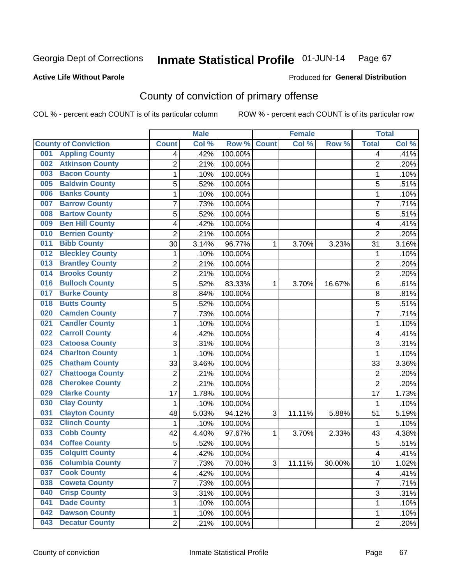#### **Active Life Without Parole**

### Produced for **General Distribution**

## County of conviction of primary offense

|                                |                         | <b>Male</b> |         |              | <b>Female</b> |           |                | <b>Total</b> |
|--------------------------------|-------------------------|-------------|---------|--------------|---------------|-----------|----------------|--------------|
| <b>County of Conviction</b>    | <b>Count</b>            | Col %       | Row %   | <b>Count</b> | Col %         | Row %     | <b>Total</b>   | Col %        |
| <b>Appling County</b><br>001   | 4                       | .42%        | 100.00% |              |               |           | 4              | .41%         |
| <b>Atkinson County</b><br>002  | $\overline{2}$          | .21%        | 100.00% |              |               |           | $\overline{2}$ | .20%         |
| <b>Bacon County</b><br>003     | $\mathbf{1}$            | .10%        | 100.00% |              |               |           | 1              | .10%         |
| <b>Baldwin County</b><br>005   | 5                       | .52%        | 100.00% |              |               |           | 5              | .51%         |
| <b>Banks County</b><br>006     | $\mathbf{1}$            | .10%        | 100.00% |              |               |           | $\mathbf{1}$   | .10%         |
| <b>Barrow County</b><br>007    | $\overline{7}$          | .73%        | 100.00% |              |               |           | $\overline{7}$ | .71%         |
| <b>Bartow County</b><br>008    | 5                       | .52%        | 100.00% |              |               |           | 5              | .51%         |
| <b>Ben Hill County</b><br>009  | 4                       | .42%        | 100.00% |              |               |           | 4              | .41%         |
| <b>Berrien County</b><br>010   | $\overline{2}$          | .21%        | 100.00% |              |               |           | $\overline{2}$ | .20%         |
| <b>Bibb County</b><br>011      | 30                      | 3.14%       | 96.77%  | 1            | 3.70%         | 3.23%     | 31             | 3.16%        |
| <b>Bleckley County</b><br>012  | 1                       | .10%        | 100.00% |              |               |           | 1              | .10%         |
| <b>Brantley County</b><br>013  | $\overline{2}$          | .21%        | 100.00% |              |               |           | $\overline{2}$ | .20%         |
| <b>Brooks County</b><br>014    | $\overline{c}$          | .21%        | 100.00% |              |               |           | $\overline{2}$ | .20%         |
| <b>Bulloch County</b><br>016   | 5                       | .52%        | 83.33%  | 1            | 3.70%         | 16.67%    | 6              | .61%         |
| <b>Burke County</b><br>017     | 8                       | .84%        | 100.00% |              |               |           | 8              | .81%         |
| <b>Butts County</b><br>018     | 5                       | .52%        | 100.00% |              |               |           | 5              | .51%         |
| <b>Camden County</b><br>020    | 7                       | .73%        | 100.00% |              |               |           | $\overline{7}$ | .71%         |
| <b>Candler County</b><br>021   | $\mathbf{1}$            | .10%        | 100.00% |              |               |           | $\mathbf{1}$   | .10%         |
| <b>Carroll County</b><br>022   | 4                       | .42%        | 100.00% |              |               |           | 4              | .41%         |
| <b>Catoosa County</b><br>023   | 3                       | .31%        | 100.00% |              |               |           | 3              | .31%         |
| <b>Charlton County</b><br>024  | 1                       | .10%        | 100.00% |              |               |           | 1              | .10%         |
| <b>Chatham County</b><br>025   | 33                      | 3.46%       | 100.00% |              |               |           | 33             | 3.36%        |
| <b>Chattooga County</b><br>027 | $\overline{2}$          | .21%        | 100.00% |              |               |           | $\overline{2}$ | .20%         |
| <b>Cherokee County</b><br>028  | $\overline{2}$          | .21%        | 100.00% |              |               |           | $\overline{2}$ | .20%         |
| <b>Clarke County</b><br>029    | 17                      | 1.78%       | 100.00% |              |               |           | 17             | 1.73%        |
| <b>Clay County</b><br>030      | $\mathbf{1}$            | .10%        | 100.00% |              |               |           | 1              | .10%         |
| <b>Clayton County</b><br>031   | 48                      | 5.03%       | 94.12%  | 3            | 11.11%        | 5.88%     | 51             | 5.19%        |
| <b>Clinch County</b><br>032    | 1                       | .10%        | 100.00% |              |               |           | 1              | .10%         |
| <b>Cobb County</b><br>033      | 42                      | 4.40%       | 97.67%  | 1            | 3.70%         | 2.33%     | 43             | 4.38%        |
| <b>Coffee County</b><br>034    | 5                       | .52%        | 100.00% |              |               |           | 5              | .51%         |
| <b>Colquitt County</b><br>035  | 4                       | .42%        | 100.00% |              |               |           | 4              | .41%         |
| <b>Columbia County</b><br>036  | 7                       | .73%        | 70.00%  | 3            | 11.11%        | $30.00\%$ | 10             | 1.02%        |
| <b>Cook County</b><br>037      | $\overline{\mathbf{4}}$ | .42%        | 100.00% |              |               |           | $\overline{4}$ | .41%         |
| <b>Coweta County</b><br>038    | $\overline{7}$          | .73%        | 100.00% |              |               |           | $\overline{7}$ | .71%         |
| <b>Crisp County</b><br>040     | 3                       | .31%        | 100.00% |              |               |           | 3              | .31%         |
| <b>Dade County</b><br>041      | 1                       | .10%        | 100.00% |              |               |           | $\mathbf{1}$   | .10%         |
| <b>Dawson County</b><br>042    | 1                       | .10%        | 100.00% |              |               |           | 1              | .10%         |
| <b>Decatur County</b><br>043   | $\overline{2}$          | .21%        | 100.00% |              |               |           | $\overline{2}$ | .20%         |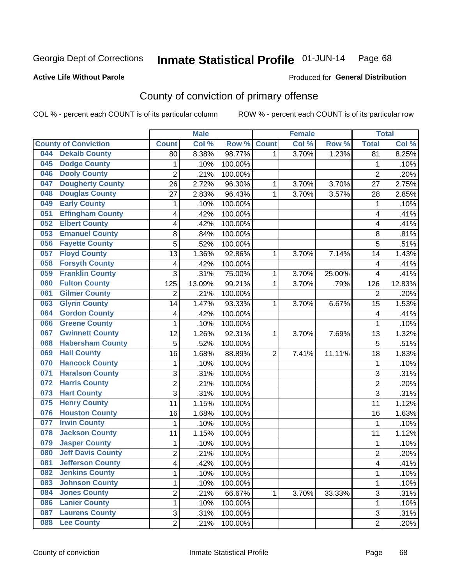#### **Active Life Without Parole**

#### Produced for **General Distribution**

## County of conviction of primary offense

|     |                             |                | <b>Male</b> |         |                | <b>Female</b> |        |                | <b>Total</b> |
|-----|-----------------------------|----------------|-------------|---------|----------------|---------------|--------|----------------|--------------|
|     | <b>County of Conviction</b> | <b>Count</b>   | Col %       | Row %   | <b>Count</b>   | Col %         | Row %  | <b>Total</b>   | Col %        |
| 044 | <b>Dekalb County</b>        | 80             | 8.38%       | 98.77%  | 1              | 3.70%         | 1.23%  | 81             | 8.25%        |
| 045 | <b>Dodge County</b>         | $\mathbf{1}$   | .10%        | 100.00% |                |               |        | 1              | .10%         |
| 046 | <b>Dooly County</b>         | $\overline{2}$ | .21%        | 100.00% |                |               |        | $\overline{2}$ | .20%         |
| 047 | <b>Dougherty County</b>     | 26             | 2.72%       | 96.30%  | 1              | 3.70%         | 3.70%  | 27             | 2.75%        |
| 048 | <b>Douglas County</b>       | 27             | 2.83%       | 96.43%  | $\mathbf{1}$   | 3.70%         | 3.57%  | 28             | 2.85%        |
| 049 | <b>Early County</b>         | 1              | .10%        | 100.00% |                |               |        | $\mathbf{1}$   | .10%         |
| 051 | <b>Effingham County</b>     | 4              | .42%        | 100.00% |                |               |        | 4              | .41%         |
| 052 | <b>Elbert County</b>        | 4              | .42%        | 100.00% |                |               |        | 4              | .41%         |
| 053 | <b>Emanuel County</b>       | 8              | .84%        | 100.00% |                |               |        | 8              | .81%         |
| 056 | <b>Fayette County</b>       | 5              | .52%        | 100.00% |                |               |        | 5              | .51%         |
| 057 | <b>Floyd County</b>         | 13             | 1.36%       | 92.86%  | 1              | 3.70%         | 7.14%  | 14             | 1.43%        |
| 058 | <b>Forsyth County</b>       | 4              | .42%        | 100.00% |                |               |        | 4              | .41%         |
| 059 | <b>Franklin County</b>      | 3              | .31%        | 75.00%  | 1              | 3.70%         | 25.00% | 4              | .41%         |
| 060 | <b>Fulton County</b>        | 125            | 13.09%      | 99.21%  | 1              | 3.70%         | .79%   | 126            | 12.83%       |
| 061 | <b>Gilmer County</b>        | $\overline{2}$ | .21%        | 100.00% |                |               |        | $\overline{2}$ | .20%         |
| 063 | <b>Glynn County</b>         | 14             | 1.47%       | 93.33%  | 1              | 3.70%         | 6.67%  | 15             | 1.53%        |
| 064 | <b>Gordon County</b>        | 4              | .42%        | 100.00% |                |               |        | 4              | .41%         |
| 066 | <b>Greene County</b>        | $\mathbf{1}$   | .10%        | 100.00% |                |               |        | $\mathbf{1}$   | .10%         |
| 067 | <b>Gwinnett County</b>      | 12             | 1.26%       | 92.31%  | 1              | 3.70%         | 7.69%  | 13             | 1.32%        |
| 068 | <b>Habersham County</b>     | 5              | .52%        | 100.00% |                |               |        | 5              | .51%         |
| 069 | <b>Hall County</b>          | 16             | 1.68%       | 88.89%  | $\overline{2}$ | 7.41%         | 11.11% | 18             | 1.83%        |
| 070 | <b>Hancock County</b>       | $\mathbf{1}$   | .10%        | 100.00% |                |               |        | $\mathbf{1}$   | .10%         |
| 071 | <b>Haralson County</b>      | 3              | .31%        | 100.00% |                |               |        | 3              | .31%         |
| 072 | <b>Harris County</b>        | $\overline{c}$ | .21%        | 100.00% |                |               |        | $\overline{2}$ | .20%         |
| 073 | <b>Hart County</b>          | 3              | .31%        | 100.00% |                |               |        | 3              | .31%         |
| 075 | <b>Henry County</b>         | 11             | 1.15%       | 100.00% |                |               |        | 11             | 1.12%        |
| 076 | <b>Houston County</b>       | 16             | 1.68%       | 100.00% |                |               |        | 16             | 1.63%        |
| 077 | <b>Irwin County</b>         | 1              | .10%        | 100.00% |                |               |        | 1              | .10%         |
| 078 | <b>Jackson County</b>       | 11             | 1.15%       | 100.00% |                |               |        | 11             | 1.12%        |
| 079 | <b>Jasper County</b>        | 1              | .10%        | 100.00% |                |               |        | $\mathbf{1}$   | .10%         |
| 080 | <b>Jeff Davis County</b>    | $\overline{c}$ | .21%        | 100.00% |                |               |        | $\overline{2}$ | .20%         |
| 081 | <b>Jefferson County</b>     | 4              | .42%        | 100.00% |                |               |        | 4              | .41%         |
| 082 | <b>Jenkins County</b>       | 1              | .10%        | 100.00% |                |               |        | $\mathbf{1}$   | .10%         |
| 083 | <b>Johnson County</b>       | 1              | .10%        | 100.00% |                |               |        | $\mathbf{1}$   | .10%         |
| 084 | <b>Jones County</b>         | $\overline{2}$ | .21%        | 66.67%  | 1              | 3.70%         | 33.33% | $\overline{3}$ | .31%         |
| 086 | <b>Lanier County</b>        | 1              | .10%        | 100.00% |                |               |        | 1              | .10%         |
| 087 | <b>Laurens County</b>       | 3              | .31%        | 100.00% |                |               |        | 3              | .31%         |
| 088 | <b>Lee County</b>           | $\overline{2}$ | .21%        | 100.00% |                |               |        | $\overline{2}$ | .20%         |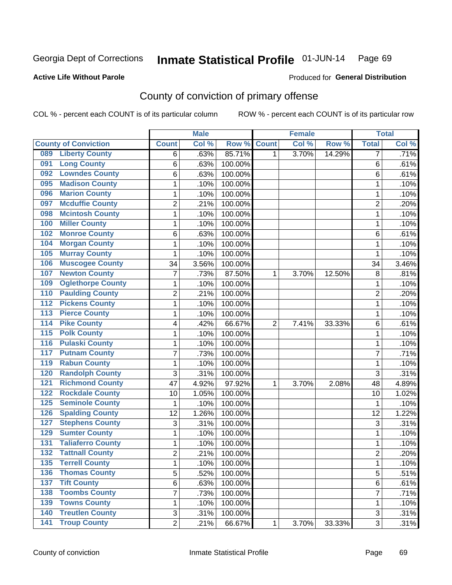#### **Active Life Without Parole**

#### Produced for **General Distribution**

## County of conviction of primary offense

|                  |                             |                | <b>Male</b> |         |                | <b>Female</b> |        |                | <b>Total</b> |
|------------------|-----------------------------|----------------|-------------|---------|----------------|---------------|--------|----------------|--------------|
|                  | <b>County of Conviction</b> | <b>Count</b>   | Col %       | Row %   | <b>Count</b>   | Col %         | Row %  | <b>Total</b>   | Col %        |
| 089              | <b>Liberty County</b>       | 6              | .63%        | 85.71%  | 1              | 3.70%         | 14.29% | 7              | .71%         |
| 091              | <b>Long County</b>          | 6              | .63%        | 100.00% |                |               |        | 6              | .61%         |
| 092              | <b>Lowndes County</b>       | 6              | .63%        | 100.00% |                |               |        | 6              | .61%         |
| 095              | <b>Madison County</b>       | 1              | .10%        | 100.00% |                |               |        | 1              | .10%         |
| 096              | <b>Marion County</b>        | 1              | .10%        | 100.00% |                |               |        | 1              | .10%         |
| 097              | <b>Mcduffie County</b>      | $\overline{2}$ | .21%        | 100.00% |                |               |        | $\overline{2}$ | .20%         |
| 098              | <b>Mcintosh County</b>      | $\mathbf 1$    | .10%        | 100.00% |                |               |        | 1              | .10%         |
| 100              | <b>Miller County</b>        | $\mathbf{1}$   | .10%        | 100.00% |                |               |        | $\mathbf{1}$   | .10%         |
| 102              | <b>Monroe County</b>        | 6              | .63%        | 100.00% |                |               |        | 6              | .61%         |
| 104              | <b>Morgan County</b>        | $\mathbf{1}$   | .10%        | 100.00% |                |               |        | $\mathbf{1}$   | .10%         |
| 105              | <b>Murray County</b>        | $\mathbf 1$    | .10%        | 100.00% |                |               |        | 1              | .10%         |
| 106              | <b>Muscogee County</b>      | 34             | 3.56%       | 100.00% |                |               |        | 34             | 3.46%        |
| 107              | <b>Newton County</b>        | $\overline{7}$ | .73%        | 87.50%  | 1              | 3.70%         | 12.50% | 8              | .81%         |
| 109              | <b>Oglethorpe County</b>    | $\mathbf{1}$   | .10%        | 100.00% |                |               |        | $\mathbf{1}$   | .10%         |
| 110              | <b>Paulding County</b>      | $\overline{c}$ | .21%        | 100.00% |                |               |        | $\overline{2}$ | .20%         |
| $\overline{112}$ | <b>Pickens County</b>       | 1              | .10%        | 100.00% |                |               |        | $\mathbf{1}$   | .10%         |
| 113              | <b>Pierce County</b>        | $\mathbf{1}$   | .10%        | 100.00% |                |               |        | 1              | .10%         |
| $\overline{114}$ | <b>Pike County</b>          | 4              | .42%        | 66.67%  | $\overline{2}$ | 7.41%         | 33.33% | 6              | .61%         |
| $\overline{115}$ | <b>Polk County</b>          | 1              | .10%        | 100.00% |                |               |        | 1              | .10%         |
| 116              | <b>Pulaski County</b>       | 1              | .10%        | 100.00% |                |               |        | 1              | .10%         |
| 117              | <b>Putnam County</b>        | 7              | .73%        | 100.00% |                |               |        | $\overline{7}$ | .71%         |
| 119              | <b>Rabun County</b>         | $\mathbf{1}$   | .10%        | 100.00% |                |               |        | $\mathbf{1}$   | .10%         |
| 120              | <b>Randolph County</b>      | 3              | .31%        | 100.00% |                |               |        | 3              | .31%         |
| 121              | <b>Richmond County</b>      | 47             | 4.92%       | 97.92%  | 1              | 3.70%         | 2.08%  | 48             | 4.89%        |
| 122              | <b>Rockdale County</b>      | 10             | 1.05%       | 100.00% |                |               |        | 10             | 1.02%        |
| 125              | <b>Seminole County</b>      | $\mathbf{1}$   | .10%        | 100.00% |                |               |        | 1              | .10%         |
| 126              | <b>Spalding County</b>      | 12             | 1.26%       | 100.00% |                |               |        | 12             | 1.22%        |
| 127              | <b>Stephens County</b>      | 3              | .31%        | 100.00% |                |               |        | 3              | .31%         |
| 129              | <b>Sumter County</b>        | $\mathbf{1}$   | .10%        | 100.00% |                |               |        | $\mathbf{1}$   | .10%         |
| 131              | <b>Taliaferro County</b>    | 1              | .10%        | 100.00% |                |               |        | 1              | .10%         |
| $\overline{132}$ | <b>Tattnall County</b>      | $\overline{2}$ | .21%        | 100.00% |                |               |        | $\overline{2}$ | .20%         |
| 135              | <b>Terrell County</b>       | 1              | .10%        | 100.00% |                |               |        | 1              | .10%         |
| 136              | <b>Thomas County</b>        | 5              | .52%        | 100.00% |                |               |        | 5              | .51%         |
| $137$            | <b>Tift County</b>          | 6              | .63%        | 100.00% |                |               |        | 6              | .61%         |
| 138              | <b>Toombs County</b>        | 7              | .73%        | 100.00% |                |               |        | $\overline{7}$ | .71%         |
| 139              | <b>Towns County</b>         | 1              | .10%        | 100.00% |                |               |        | 1              | .10%         |
| 140              | <b>Treutlen County</b>      | 3              | .31%        | 100.00% |                |               |        | 3              | .31%         |
| 141              | <b>Troup County</b>         | $\overline{2}$ | .21%        | 66.67%  | 1              | 3.70%         | 33.33% | $\overline{3}$ | .31%         |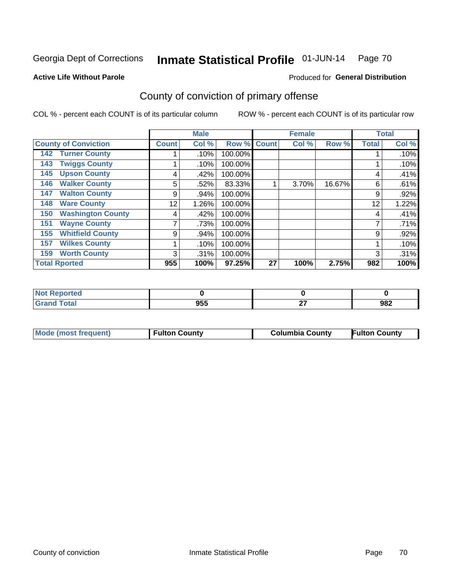**Active Life Without Parole** 

#### Produced for **General Distribution**

## County of conviction of primary offense

|                                 |              | <b>Male</b> |         |              | <b>Female</b> |        |              | <b>Total</b> |
|---------------------------------|--------------|-------------|---------|--------------|---------------|--------|--------------|--------------|
| <b>County of Conviction</b>     | <b>Count</b> | Col %       | Row %   | <b>Count</b> | Col %         | Row %  | <b>Total</b> | Col %        |
| <b>Turner County</b><br>142     |              | .10%        | 100.00% |              |               |        |              | .10%         |
| <b>Twiggs County</b><br>143     |              | .10%        | 100.00% |              |               |        |              | .10%         |
| <b>Upson County</b><br>145      | 4            | .42%        | 100.00% |              |               |        | 4            | .41%         |
| <b>Walker County</b><br>146     | 5            | .52%        | 83.33%  |              | 3.70%         | 16.67% | 6            | .61%         |
| <b>Walton County</b><br>147     | 9            | .94%        | 100.00% |              |               |        | 9            | .92%         |
| <b>Ware County</b><br>148       | 12           | 1.26%       | 100.00% |              |               |        | 12           | 1.22%        |
| <b>Washington County</b><br>150 | 4            | .42%        | 100.00% |              |               |        | 4            | .41%         |
| <b>Wayne County</b><br>151      |              | .73%        | 100.00% |              |               |        | 7            | .71%         |
| <b>Whitfield County</b><br>155  | 9            | .94%        | 100.00% |              |               |        | 9            | .92%         |
| <b>Wilkes County</b><br>157     |              | .10%        | 100.00% |              |               |        |              | .10%         |
| <b>Worth County</b><br>159      | 3            | .31%        | 100.00% |              |               |        | 3            | .31%         |
| <b>Total Rported</b>            | 955          | 100%        | 97.25%  | 27           | 100%          | 2.75%  | 982          | 100%         |

| тео        |     |              |     |
|------------|-----|--------------|-----|
| <b>ota</b> | 955 | $\sim$<br>-- | 982 |

|  | Mode (most frequent) | <b>Fulton County</b> | <b>Columbia County</b> | <b>Fulton County</b> |
|--|----------------------|----------------------|------------------------|----------------------|
|--|----------------------|----------------------|------------------------|----------------------|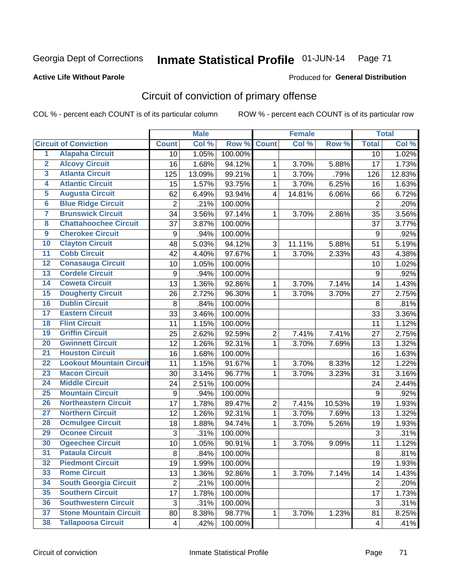#### **Active Life Without Parole**

## Produced for **General Distribution**

## Circuit of conviction of primary offense

|                         |                                 |                  | <b>Male</b> |         |                         | <b>Female</b> |        |                  | <b>Total</b> |
|-------------------------|---------------------------------|------------------|-------------|---------|-------------------------|---------------|--------|------------------|--------------|
|                         | <b>Circuit of Conviction</b>    | <b>Count</b>     | Col %       | Row %   | <b>Count</b>            | Col %         | Row %  | <b>Total</b>     | Col %        |
| 1                       | <b>Alapaha Circuit</b>          | 10               | 1.05%       | 100.00% |                         |               |        | 10               | 1.02%        |
| $\overline{2}$          | <b>Alcovy Circuit</b>           | 16               | 1.68%       | 94.12%  | $\mathbf 1$             | 3.70%         | 5.88%  | 17               | 1.73%        |
| $\overline{\mathbf{3}}$ | <b>Atlanta Circuit</b>          | 125              | 13.09%      | 99.21%  | $\mathbf{1}$            | 3.70%         | .79%   | 126              | 12.83%       |
| 4                       | <b>Atlantic Circuit</b>         | 15               | 1.57%       | 93.75%  | $\mathbf{1}$            | 3.70%         | 6.25%  | 16               | 1.63%        |
| 5                       | <b>Augusta Circuit</b>          | 62               | 6.49%       | 93.94%  | $\overline{\mathbf{4}}$ | 14.81%        | 6.06%  | 66               | 6.72%        |
| $\overline{6}$          | <b>Blue Ridge Circuit</b>       | $\overline{2}$   | .21%        | 100.00% |                         |               |        | $\overline{2}$   | .20%         |
| 7                       | <b>Brunswick Circuit</b>        | 34               | 3.56%       | 97.14%  | 1                       | 3.70%         | 2.86%  | 35               | 3.56%        |
| 8                       | <b>Chattahoochee Circuit</b>    | 37               | 3.87%       | 100.00% |                         |               |        | 37               | 3.77%        |
| $\overline{9}$          | <b>Cherokee Circuit</b>         | 9                | .94%        | 100.00% |                         |               |        | 9                | .92%         |
| 10                      | <b>Clayton Circuit</b>          | 48               | 5.03%       | 94.12%  | 3                       | 11.11%        | 5.88%  | 51               | 5.19%        |
| $\overline{11}$         | <b>Cobb Circuit</b>             | 42               | 4.40%       | 97.67%  | $\mathbf{1}$            | 3.70%         | 2.33%  | 43               | 4.38%        |
| $\overline{12}$         | <b>Conasauga Circuit</b>        | 10               | 1.05%       | 100.00% |                         |               |        | 10               | 1.02%        |
| 13                      | <b>Cordele Circuit</b>          | 9                | .94%        | 100.00% |                         |               |        | 9                | .92%         |
| 14                      | <b>Coweta Circuit</b>           | 13               | 1.36%       | 92.86%  | $\mathbf 1$             | 3.70%         | 7.14%  | 14               | 1.43%        |
| 15                      | <b>Dougherty Circuit</b>        | 26               | 2.72%       | 96.30%  | 1                       | 3.70%         | 3.70%  | 27               | 2.75%        |
| 16                      | <b>Dublin Circuit</b>           | 8                | .84%        | 100.00% |                         |               |        | 8                | .81%         |
| 17                      | <b>Eastern Circuit</b>          | 33               | 3.46%       | 100.00% |                         |               |        | 33               | 3.36%        |
| 18                      | <b>Flint Circuit</b>            | 11               | 1.15%       | 100.00% |                         |               |        | 11               | 1.12%        |
| 19                      | <b>Griffin Circuit</b>          | 25               | 2.62%       | 92.59%  | $\boldsymbol{2}$        | 7.41%         | 7.41%  | 27               | 2.75%        |
| $\overline{20}$         | <b>Gwinnett Circuit</b>         | 12               | 1.26%       | 92.31%  | $\mathbf{1}$            | 3.70%         | 7.69%  | 13               | 1.32%        |
| $\overline{21}$         | <b>Houston Circuit</b>          | 16               | 1.68%       | 100.00% |                         |               |        | 16               | 1.63%        |
| $\overline{22}$         | <b>Lookout Mountain Circuit</b> | 11               | 1.15%       | 91.67%  | $\mathbf 1$             | 3.70%         | 8.33%  | 12               | 1.22%        |
| 23                      | <b>Macon Circuit</b>            | 30               | 3.14%       | 96.77%  | 1                       | 3.70%         | 3.23%  | 31               | 3.16%        |
| $\overline{24}$         | <b>Middle Circuit</b>           | 24               | 2.51%       | 100.00% |                         |               |        | 24               | 2.44%        |
| 25                      | <b>Mountain Circuit</b>         | $\boldsymbol{9}$ | .94%        | 100.00% |                         |               |        | $\boldsymbol{9}$ | .92%         |
| 26                      | <b>Northeastern Circuit</b>     | 17               | 1.78%       | 89.47%  | $\overline{2}$          | 7.41%         | 10.53% | 19               | 1.93%        |
| $\overline{27}$         | <b>Northern Circuit</b>         | 12               | 1.26%       | 92.31%  | 1                       | 3.70%         | 7.69%  | 13               | 1.32%        |
| 28                      | <b>Ocmulgee Circuit</b>         | 18               | 1.88%       | 94.74%  | 1                       | 3.70%         | 5.26%  | 19               | 1.93%        |
| 29                      | <b>Oconee Circuit</b>           | 3                | .31%        | 100.00% |                         |               |        | $\mathfrak{S}$   | .31%         |
| 30                      | <b>Ogeechee Circuit</b>         | 10               | 1.05%       | 90.91%  | $\mathbf{1}$            | 3.70%         | 9.09%  | 11               | 1.12%        |
| $\overline{31}$         | <b>Pataula Circuit</b>          | 8                | .84%        | 100.00% |                         |               |        | $\,8\,$          | .81%         |
| 32                      | <b>Piedmont Circuit</b>         | 19               | 1.99%       | 100.00% |                         |               |        | 19               | 1.93%        |
| 33                      | <b>Rome Circuit</b>             | 13               | 1.36%       | 92.86%  | $\mathbf{1}$            | 3.70%         | 7.14%  | 14               | 1.43%        |
| 34                      | <b>South Georgia Circuit</b>    | $\overline{2}$   | .21%        | 100.00% |                         |               |        | $\overline{2}$   | .20%         |
| 35                      | <b>Southern Circuit</b>         | 17               | 1.78%       | 100.00% |                         |               |        | 17               | 1.73%        |
| 36                      | <b>Southwestern Circuit</b>     | 3                | .31%        | 100.00% |                         |               |        | 3                | .31%         |
| 37                      | <b>Stone Mountain Circuit</b>   | 80               | 8.38%       | 98.77%  | 1                       | 3.70%         | 1.23%  | 81               | 8.25%        |
| 38                      | <b>Tallapoosa Circuit</b>       | 4                | .42%        | 100.00% |                         |               |        | 4                | .41%         |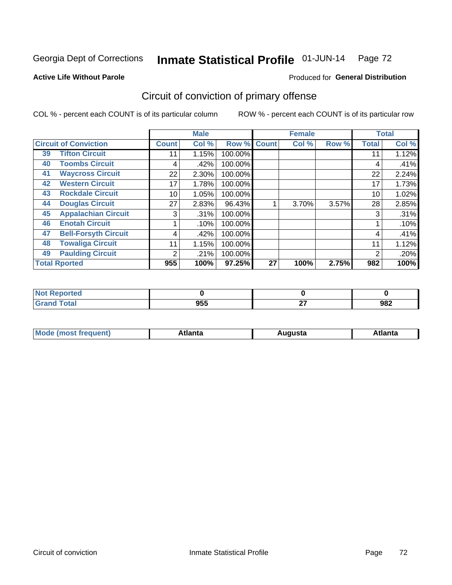**Active Life Without Parole** 

#### Produced for **General Distribution**

## Circuit of conviction of primary offense

|    |                              |              | <b>Male</b> |         |             | <b>Female</b> |       |              | <b>Total</b> |
|----|------------------------------|--------------|-------------|---------|-------------|---------------|-------|--------------|--------------|
|    | <b>Circuit of Conviction</b> | <b>Count</b> | Col %       |         | Row % Count | Col %         | Row % | <b>Total</b> | Col %        |
| 39 | <b>Tifton Circuit</b>        | 11           | 1.15%       | 100.00% |             |               |       | 11           | 1.12%        |
| 40 | <b>Toombs Circuit</b>        | 4            | .42%        | 100.00% |             |               |       | 4            | .41%         |
| 41 | <b>Waycross Circuit</b>      | 22           | 2.30%       | 100.00% |             |               |       | 22           | 2.24%        |
| 42 | <b>Western Circuit</b>       | 17           | 1.78%       | 100.00% |             |               |       | 17           | 1.73%        |
| 43 | <b>Rockdale Circuit</b>      | 10           | 1.05%       | 100.00% |             |               |       | 10           | 1.02%        |
| 44 | <b>Douglas Circuit</b>       | 27           | 2.83%       | 96.43%  |             | 3.70%         | 3.57% | 28           | 2.85%        |
| 45 | <b>Appalachian Circuit</b>   | 3            | .31%        | 100.00% |             |               |       | 3            | .31%         |
| 46 | <b>Enotah Circuit</b>        |              | .10%        | 100.00% |             |               |       |              | .10%         |
| 47 | <b>Bell-Forsyth Circuit</b>  | 4            | .42%        | 100.00% |             |               |       | 4            | .41%         |
| 48 | <b>Towaliga Circuit</b>      | 11           | 1.15%       | 100.00% |             |               |       | 11           | 1.12%        |
| 49 | <b>Paulding Circuit</b>      | 2            | .21%        | 100.00% |             |               |       | 2            | .20%         |
|    | <b>Total Rported</b>         | 955          | 100%        | 97.25%  | 27          | 100%          | 2.75% | 982          | 100%         |

| rtea               |     |              |     |
|--------------------|-----|--------------|-----|
| <b>otal</b><br>--- | 955 | $\sim$<br>-- | 982 |

| М<br>. In n tr<br>.<br>.<br>wanta<br>Πū<br>31.<br>$\sim$ $\sim$ $\sim$ |
|------------------------------------------------------------------------|
|------------------------------------------------------------------------|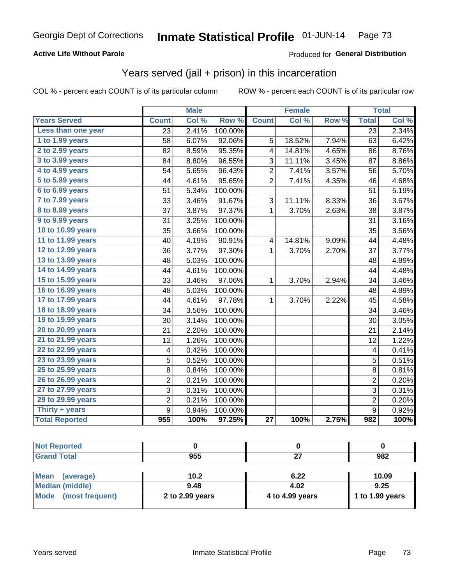### **Active Life Without Parole**

#### Produced for **General Distribution**

## Years served (jail + prison) in this incarceration

|                       |                | <b>Male</b> |         |                | Female |       |                | <b>Total</b> |
|-----------------------|----------------|-------------|---------|----------------|--------|-------|----------------|--------------|
| <b>Years Served</b>   | <b>Count</b>   | Col %       | Row %   | <b>Count</b>   | Col %  | Row % | <b>Total</b>   | Col %        |
| Less than one year    | 23             | 2.41%       | 100.00% |                |        |       | 23             | 2.34%        |
| 1 to 1.99 years       | 58             | 6.07%       | 92.06%  | 5              | 18.52% | 7.94% | 63             | 6.42%        |
| 2 to 2.99 years       | 82             | 8.59%       | 95.35%  | 4              | 14.81% | 4.65% | 86             | 8.76%        |
| 3 to 3.99 years       | 84             | 8.80%       | 96.55%  | 3              | 11.11% | 3.45% | 87             | 8.86%        |
| 4 to 4.99 years       | 54             | 5.65%       | 96.43%  | $\overline{2}$ | 7.41%  | 3.57% | 56             | 5.70%        |
| 5 to 5.99 years       | 44             | 4.61%       | 95.65%  | $\overline{2}$ | 7.41%  | 4.35% | 46             | 4.68%        |
| 6 to 6.99 years       | 51             | 5.34%       | 100.00% |                |        |       | 51             | 5.19%        |
| 7 to 7.99 years       | 33             | 3.46%       | 91.67%  | 3              | 11.11% | 8.33% | 36             | 3.67%        |
| 8 to 8.99 years       | 37             | 3.87%       | 97.37%  | 1              | 3.70%  | 2.63% | 38             | 3.87%        |
| 9 to 9.99 years       | 31             | 3.25%       | 100.00% |                |        |       | 31             | 3.16%        |
| 10 to 10.99 years     | 35             | 3.66%       | 100.00% |                |        |       | 35             | 3.56%        |
| 11 to 11.99 years     | 40             | 4.19%       | 90.91%  | 4              | 14.81% | 9.09% | 44             | 4.48%        |
| 12 to 12.99 years     | 36             | 3.77%       | 97.30%  | 1              | 3.70%  | 2.70% | 37             | 3.77%        |
| 13 to 13.99 years     | 48             | 5.03%       | 100.00% |                |        |       | 48             | 4.89%        |
| 14 to 14.99 years     | 44             | 4.61%       | 100.00% |                |        |       | 44             | 4.48%        |
| 15 to 15.99 years     | 33             | 3.46%       | 97.06%  | 1              | 3.70%  | 2.94% | 34             | 3.46%        |
| 16 to 16.99 years     | 48             | 5.03%       | 100.00% |                |        |       | 48             | 4.89%        |
| 17 to 17.99 years     | 44             | 4.61%       | 97.78%  | 1              | 3.70%  | 2.22% | 45             | 4.58%        |
| 18 to 18.99 years     | 34             | 3.56%       | 100.00% |                |        |       | 34             | 3.46%        |
| 19 to 19.99 years     | 30             | 3.14%       | 100.00% |                |        |       | 30             | 3.05%        |
| 20 to 20.99 years     | 21             | 2.20%       | 100.00% |                |        |       | 21             | 2.14%        |
| 21 to 21.99 years     | 12             | 1.26%       | 100.00% |                |        |       | 12             | 1.22%        |
| 22 to 22.99 years     | 4              | 0.42%       | 100.00% |                |        |       | 4              | 0.41%        |
| 23 to 23.99 years     | 5              | 0.52%       | 100.00% |                |        |       | 5              | 0.51%        |
| 25 to 25.99 years     | 8              | 0.84%       | 100.00% |                |        |       | 8              | 0.81%        |
| 26 to 26.99 years     | $\overline{2}$ | 0.21%       | 100.00% |                |        |       | $\overline{2}$ | 0.20%        |
| 27 to 27.99 years     | 3              | 0.31%       | 100.00% |                |        |       | 3              | 0.31%        |
| 29 to 29.99 years     | $\overline{c}$ | 0.21%       | 100.00% |                |        |       | $\overline{c}$ | 0.20%        |
| Thirty + years        | $\overline{9}$ | 0.94%       | 100.00% |                |        |       | $\overline{9}$ | 0.92%        |
| <b>Total Reported</b> | 955            | 100%        | 97.25%  | 27             | 100%   | 2.75% | 982            | 100%         |

| <b>Not Reported</b> |      |      |       |
|---------------------|------|------|-------|
| <b>Grand Total</b>  | 955  | ^¬   | 982   |
|                     |      |      |       |
| Mean<br>(average)   | 10.2 | 6.22 | 10.09 |
| .                   | ____ | .    | - - - |

| <br>19191997           | .               | ----            |                 |
|------------------------|-----------------|-----------------|-----------------|
| <b>Median (middle)</b> | 9.48            | 4.02            | 9.25            |
| Mode (most frequent)   | 2 to 2.99 years | 4 to 4.99 years | 1 to 1.99 years |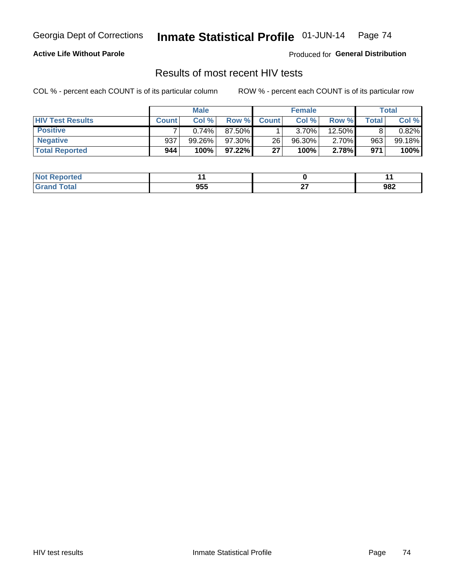### **Active Life Without Parole**

Produced for **General Distribution**

## Results of most recent HIV tests

|                         | <b>Male</b>  |           |        | <b>Female</b> |           |          | Total |        |
|-------------------------|--------------|-----------|--------|---------------|-----------|----------|-------|--------|
| <b>HIV Test Results</b> | <b>Count</b> | Col%      | Row %I | <b>Count</b>  | Col %     | Row %    | Total | Col %  |
| <b>Positive</b>         |              | 0.74%     | 87.50% |               | $3.70\%$  | 12.50%   |       | 0.82%  |
| <b>Negative</b>         | 937          | $99.26\%$ | 97.30% | 26            | $96.30\%$ | $2.70\%$ | 963   | 99.18% |
| <b>Total Reported</b>   | 944          | 100%      | 97.22% | 27            | 100%      | 2.78%    | 971   | 100%   |

| <b>Not Reported</b> |     |        |     |
|---------------------|-----|--------|-----|
| Total               | 955 | $\sim$ | 982 |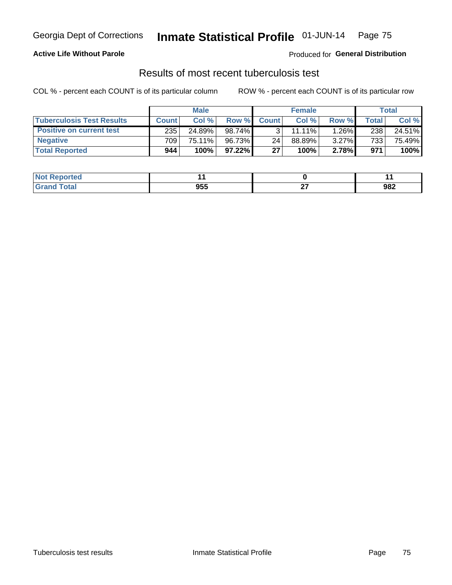### **Active Life Without Parole**

Produced for **General Distribution**

## Results of most recent tuberculosis test

|                                  |                  | <b>Male</b> |           |              | <b>Female</b> |          |       | Total  |
|----------------------------------|------------------|-------------|-----------|--------------|---------------|----------|-------|--------|
| <b>Tuberculosis Test Results</b> | <b>Count</b>     | Col%        | Row %I    | <b>Count</b> | Col%          | Row %    | Total | Col %  |
| <b>Positive on current test</b>  | 235              | 24.89%      | $98.74\%$ |              | $11.11\%$     | 1.26%    | 238   | 24.51% |
| <b>Negative</b>                  | 709 <sub>1</sub> | 75.11%      | 96.73%    | 24           | 88.89%        | $3.27\%$ | 733   | 75.49% |
| <b>Total Reported</b>            | 944              | 100%        | $97.22\%$ | 27           | 100%          | 2.78%    | 971   | 100%   |

| <b>Not Reported</b>      |     |        | . . |
|--------------------------|-----|--------|-----|
| <b>Total</b><br>$C$ roni | 955 | $\sim$ | 982 |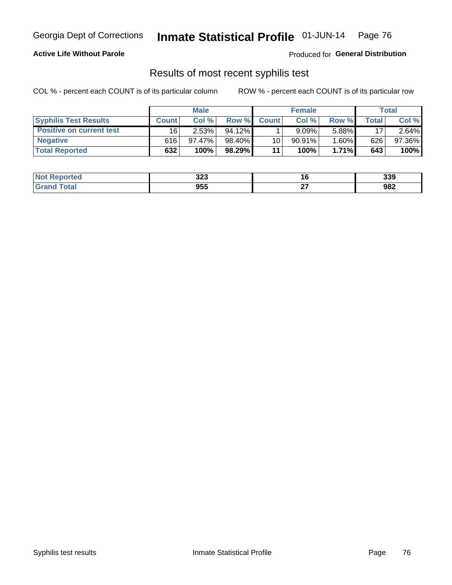#### **Active Life Without Parole**

Produced for **General Distribution**

## Results of most recent syphilis test

|                                 |              | <b>Male</b> |           |              | <b>Female</b> |          |       | Total  |
|---------------------------------|--------------|-------------|-----------|--------------|---------------|----------|-------|--------|
| <b>Syphilis Test Results</b>    | <b>Count</b> | Col%        | Row %     | <b>Count</b> | Col%          | Row %    | Total | Col %  |
| <b>Positive on current test</b> | 16           | 2.53%       | $94.12\%$ |              | $9.09\%$      | 5.88%    | 17    | 2.64%  |
| <b>Negative</b>                 | 616          | 97.47%      | 98.40%    | 10           | 90.91%        | $1.60\%$ | 626   | 97.36% |
| <b>Total Reported</b>           | 632          | 100%        | 98.29%    | 11           | 100%          | 1.71%    | 643   | 100%   |

| <b>Not Reported</b>          | າາາ<br>د∡د |              | 339 |
|------------------------------|------------|--------------|-----|
| <b>Total</b><br><b>Grand</b> | 955        | $\sim$<br>-- | 982 |